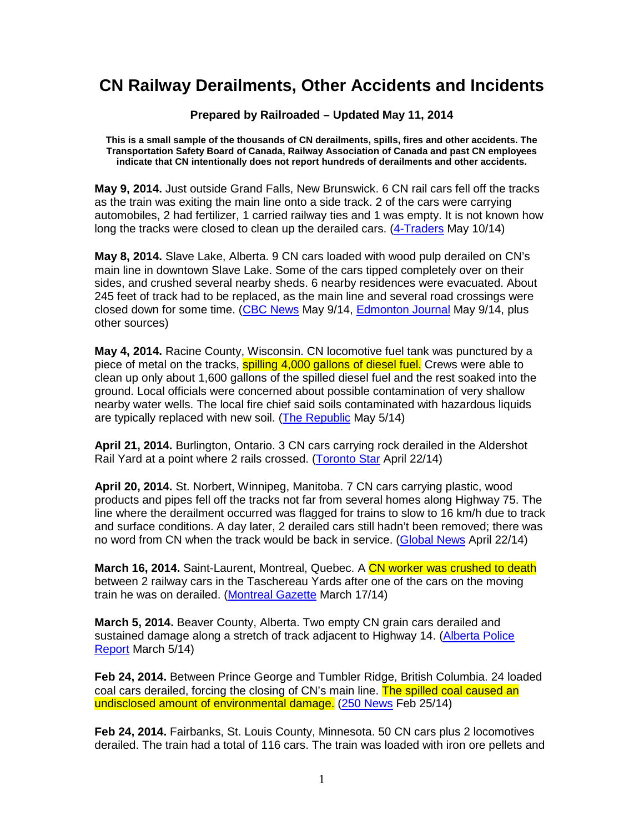## **CN Railway Derailments, Other Accidents and Incidents**

**Prepared by Railroaded – Updated May 11, 2014** 

**This is a small sample of the thousands of CN derailments, spills, fires and other accidents. The Transportation Safety Board of Canada, Railway Association of Canada and past CN employees indicate that CN intentionally does not report hundreds of derailments and other accidents.** 

**May 9, 2014.** Just outside Grand Falls, New Brunswick. 6 CN rail cars fell off the tracks as the train was exiting the main line onto a side track. 2 of the cars were carrying automobiles, 2 had fertilizer, 1 carried railway ties and 1 was empty. It is not known how long the tracks were closed to clean up the derailed cars. (4-Traders May 10/14)

**May 8, 2014.** Slave Lake, Alberta. 9 CN cars loaded with wood pulp derailed on CN's main line in downtown Slave Lake. Some of the cars tipped completely over on their sides, and crushed several nearby sheds. 6 nearby residences were evacuated. About 245 feet of track had to be replaced, as the main line and several road crossings were closed down for some time. (CBC News May 9/14, Edmonton Journal May 9/14, plus other sources)

**May 4, 2014.** Racine County, Wisconsin. CN locomotive fuel tank was punctured by a piece of metal on the tracks, spilling 4,000 gallons of diesel fuel. Crews were able to clean up only about 1,600 gallons of the spilled diesel fuel and the rest soaked into the ground. Local officials were concerned about possible contamination of very shallow nearby water wells. The local fire chief said soils contaminated with hazardous liquids are typically replaced with new soil. (The Republic May 5/14)

**April 21, 2014.** Burlington, Ontario. 3 CN cars carrying rock derailed in the Aldershot Rail Yard at a point where 2 rails crossed. (Toronto Star April 22/14)

**April 20, 2014.** St. Norbert, Winnipeg, Manitoba. 7 CN cars carrying plastic, wood products and pipes fell off the tracks not far from several homes along Highway 75. The line where the derailment occurred was flagged for trains to slow to 16 km/h due to track and surface conditions. A day later, 2 derailed cars still hadn't been removed; there was no word from CN when the track would be back in service. (Global News April 22/14)

**March 16, 2014.** Saint-Laurent, Montreal, Quebec, A CN worker was crushed to death between 2 railway cars in the Taschereau Yards after one of the cars on the moving train he was on derailed. (Montreal Gazette March 17/14)

**March 5, 2014.** Beaver County, Alberta. Two empty CN grain cars derailed and sustained damage along a stretch of track adjacent to Highway 14. (Alberta Police Report March 5/14)

**Feb 24, 2014.** Between Prince George and Tumbler Ridge, British Columbia. 24 loaded coal cars derailed, forcing the closing of CN's main line. The spilled coal caused an undisclosed amount of environmental damage. (250 News Feb 25/14)

**Feb 24, 2014.** Fairbanks, St. Louis County, Minnesota. 50 CN cars plus 2 locomotives derailed. The train had a total of 116 cars. The train was loaded with iron ore pellets and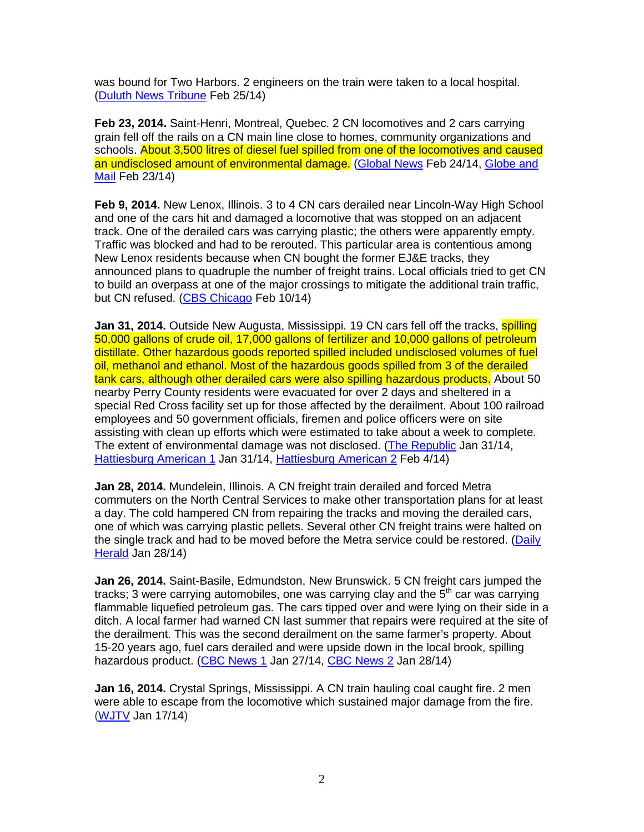was bound for Two Harbors. 2 engineers on the train were taken to a local hospital. (Duluth News Tribune Feb 25/14)

**Feb 23, 2014.** Saint-Henri, Montreal, Quebec. 2 CN locomotives and 2 cars carrying grain fell off the rails on a CN main line close to homes, community organizations and schools. About 3,500 litres of diesel fuel spilled from one of the locomotives and caused an undisclosed amount of environmental damage. (Global News Feb 24/14, Globe and Mail Feb 23/14)

**Feb 9, 2014.** New Lenox, Illinois. 3 to 4 CN cars derailed near Lincoln-Way High School and one of the cars hit and damaged a locomotive that was stopped on an adjacent track. One of the derailed cars was carrying plastic; the others were apparently empty. Traffic was blocked and had to be rerouted. This particular area is contentious among New Lenox residents because when CN bought the former EJ&E tracks, they announced plans to quadruple the number of freight trains. Local officials tried to get CN to build an overpass at one of the major crossings to mitigate the additional train traffic, but CN refused. (CBS Chicago Feb 10/14)

**Jan 31, 2014.** Outside New Augusta, Mississippi. 19 CN cars fell off the tracks, **spilling** 50,000 gallons of crude oil, 17,000 gallons of fertilizer and 10,000 gallons of petroleum distillate. Other hazardous goods reported spilled included undisclosed volumes of fuel oil, methanol and ethanol. Most of the hazardous goods spilled from 3 of the derailed tank cars, although other derailed cars were also spilling hazardous products. About 50 nearby Perry County residents were evacuated for over 2 days and sheltered in a special Red Cross facility set up for those affected by the derailment. About 100 railroad employees and 50 government officials, firemen and police officers were on site assisting with clean up efforts which were estimated to take about a week to complete. The extent of environmental damage was not disclosed. (The Republic Jan 31/14, Hattiesburg American 1 Jan 31/14, Hattiesburg American 2 Feb 4/14)

**Jan 28, 2014.** Mundelein, Illinois. A CN freight train derailed and forced Metra commuters on the North Central Services to make other transportation plans for at least a day. The cold hampered CN from repairing the tracks and moving the derailed cars, one of which was carrying plastic pellets. Several other CN freight trains were halted on the single track and had to be moved before the Metra service could be restored. (Daily Herald Jan 28/14)

**Jan 26, 2014.** Saint-Basile, Edmundston, New Brunswick. 5 CN freight cars jumped the tracks; 3 were carrying automobiles, one was carrying clay and the  $5<sup>th</sup>$  car was carrying flammable liquefied petroleum gas. The cars tipped over and were lying on their side in a ditch. A local farmer had warned CN last summer that repairs were required at the site of the derailment. This was the second derailment on the same farmer's property. About 15-20 years ago, fuel cars derailed and were upside down in the local brook, spilling hazardous product. (CBC News 1 Jan 27/14, CBC News 2 Jan 28/14)

**Jan 16, 2014.** Crystal Springs, Mississippi. A CN train hauling coal caught fire. 2 men were able to escape from the locomotive which sustained major damage from the fire. (WJTV Jan 17/14)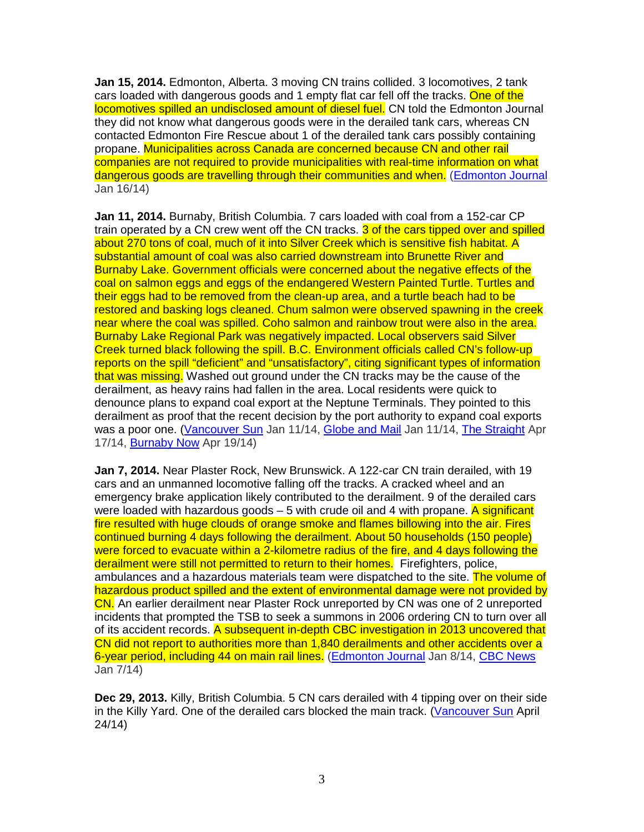**Jan 15, 2014.** Edmonton, Alberta. 3 moving CN trains collided. 3 locomotives, 2 tank cars loaded with dangerous goods and 1 empty flat car fell off the tracks. One of the locomotives spilled an undisclosed amount of diesel fuel. CN told the Edmonton Journal they did not know what dangerous goods were in the derailed tank cars, whereas CN contacted Edmonton Fire Rescue about 1 of the derailed tank cars possibly containing propane. Municipalities across Canada are concerned because CN and other rail companies are not required to provide municipalities with real-time information on what dangerous goods are travelling through their communities and when. (Edmonton Journal Jan 16/14)

**Jan 11, 2014.** Burnaby, British Columbia. 7 cars loaded with coal from a 152-car CP train operated by a CN crew went off the CN tracks. 3 of the cars tipped over and spilled about 270 tons of coal, much of it into Silver Creek which is sensitive fish habitat. A substantial amount of coal was also carried downstream into Brunette River and Burnaby Lake. Government officials were concerned about the negative effects of the coal on salmon eggs and eggs of the endangered Western Painted Turtle. Turtles and their eggs had to be removed from the clean-up area, and a turtle beach had to be restored and basking logs cleaned. Chum salmon were observed spawning in the creek near where the coal was spilled. Coho salmon and rainbow trout were also in the area. Burnaby Lake Regional Park was negatively impacted. Local observers said Silver Creek turned black following the spill. B.C. Environment officials called CN's follow-up reports on the spill "deficient" and "unsatisfactory", citing significant types of information that was missing. Washed out ground under the CN tracks may be the cause of the derailment, as heavy rains had fallen in the area. Local residents were quick to denounce plans to expand coal export at the Neptune Terminals. They pointed to this derailment as proof that the recent decision by the port authority to expand coal exports was a poor one. (Vancouver Sun Jan 11/14, Globe and Mail Jan 11/14, The Straight Apr 17/14, Burnaby Now Apr 19/14)

**Jan 7, 2014.** Near Plaster Rock, New Brunswick. A 122-car CN train derailed, with 19 cars and an unmanned locomotive falling off the tracks. A cracked wheel and an emergency brake application likely contributed to the derailment. 9 of the derailed cars were loaded with hazardous goods  $-5$  with crude oil and 4 with propane. A significant fire resulted with huge clouds of orange smoke and flames billowing into the air. Fires continued burning 4 days following the derailment. About 50 households (150 people) were forced to evacuate within a 2-kilometre radius of the fire, and 4 days following the derailment were still not permitted to return to their homes. Firefighters, police, ambulances and a hazardous materials team were dispatched to the site. The volume of hazardous product spilled and the extent of environmental damage were not provided by CN. An earlier derailment near Plaster Rock unreported by CN was one of 2 unreported incidents that prompted the TSB to seek a summons in 2006 ordering CN to turn over all of its accident records. A subsequent in-depth CBC investigation in 2013 uncovered that CN did not report to authorities more than 1,840 derailments and other accidents over a 6-year period, including 44 on main rail lines. (Edmonton Journal Jan 8/14, CBC News Jan 7/14)

**Dec 29, 2013.** Killy, British Columbia. 5 CN cars derailed with 4 tipping over on their side in the Killy Yard. One of the derailed cars blocked the main track. (Vancouver Sun April 24/14)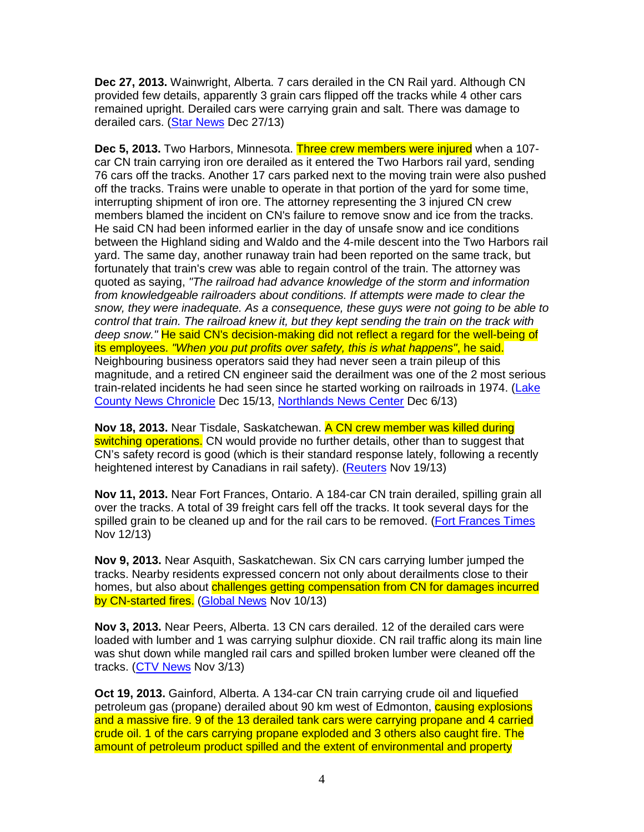**Dec 27, 2013.** Wainwright, Alberta. 7 cars derailed in the CN Rail yard. Although CN provided few details, apparently 3 grain cars flipped off the tracks while 4 other cars remained upright. Derailed cars were carrying grain and salt. There was damage to derailed cars. (Star News Dec 27/13)

**Dec 5, 2013.** Two Harbors, Minnesota. Three crew members were injured when a 107 car CN train carrying iron ore derailed as it entered the Two Harbors rail yard, sending 76 cars off the tracks. Another 17 cars parked next to the moving train were also pushed off the tracks. Trains were unable to operate in that portion of the yard for some time, interrupting shipment of iron ore. The attorney representing the 3 injured CN crew members blamed the incident on CN's failure to remove snow and ice from the tracks. He said CN had been informed earlier in the day of unsafe snow and ice conditions between the Highland siding and Waldo and the 4-mile descent into the Two Harbors rail yard. The same day, another runaway train had been reported on the same track, but fortunately that train's crew was able to regain control of the train. The attorney was quoted as saying, "The railroad had advance knowledge of the storm and information from knowledgeable railroaders about conditions. If attempts were made to clear the snow, they were inadequate. As a consequence, these guys were not going to be able to control that train. The railroad knew it, but they kept sending the train on the track with deep snow." He said CN's decision-making did not reflect a regard for the well-being of its employees. "When you put profits over safety, this is what happens", he said. Neighbouring business operators said they had never seen a train pileup of this magnitude, and a retired CN engineer said the derailment was one of the 2 most serious train-related incidents he had seen since he started working on railroads in 1974. (Lake County News Chronicle Dec 15/13, Northlands News Center Dec 6/13)

**Nov 18, 2013.** Near Tisdale, Saskatchewan. A CN crew member was killed during switching operations. CN would provide no further details, other than to suggest that CN's safety record is good (which is their standard response lately, following a recently heightened interest by Canadians in rail safety). (Reuters Nov 19/13)

**Nov 11, 2013.** Near Fort Frances, Ontario. A 184-car CN train derailed, spilling grain all over the tracks. A total of 39 freight cars fell off the tracks. It took several days for the spilled grain to be cleaned up and for the rail cars to be removed. (Fort Frances Times Nov 12/13)

**Nov 9, 2013.** Near Asquith, Saskatchewan. Six CN cars carrying lumber jumped the tracks. Nearby residents expressed concern not only about derailments close to their homes, but also about challenges getting compensation from CN for damages incurred by CN-started fires. (Global News Nov 10/13)

**Nov 3, 2013.** Near Peers, Alberta. 13 CN cars derailed. 12 of the derailed cars were loaded with lumber and 1 was carrying sulphur dioxide. CN rail traffic along its main line was shut down while mangled rail cars and spilled broken lumber were cleaned off the tracks. (CTV News Nov 3/13)

**Oct 19, 2013.** Gainford, Alberta. A 134-car CN train carrying crude oil and liquefied petroleum gas (propane) derailed about 90 km west of Edmonton, causing explosions and a massive fire. 9 of the 13 derailed tank cars were carrying propane and 4 carried crude oil. 1 of the cars carrying propane exploded and 3 others also caught fire. The amount of petroleum product spilled and the extent of environmental and property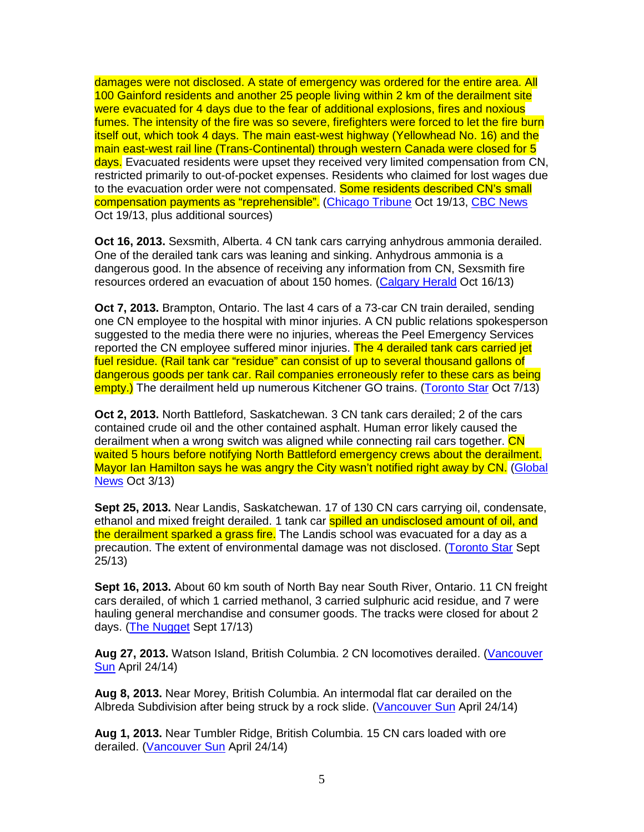damages were not disclosed. A state of emergency was ordered for the entire area. All 100 Gainford residents and another 25 people living within 2 km of the derailment site were evacuated for 4 days due to the fear of additional explosions, fires and noxious fumes. The intensity of the fire was so severe, firefighters were forced to let the fire burn itself out, which took 4 days. The main east-west highway (Yellowhead No. 16) and the main east-west rail line (Trans-Continental) through western Canada were closed for 5 days. Evacuated residents were upset they received very limited compensation from CN, restricted primarily to out-of-pocket expenses. Residents who claimed for lost wages due to the evacuation order were not compensated. Some residents described CN's small compensation payments as "reprehensible". (Chicago Tribune Oct 19/13, CBC News Oct 19/13, plus additional sources)

**Oct 16, 2013.** Sexsmith, Alberta. 4 CN tank cars carrying anhydrous ammonia derailed. One of the derailed tank cars was leaning and sinking. Anhydrous ammonia is a dangerous good. In the absence of receiving any information from CN, Sexsmith fire resources ordered an evacuation of about 150 homes. (Calgary Herald Oct 16/13)

**Oct 7, 2013.** Brampton, Ontario. The last 4 cars of a 73-car CN train derailed, sending one CN employee to the hospital with minor injuries. A CN public relations spokesperson suggested to the media there were no injuries, whereas the Peel Emergency Services reported the CN employee suffered minor injuries. The 4 derailed tank cars carried jet fuel residue. (Rail tank car "residue" can consist of up to several thousand gallons of dangerous goods per tank car. Rail companies erroneously refer to these cars as being empty.) The derailment held up numerous Kitchener GO trains. (Toronto Star Oct 7/13)

**Oct 2, 2013.** North Battleford, Saskatchewan. 3 CN tank cars derailed; 2 of the cars contained crude oil and the other contained asphalt. Human error likely caused the derailment when a wrong switch was aligned while connecting rail cars together. CN waited 5 hours before notifying North Battleford emergency crews about the derailment. Mayor Ian Hamilton says he was angry the City wasn't notified right away by CN. (Global News Oct 3/13)

**Sept 25, 2013.** Near Landis, Saskatchewan. 17 of 130 CN cars carrying oil, condensate, ethanol and mixed freight derailed. 1 tank car **spilled an undisclosed amount of oil, and** the derailment sparked a grass fire. The Landis school was evacuated for a day as a precaution. The extent of environmental damage was not disclosed. (Toronto Star Sept 25/13)

**Sept 16, 2013.** About 60 km south of North Bay near South River, Ontario. 11 CN freight cars derailed, of which 1 carried methanol, 3 carried sulphuric acid residue, and 7 were hauling general merchandise and consumer goods. The tracks were closed for about 2 days. (The Nugget Sept 17/13)

Aug 27, 2013. Watson Island, British Columbia. 2 CN locomotives derailed. (Vancouver Sun April 24/14)

**Aug 8, 2013.** Near Morey, British Columbia. An intermodal flat car derailed on the Albreda Subdivision after being struck by a rock slide. (Vancouver Sun April 24/14)

**Aug 1, 2013.** Near Tumbler Ridge, British Columbia. 15 CN cars loaded with ore derailed. (Vancouver Sun April 24/14)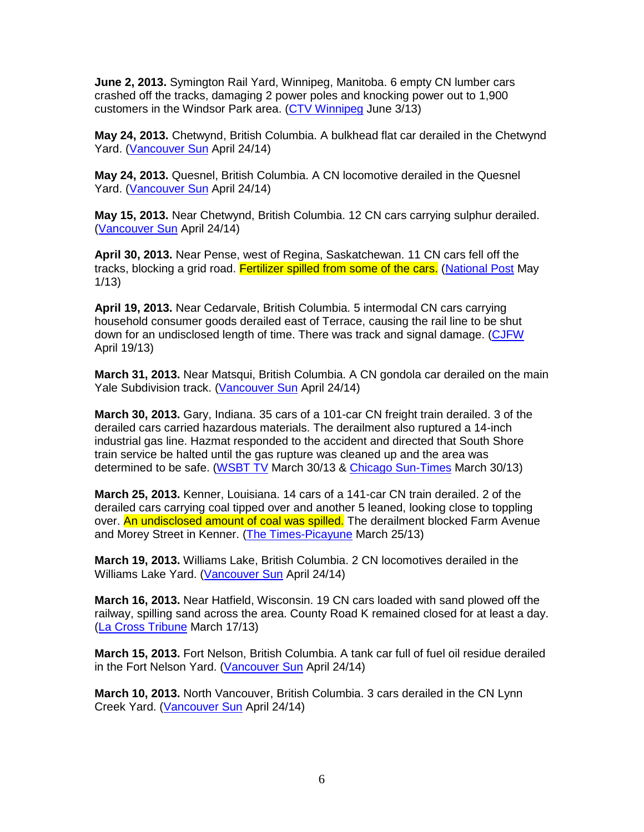**June 2, 2013.** Symington Rail Yard, Winnipeg, Manitoba. 6 empty CN lumber cars crashed off the tracks, damaging 2 power poles and knocking power out to 1,900 customers in the Windsor Park area. (CTV Winnipeg June 3/13)

**May 24, 2013.** Chetwynd, British Columbia. A bulkhead flat car derailed in the Chetwynd Yard. (Vancouver Sun April 24/14)

**May 24, 2013.** Quesnel, British Columbia. A CN locomotive derailed in the Quesnel Yard. (Vancouver Sun April 24/14)

**May 15, 2013.** Near Chetwynd, British Columbia. 12 CN cars carrying sulphur derailed. (Vancouver Sun April 24/14)

**April 30, 2013.** Near Pense, west of Regina, Saskatchewan. 11 CN cars fell off the tracks, blocking a grid road. Fertilizer spilled from some of the cars. (National Post May 1/13)

**April 19, 2013.** Near Cedarvale, British Columbia. 5 intermodal CN cars carrying household consumer goods derailed east of Terrace, causing the rail line to be shut down for an undisclosed length of time. There was track and signal damage. (CJFW April 19/13)

**March 31, 2013.** Near Matsqui, British Columbia. A CN gondola car derailed on the main Yale Subdivision track. (Vancouver Sun April 24/14)

**March 30, 2013.** Gary, Indiana. 35 cars of a 101-car CN freight train derailed. 3 of the derailed cars carried hazardous materials. The derailment also ruptured a 14-inch industrial gas line. Hazmat responded to the accident and directed that South Shore train service be halted until the gas rupture was cleaned up and the area was determined to be safe. (WSBT TV March 30/13 & Chicago Sun-Times March 30/13)

**March 25, 2013.** Kenner, Louisiana. 14 cars of a 141-car CN train derailed. 2 of the derailed cars carrying coal tipped over and another 5 leaned, looking close to toppling over. An undisclosed amount of coal was spilled. The derailment blocked Farm Avenue and Morey Street in Kenner. (The Times-Picayune March 25/13)

**March 19, 2013.** Williams Lake, British Columbia. 2 CN locomotives derailed in the Williams Lake Yard. (Vancouver Sun April 24/14)

**March 16, 2013.** Near Hatfield, Wisconsin. 19 CN cars loaded with sand plowed off the railway, spilling sand across the area. County Road K remained closed for at least a day. (La Cross Tribune March 17/13)

**March 15, 2013.** Fort Nelson, British Columbia. A tank car full of fuel oil residue derailed in the Fort Nelson Yard. (Vancouver Sun April 24/14)

**March 10, 2013.** North Vancouver, British Columbia. 3 cars derailed in the CN Lynn Creek Yard. (Vancouver Sun April 24/14)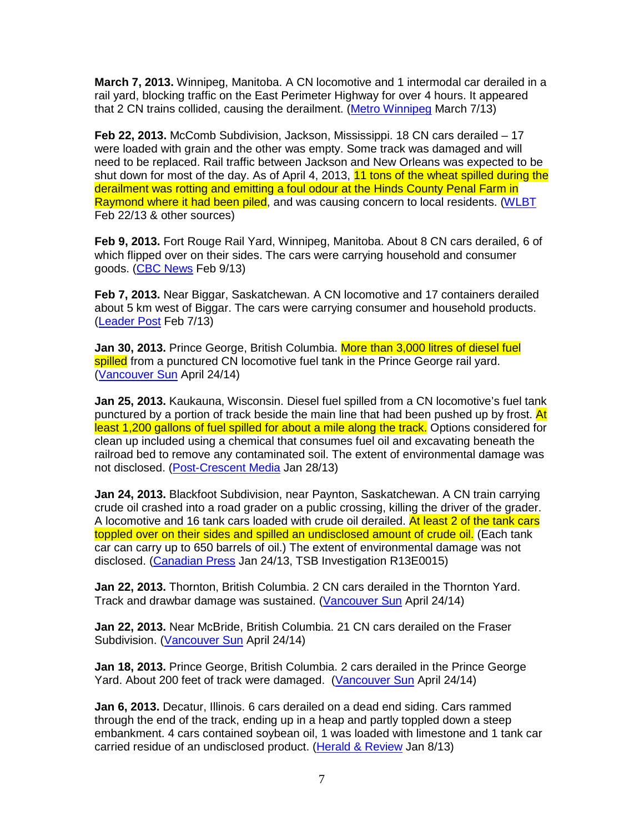**March 7, 2013.** Winnipeg, Manitoba. A CN locomotive and 1 intermodal car derailed in a rail yard, blocking traffic on the East Perimeter Highway for over 4 hours. It appeared that 2 CN trains collided, causing the derailment. (Metro Winnipeg March 7/13)

**Feb 22, 2013.** McComb Subdivision, Jackson, Mississippi. 18 CN cars derailed – 17 were loaded with grain and the other was empty. Some track was damaged and will need to be replaced. Rail traffic between Jackson and New Orleans was expected to be shut down for most of the day. As of April 4, 2013, 11 tons of the wheat spilled during the derailment was rotting and emitting a foul odour at the Hinds County Penal Farm in Raymond where it had been piled, and was causing concern to local residents. (WLBT Feb 22/13 & other sources)

**Feb 9, 2013.** Fort Rouge Rail Yard, Winnipeg, Manitoba. About 8 CN cars derailed, 6 of which flipped over on their sides. The cars were carrying household and consumer goods. (CBC News Feb 9/13)

**Feb 7, 2013.** Near Biggar, Saskatchewan. A CN locomotive and 17 containers derailed about 5 km west of Biggar. The cars were carrying consumer and household products. (Leader Post Feb 7/13)

**Jan 30, 2013.** Prince George, British Columbia. More than 3,000 litres of diesel fuel spilled from a punctured CN locomotive fuel tank in the Prince George rail yard. (Vancouver Sun April 24/14)

**Jan 25, 2013.** Kaukauna, Wisconsin. Diesel fuel spilled from a CN locomotive's fuel tank punctured by a portion of track beside the main line that had been pushed up by frost. At least 1,200 gallons of fuel spilled for about a mile along the track. Options considered for clean up included using a chemical that consumes fuel oil and excavating beneath the railroad bed to remove any contaminated soil. The extent of environmental damage was not disclosed. (Post-Crescent Media Jan 28/13)

**Jan 24, 2013.** Blackfoot Subdivision, near Paynton, Saskatchewan. A CN train carrying crude oil crashed into a road grader on a public crossing, killing the driver of the grader. A locomotive and 16 tank cars loaded with crude oil derailed. At least 2 of the tank cars toppled over on their sides and spilled an undisclosed amount of crude oil. (Each tank car can carry up to 650 barrels of oil.) The extent of environmental damage was not disclosed. (Canadian Press Jan 24/13, TSB Investigation R13E0015)

**Jan 22, 2013.** Thornton, British Columbia. 2 CN cars derailed in the Thornton Yard. Track and drawbar damage was sustained. (Vancouver Sun April 24/14)

**Jan 22, 2013.** Near McBride, British Columbia. 21 CN cars derailed on the Fraser Subdivision. (Vancouver Sun April 24/14)

**Jan 18, 2013.** Prince George, British Columbia. 2 cars derailed in the Prince George Yard. About 200 feet of track were damaged. (Vancouver Sun April 24/14)

**Jan 6, 2013.** Decatur, Illinois. 6 cars derailed on a dead end siding. Cars rammed through the end of the track, ending up in a heap and partly toppled down a steep embankment. 4 cars contained soybean oil, 1 was loaded with limestone and 1 tank car carried residue of an undisclosed product. (Herald & Review Jan 8/13)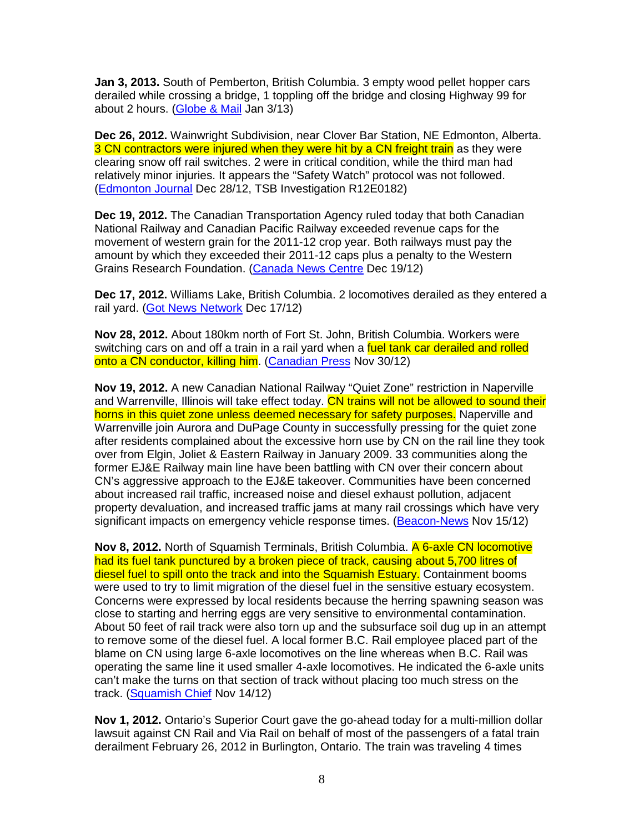**Jan 3, 2013.** South of Pemberton, British Columbia. 3 empty wood pellet hopper cars derailed while crossing a bridge, 1 toppling off the bridge and closing Highway 99 for about 2 hours. (Globe & Mail Jan 3/13)

**Dec 26, 2012.** Wainwright Subdivision, near Clover Bar Station, NE Edmonton, Alberta. 3 CN contractors were injured when they were hit by a CN freight train as they were clearing snow off rail switches. 2 were in critical condition, while the third man had relatively minor injuries. It appears the "Safety Watch" protocol was not followed. (Edmonton Journal Dec 28/12, TSB Investigation R12E0182)

**Dec 19, 2012.** The Canadian Transportation Agency ruled today that both Canadian National Railway and Canadian Pacific Railway exceeded revenue caps for the movement of western grain for the 2011-12 crop year. Both railways must pay the amount by which they exceeded their 2011-12 caps plus a penalty to the Western Grains Research Foundation. (Canada News Centre Dec 19/12)

**Dec 17, 2012.** Williams Lake, British Columbia. 2 locomotives derailed as they entered a rail yard. (Got News Network Dec 17/12)

**Nov 28, 2012.** About 180km north of Fort St. John, British Columbia. Workers were switching cars on and off a train in a rail yard when a fuel tank car derailed and rolled onto a CN conductor, killing him. (Canadian Press Nov 30/12)

**Nov 19, 2012.** A new Canadian National Railway "Quiet Zone" restriction in Naperville and Warrenville, Illinois will take effect today. CN trains will not be allowed to sound their horns in this quiet zone unless deemed necessary for safety purposes. Naperville and Warrenville join Aurora and DuPage County in successfully pressing for the quiet zone after residents complained about the excessive horn use by CN on the rail line they took over from Elgin, Joliet & Eastern Railway in January 2009. 33 communities along the former EJ&E Railway main line have been battling with CN over their concern about CN's aggressive approach to the EJ&E takeover. Communities have been concerned about increased rail traffic, increased noise and diesel exhaust pollution, adjacent property devaluation, and increased traffic jams at many rail crossings which have very significant impacts on emergency vehicle response times. (Beacon-News Nov 15/12)

**Nov 8, 2012.** North of Squamish Terminals, British Columbia. A 6-axle CN locomotive had its fuel tank punctured by a broken piece of track, causing about 5,700 litres of diesel fuel to spill onto the track and into the Squamish Estuary. Containment booms were used to try to limit migration of the diesel fuel in the sensitive estuary ecosystem. Concerns were expressed by local residents because the herring spawning season was close to starting and herring eggs are very sensitive to environmental contamination. About 50 feet of rail track were also torn up and the subsurface soil dug up in an attempt to remove some of the diesel fuel. A local former B.C. Rail employee placed part of the blame on CN using large 6-axle locomotives on the line whereas when B.C. Rail was operating the same line it used smaller 4-axle locomotives. He indicated the 6-axle units can't make the turns on that section of track without placing too much stress on the track. (Squamish Chief Nov 14/12)

**Nov 1, 2012.** Ontario's Superior Court gave the go-ahead today for a multi-million dollar lawsuit against CN Rail and Via Rail on behalf of most of the passengers of a fatal train derailment February 26, 2012 in Burlington, Ontario. The train was traveling 4 times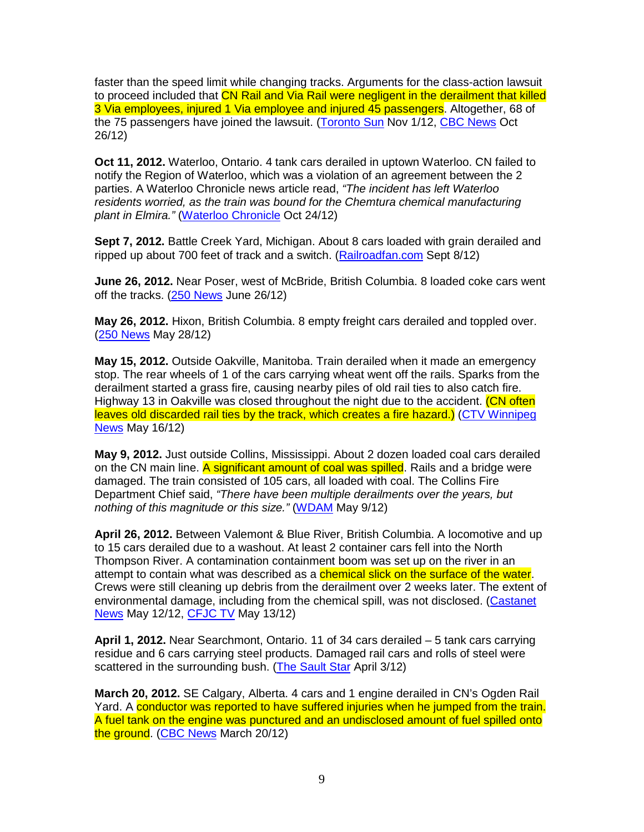faster than the speed limit while changing tracks. Arguments for the class-action lawsuit to proceed included that CN Rail and Via Rail were negligent in the derailment that killed 3 Via employees, injured 1 Via employee and injured 45 passengers. Altogether, 68 of the 75 passengers have joined the lawsuit. (Toronto Sun Nov 1/12, CBC News Oct 26/12)

**Oct 11, 2012.** Waterloo, Ontario. 4 tank cars derailed in uptown Waterloo. CN failed to notify the Region of Waterloo, which was a violation of an agreement between the 2 parties. A Waterloo Chronicle news article read, "The incident has left Waterloo residents worried, as the train was bound for the Chemtura chemical manufacturing plant in Elmira." (Waterloo Chronicle Oct 24/12)

**Sept 7, 2012.** Battle Creek Yard, Michigan. About 8 cars loaded with grain derailed and ripped up about 700 feet of track and a switch. (Railroadfan.com Sept 8/12)

**June 26, 2012.** Near Poser, west of McBride, British Columbia. 8 loaded coke cars went off the tracks. (250 News June 26/12)

**May 26, 2012.** Hixon, British Columbia. 8 empty freight cars derailed and toppled over. (250 News May 28/12)

**May 15, 2012.** Outside Oakville, Manitoba. Train derailed when it made an emergency stop. The rear wheels of 1 of the cars carrying wheat went off the rails. Sparks from the derailment started a grass fire, causing nearby piles of old rail ties to also catch fire. Highway 13 in Oakville was closed throughout the night due to the accident. (CN often leaves old discarded rail ties by the track, which creates a fire hazard.) (CTV Winnipeg News May 16/12)

**May 9, 2012.** Just outside Collins, Mississippi. About 2 dozen loaded coal cars derailed on the CN main line. A significant amount of coal was spilled. Rails and a bridge were damaged. The train consisted of 105 cars, all loaded with coal. The Collins Fire Department Chief said, "There have been multiple derailments over the years, but nothing of this magnitude or this size." (WDAM May 9/12)

**April 26, 2012.** Between Valemont & Blue River, British Columbia. A locomotive and up to 15 cars derailed due to a washout. At least 2 container cars fell into the North Thompson River. A contamination containment boom was set up on the river in an attempt to contain what was described as a **chemical slick on the surface of the water**. Crews were still cleaning up debris from the derailment over 2 weeks later. The extent of environmental damage, including from the chemical spill, was not disclosed. (Castanet News May 12/12, CFJC TV May 13/12)

**April 1, 2012.** Near Searchmont, Ontario. 11 of 34 cars derailed – 5 tank cars carrying residue and 6 cars carrying steel products. Damaged rail cars and rolls of steel were scattered in the surrounding bush. (The Sault Star April 3/12)

**March 20, 2012.** SE Calgary, Alberta. 4 cars and 1 engine derailed in CN's Ogden Rail Yard. A conductor was reported to have suffered injuries when he jumped from the train. A fuel tank on the engine was punctured and an undisclosed amount of fuel spilled onto the ground. (CBC News March 20/12)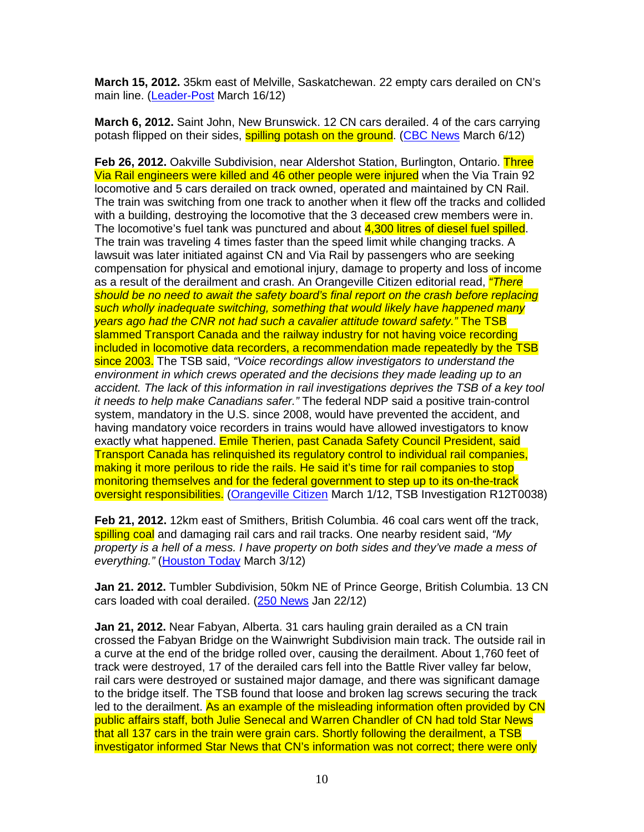**March 15, 2012.** 35km east of Melville, Saskatchewan. 22 empty cars derailed on CN's main line. (Leader-Post March 16/12)

**March 6, 2012.** Saint John, New Brunswick. 12 CN cars derailed. 4 of the cars carrying potash flipped on their sides, **spilling potash on the ground.** (CBC News March 6/12)

**Feb 26, 2012.** Oakville Subdivision, near Aldershot Station, Burlington, Ontario. Three Via Rail engineers were killed and 46 other people were injured when the Via Train 92 locomotive and 5 cars derailed on track owned, operated and maintained by CN Rail. The train was switching from one track to another when it flew off the tracks and collided with a building, destroying the locomotive that the 3 deceased crew members were in. The locomotive's fuel tank was punctured and about 4,300 litres of diesel fuel spilled. The train was traveling 4 times faster than the speed limit while changing tracks. A lawsuit was later initiated against CN and Via Rail by passengers who are seeking compensation for physical and emotional injury, damage to property and loss of income as a result of the derailment and crash. An Orangeville Citizen editorial read, *"There* should be no need to await the safety board's final report on the crash before replacing such wholly inadequate switching, something that would likely have happened many years ago had the CNR not had such a cavalier attitude toward safety." The TSB slammed Transport Canada and the railway industry for not having voice recording included in locomotive data recorders, a recommendation made repeatedly by the TSB since 2003. The TSB said, "Voice recordings allow investigators to understand the environment in which crews operated and the decisions they made leading up to an accident. The lack of this information in rail investigations deprives the TSB of a key tool it needs to help make Canadians safer." The federal NDP said a positive train-control system, mandatory in the U.S. since 2008, would have prevented the accident, and having mandatory voice recorders in trains would have allowed investigators to know exactly what happened. Emile Therien, past Canada Safety Council President, said Transport Canada has relinquished its regulatory control to individual rail companies, making it more perilous to ride the rails. He said it's time for rail companies to stop monitoring themselves and for the federal government to step up to its on-the-track oversight responsibilities. (Orangeville Citizen March 1/12, TSB Investigation R12T0038)

**Feb 21, 2012.** 12km east of Smithers, British Columbia. 46 coal cars went off the track, spilling coal and damaging rail cars and rail tracks. One nearby resident said, "My property is a hell of a mess. I have property on both sides and they've made a mess of everything." (Houston Today March 3/12)

**Jan 21. 2012.** Tumbler Subdivision, 50km NE of Prince George, British Columbia. 13 CN cars loaded with coal derailed. (250 News Jan 22/12)

**Jan 21, 2012.** Near Fabyan, Alberta. 31 cars hauling grain derailed as a CN train crossed the Fabyan Bridge on the Wainwright Subdivision main track. The outside rail in a curve at the end of the bridge rolled over, causing the derailment. About 1,760 feet of track were destroyed, 17 of the derailed cars fell into the Battle River valley far below, rail cars were destroyed or sustained major damage, and there was significant damage to the bridge itself. The TSB found that loose and broken lag screws securing the track led to the derailment. As an example of the misleading information often provided by CN public affairs staff, both Julie Senecal and Warren Chandler of CN had told Star News that all 137 cars in the train were grain cars. Shortly following the derailment, a TSB investigator informed Star News that CN's information was not correct; there were only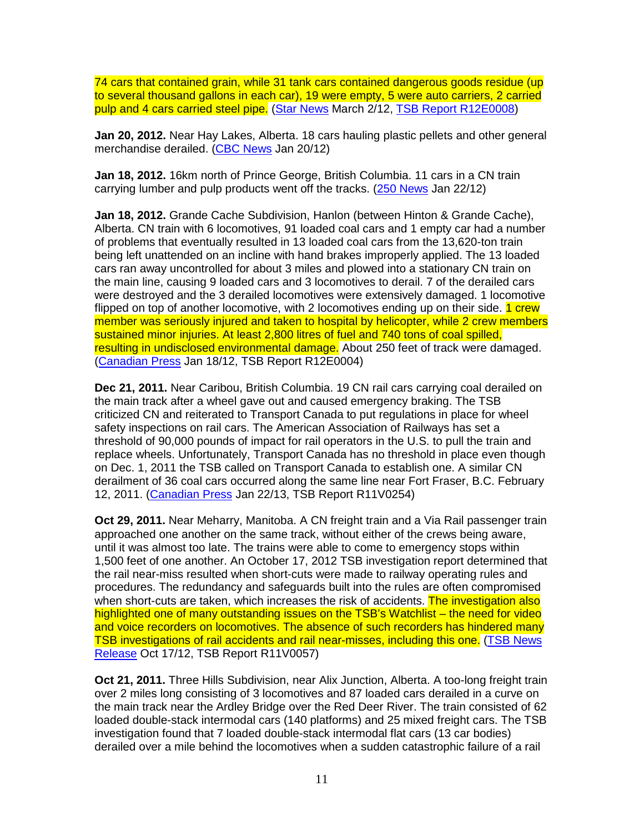74 cars that contained grain, while 31 tank cars contained dangerous goods residue (up to several thousand gallons in each car), 19 were empty, 5 were auto carriers, 2 carried pulp and 4 cars carried steel pipe. (Star News March 2/12, TSB Report R12E0008)

**Jan 20, 2012.** Near Hay Lakes, Alberta. 18 cars hauling plastic pellets and other general merchandise derailed. (CBC News Jan 20/12)

**Jan 18, 2012.** 16km north of Prince George, British Columbia. 11 cars in a CN train carrying lumber and pulp products went off the tracks. (250 News Jan 22/12)

**Jan 18, 2012.** Grande Cache Subdivision, Hanlon (between Hinton & Grande Cache), Alberta. CN train with 6 locomotives, 91 loaded coal cars and 1 empty car had a number of problems that eventually resulted in 13 loaded coal cars from the 13,620-ton train being left unattended on an incline with hand brakes improperly applied. The 13 loaded cars ran away uncontrolled for about 3 miles and plowed into a stationary CN train on the main line, causing 9 loaded cars and 3 locomotives to derail. 7 of the derailed cars were destroyed and the 3 derailed locomotives were extensively damaged. 1 locomotive flipped on top of another locomotive, with 2 locomotives ending up on their side. 1 crew member was seriously injured and taken to hospital by helicopter, while 2 crew members sustained minor injuries. At least 2,800 litres of fuel and 740 tons of coal spilled, resulting in undisclosed environmental damage. About 250 feet of track were damaged. (Canadian Press Jan 18/12, TSB Report R12E0004)

**Dec 21, 2011.** Near Caribou, British Columbia. 19 CN rail cars carrying coal derailed on the main track after a wheel gave out and caused emergency braking. The TSB criticized CN and reiterated to Transport Canada to put regulations in place for wheel safety inspections on rail cars. The American Association of Railways has set a threshold of 90,000 pounds of impact for rail operators in the U.S. to pull the train and replace wheels. Unfortunately, Transport Canada has no threshold in place even though on Dec. 1, 2011 the TSB called on Transport Canada to establish one. A similar CN derailment of 36 coal cars occurred along the same line near Fort Fraser, B.C. February 12, 2011. (Canadian Press Jan 22/13, TSB Report R11V0254)

**Oct 29, 2011.** Near Meharry, Manitoba. A CN freight train and a Via Rail passenger train approached one another on the same track, without either of the crews being aware, until it was almost too late. The trains were able to come to emergency stops within 1,500 feet of one another. An October 17, 2012 TSB investigation report determined that the rail near-miss resulted when short-cuts were made to railway operating rules and procedures. The redundancy and safeguards built into the rules are often compromised when short-cuts are taken, which increases the risk of accidents. The investigation also highlighted one of many outstanding issues on the TSB's Watchlist – the need for video and voice recorders on locomotives. The absence of such recorders has hindered many TSB investigations of rail accidents and rail near-misses, including this one. (TSB News Release Oct 17/12, TSB Report R11V0057)

**Oct 21, 2011.** Three Hills Subdivision, near Alix Junction, Alberta. A too-long freight train over 2 miles long consisting of 3 locomotives and 87 loaded cars derailed in a curve on the main track near the Ardley Bridge over the Red Deer River. The train consisted of 62 loaded double-stack intermodal cars (140 platforms) and 25 mixed freight cars. The TSB investigation found that 7 loaded double-stack intermodal flat cars (13 car bodies) derailed over a mile behind the locomotives when a sudden catastrophic failure of a rail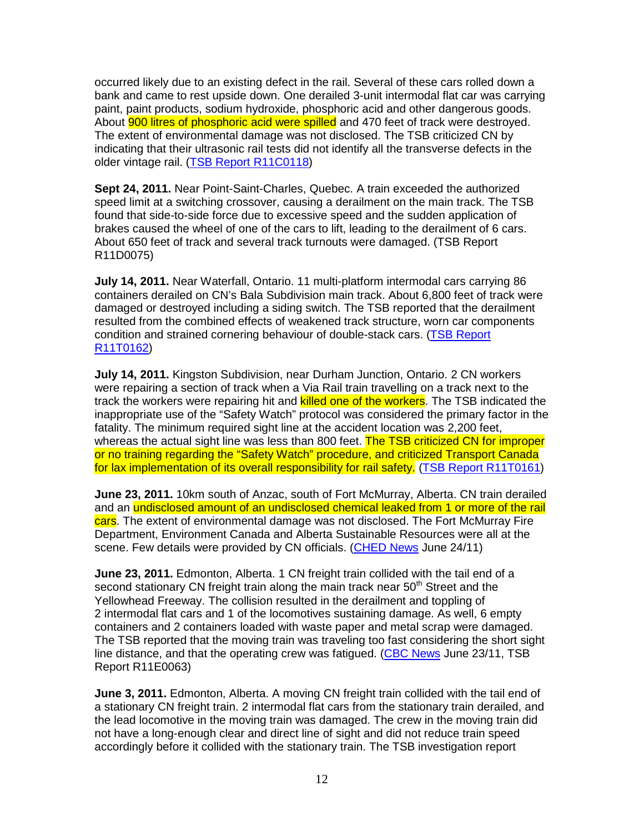occurred likely due to an existing defect in the rail. Several of these cars rolled down a bank and came to rest upside down. One derailed 3-unit intermodal flat car was carrying paint, paint products, sodium hydroxide, phosphoric acid and other dangerous goods. About **900 litres of phosphoric acid were spilled** and 470 feet of track were destroyed. The extent of environmental damage was not disclosed. The TSB criticized CN by indicating that their ultrasonic rail tests did not identify all the transverse defects in the older vintage rail. (TSB Report R11C0118)

**Sept 24, 2011.** Near Point-Saint-Charles, Quebec. A train exceeded the authorized speed limit at a switching crossover, causing a derailment on the main track. The TSB found that side-to-side force due to excessive speed and the sudden application of brakes caused the wheel of one of the cars to lift, leading to the derailment of 6 cars. About 650 feet of track and several track turnouts were damaged. (TSB Report R11D0075)

**July 14, 2011.** Near Waterfall, Ontario. 11 multi-platform intermodal cars carrying 86 containers derailed on CN's Bala Subdivision main track. About 6,800 feet of track were damaged or destroyed including a siding switch. The TSB reported that the derailment resulted from the combined effects of weakened track structure, worn car components condition and strained cornering behaviour of double-stack cars. (TSB Report R11T0162)

**July 14, 2011.** Kingston Subdivision, near Durham Junction, Ontario. 2 CN workers were repairing a section of track when a Via Rail train travelling on a track next to the track the workers were repairing hit and killed one of the workers. The TSB indicated the inappropriate use of the "Safety Watch" protocol was considered the primary factor in the fatality. The minimum required sight line at the accident location was 2,200 feet, whereas the actual sight line was less than 800 feet. The TSB criticized CN for improper or no training regarding the "Safety Watch" procedure, and criticized Transport Canada for lax implementation of its overall responsibility for rail safety. (TSB Report R11T0161)

**June 23, 2011.** 10km south of Anzac, south of Fort McMurray, Alberta. CN train derailed and an undisclosed amount of an undisclosed chemical leaked from 1 or more of the rail cars. The extent of environmental damage was not disclosed. The Fort McMurray Fire Department, Environment Canada and Alberta Sustainable Resources were all at the scene. Few details were provided by CN officials. (CHED News June 24/11)

**June 23, 2011.** Edmonton, Alberta. 1 CN freight train collided with the tail end of a second stationary CN freight train along the main track near 50<sup>th</sup> Street and the Yellowhead Freeway. The collision resulted in the derailment and toppling of 2 intermodal flat cars and 1 of the locomotives sustaining damage. As well, 6 empty containers and 2 containers loaded with waste paper and metal scrap were damaged. The TSB reported that the moving train was traveling too fast considering the short sight line distance, and that the operating crew was fatigued. (CBC News June 23/11, TSB Report R11E0063)

**June 3, 2011.** Edmonton, Alberta. A moving CN freight train collided with the tail end of a stationary CN freight train. 2 intermodal flat cars from the stationary train derailed, and the lead locomotive in the moving train was damaged. The crew in the moving train did not have a long-enough clear and direct line of sight and did not reduce train speed accordingly before it collided with the stationary train. The TSB investigation report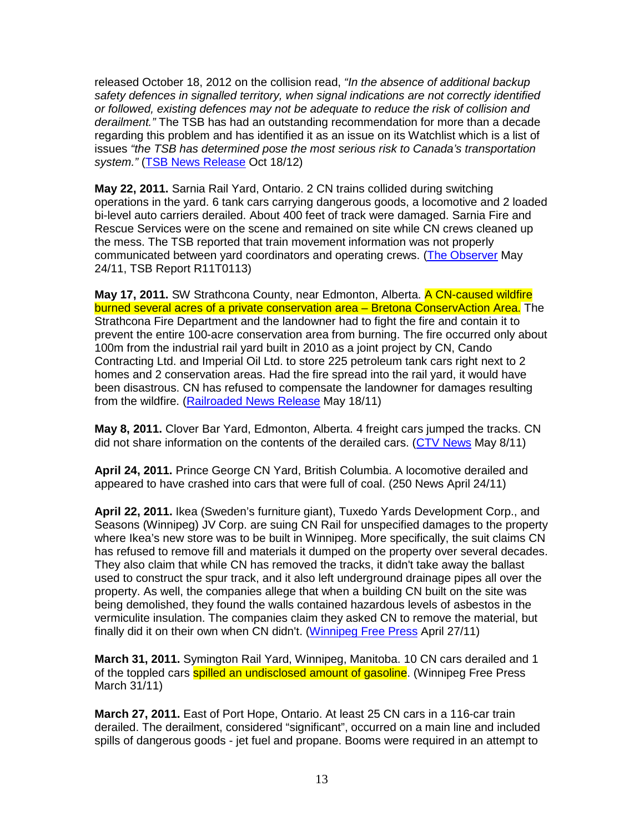released October 18, 2012 on the collision read, "In the absence of additional backup safety defences in signalled territory, when signal indications are not correctly identified or followed, existing defences may not be adequate to reduce the risk of collision and derailment." The TSB has had an outstanding recommendation for more than a decade regarding this problem and has identified it as an issue on its Watchlist which is a list of issues "the TSB has determined pose the most serious risk to Canada's transportation system." (TSB News Release Oct 18/12)

**May 22, 2011.** Sarnia Rail Yard, Ontario. 2 CN trains collided during switching operations in the yard. 6 tank cars carrying dangerous goods, a locomotive and 2 loaded bi-level auto carriers derailed. About 400 feet of track were damaged. Sarnia Fire and Rescue Services were on the scene and remained on site while CN crews cleaned up the mess. The TSB reported that train movement information was not properly communicated between yard coordinators and operating crews. (The Observer May 24/11, TSB Report R11T0113)

**May 17, 2011.** SW Strathcona County, near Edmonton, Alberta. A CN-caused wildfire burned several acres of a private conservation area – Bretona ConservAction Area. The Strathcona Fire Department and the landowner had to fight the fire and contain it to prevent the entire 100-acre conservation area from burning. The fire occurred only about 100m from the industrial rail yard built in 2010 as a joint project by CN, Cando Contracting Ltd. and Imperial Oil Ltd. to store 225 petroleum tank cars right next to 2 homes and 2 conservation areas. Had the fire spread into the rail yard, it would have been disastrous. CN has refused to compensate the landowner for damages resulting from the wildfire. (Railroaded News Release May 18/11)

**May 8, 2011.** Clover Bar Yard, Edmonton, Alberta. 4 freight cars jumped the tracks. CN did not share information on the contents of the derailed cars. (CTV News May 8/11)

**April 24, 2011.** Prince George CN Yard, British Columbia. A locomotive derailed and appeared to have crashed into cars that were full of coal. (250 News April 24/11)

**April 22, 2011.** Ikea (Sweden's furniture giant), Tuxedo Yards Development Corp., and Seasons (Winnipeg) JV Corp. are suing CN Rail for unspecified damages to the property where Ikea's new store was to be built in Winnipeg. More specifically, the suit claims CN has refused to remove fill and materials it dumped on the property over several decades. They also claim that while CN has removed the tracks, it didn't take away the ballast used to construct the spur track, and it also left underground drainage pipes all over the property. As well, the companies allege that when a building CN built on the site was being demolished, they found the walls contained hazardous levels of asbestos in the vermiculite insulation. The companies claim they asked CN to remove the material, but finally did it on their own when CN didn't. (Winnipeg Free Press April 27/11)

**March 31, 2011.** Symington Rail Yard, Winnipeg, Manitoba. 10 CN cars derailed and 1 of the toppled cars **spilled an undisclosed amount of gasoline**. (Winnipeg Free Press March 31/11)

**March 27, 2011.** East of Port Hope, Ontario. At least 25 CN cars in a 116-car train derailed. The derailment, considered "significant", occurred on a main line and included spills of dangerous goods - jet fuel and propane. Booms were required in an attempt to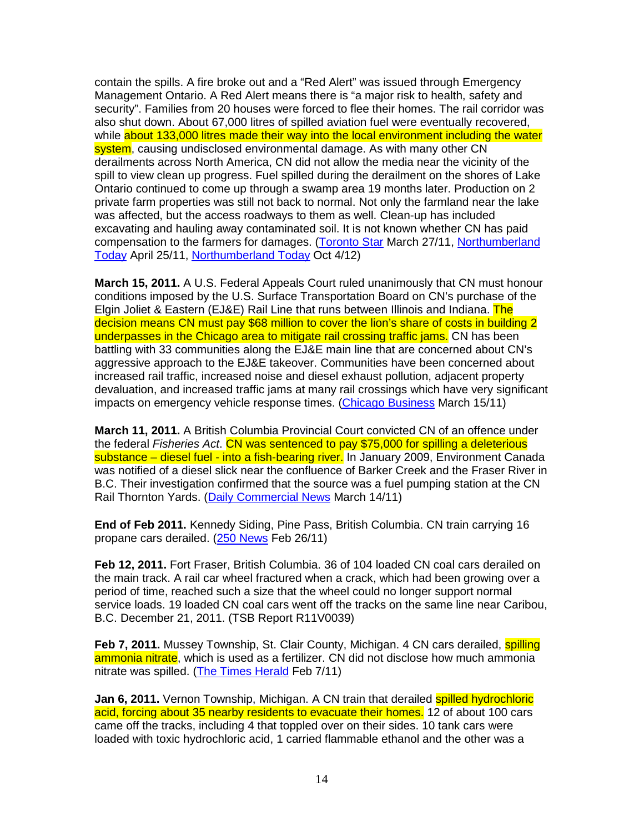contain the spills. A fire broke out and a "Red Alert" was issued through Emergency Management Ontario. A Red Alert means there is "a major risk to health, safety and security". Families from 20 houses were forced to flee their homes. The rail corridor was also shut down. About 67,000 litres of spilled aviation fuel were eventually recovered, while about 133,000 litres made their way into the local environment including the water system, causing undisclosed environmental damage. As with many other CN derailments across North America, CN did not allow the media near the vicinity of the spill to view clean up progress. Fuel spilled during the derailment on the shores of Lake Ontario continued to come up through a swamp area 19 months later. Production on 2 private farm properties was still not back to normal. Not only the farmland near the lake was affected, but the access roadways to them as well. Clean-up has included excavating and hauling away contaminated soil. It is not known whether CN has paid compensation to the farmers for damages. (Toronto Star March 27/11, Northumberland Today April 25/11, Northumberland Today Oct 4/12)

**March 15, 2011.** A U.S. Federal Appeals Court ruled unanimously that CN must honour conditions imposed by the U.S. Surface Transportation Board on CN's purchase of the Elgin Joliet & Eastern (EJ&E) Rail Line that runs between Illinois and Indiana. The decision means CN must pay \$68 million to cover the lion's share of costs in building 2 underpasses in the Chicago area to mitigate rail crossing traffic jams. CN has been battling with 33 communities along the EJ&E main line that are concerned about CN's aggressive approach to the EJ&E takeover. Communities have been concerned about increased rail traffic, increased noise and diesel exhaust pollution, adjacent property devaluation, and increased traffic jams at many rail crossings which have very significant impacts on emergency vehicle response times. (Chicago Business March 15/11)

**March 11, 2011.** A British Columbia Provincial Court convicted CN of an offence under the federal Fisheries Act. CN was sentenced to pay \$75,000 for spilling a deleterious substance – diesel fuel - into a fish-bearing river. In January 2009, Environment Canada was notified of a diesel slick near the confluence of Barker Creek and the Fraser River in B.C. Their investigation confirmed that the source was a fuel pumping station at the CN Rail Thornton Yards. (Daily Commercial News March 14/11)

**End of Feb 2011.** Kennedy Siding, Pine Pass, British Columbia. CN train carrying 16 propane cars derailed. (250 News Feb 26/11)

**Feb 12, 2011.** Fort Fraser, British Columbia. 36 of 104 loaded CN coal cars derailed on the main track. A rail car wheel fractured when a crack, which had been growing over a period of time, reached such a size that the wheel could no longer support normal service loads. 19 loaded CN coal cars went off the tracks on the same line near Caribou, B.C. December 21, 2011. (TSB Report R11V0039)

**Feb 7, 2011.** Mussey Township, St. Clair County, Michigan. 4 CN cars derailed, **spilling** ammonia nitrate, which is used as a fertilizer. CN did not disclose how much ammonia nitrate was spilled. (The Times Herald Feb 7/11)

**Jan 6, 2011.** Vernon Township, Michigan. A CN train that derailed spilled hydrochloric acid, forcing about 35 nearby residents to evacuate their homes. 12 of about 100 cars came off the tracks, including 4 that toppled over on their sides. 10 tank cars were loaded with toxic hydrochloric acid, 1 carried flammable ethanol and the other was a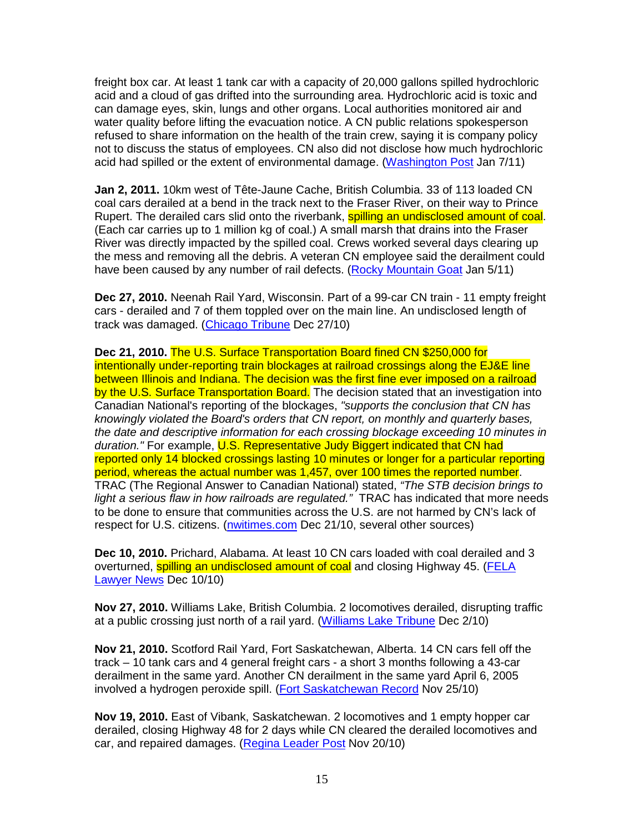freight box car. At least 1 tank car with a capacity of 20,000 gallons spilled hydrochloric acid and a cloud of gas drifted into the surrounding area. Hydrochloric acid is toxic and can damage eyes, skin, lungs and other organs. Local authorities monitored air and water quality before lifting the evacuation notice. A CN public relations spokesperson refused to share information on the health of the train crew, saying it is company policy not to discuss the status of employees. CN also did not disclose how much hydrochloric acid had spilled or the extent of environmental damage. (Washington Post Jan 7/11)

**Jan 2, 2011.** 10km west of Tête-Jaune Cache, British Columbia. 33 of 113 loaded CN coal cars derailed at a bend in the track next to the Fraser River, on their way to Prince Rupert. The derailed cars slid onto the riverbank, **spilling an undisclosed amount of coal**. (Each car carries up to 1 million kg of coal.) A small marsh that drains into the Fraser River was directly impacted by the spilled coal. Crews worked several days clearing up the mess and removing all the debris. A veteran CN employee said the derailment could have been caused by any number of rail defects. (Rocky Mountain Goat Jan 5/11)

**Dec 27, 2010.** Neenah Rail Yard, Wisconsin. Part of a 99-car CN train - 11 empty freight cars - derailed and 7 of them toppled over on the main line. An undisclosed length of track was damaged. (Chicago Tribune Dec 27/10)

**Dec 21, 2010.** The U.S. Surface Transportation Board fined CN \$250,000 for intentionally under-reporting train blockages at railroad crossings along the EJ&E line between Illinois and Indiana. The decision was the first fine ever imposed on a railroad by the U.S. Surface Transportation Board. The decision stated that an investigation into Canadian National's reporting of the blockages, "supports the conclusion that CN has knowingly violated the Board's orders that CN report, on monthly and quarterly bases, the date and descriptive information for each crossing blockage exceeding 10 minutes in duration." For example, U.S. Representative Judy Biggert indicated that CN had reported only 14 blocked crossings lasting 10 minutes or longer for a particular reporting period, whereas the actual number was 1,457, over 100 times the reported number. TRAC (The Regional Answer to Canadian National) stated, "The STB decision brings to light a serious flaw in how railroads are regulated." TRAC has indicated that more needs to be done to ensure that communities across the U.S. are not harmed by CN's lack of respect for U.S. citizens. (nwitimes.com Dec 21/10, several other sources)

**Dec 10, 2010.** Prichard, Alabama. At least 10 CN cars loaded with coal derailed and 3 overturned, spilling an undisclosed amount of coal and closing Highway 45. (FELA Lawyer News Dec 10/10)

**Nov 27, 2010.** Williams Lake, British Columbia. 2 locomotives derailed, disrupting traffic at a public crossing just north of a rail yard. (Williams Lake Tribune Dec 2/10)

**Nov 21, 2010.** Scotford Rail Yard, Fort Saskatchewan, Alberta. 14 CN cars fell off the track – 10 tank cars and 4 general freight cars - a short 3 months following a 43-car derailment in the same yard. Another CN derailment in the same yard April 6, 2005 involved a hydrogen peroxide spill. (Fort Saskatchewan Record Nov 25/10)

**Nov 19, 2010.** East of Vibank, Saskatchewan. 2 locomotives and 1 empty hopper car derailed, closing Highway 48 for 2 days while CN cleared the derailed locomotives and car, and repaired damages. (Regina Leader Post Nov 20/10)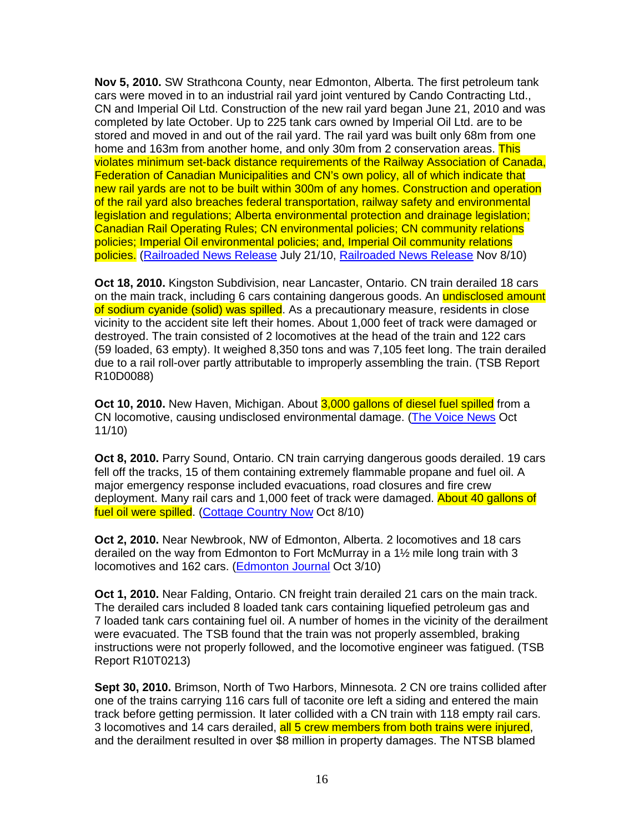**Nov 5, 2010.** SW Strathcona County, near Edmonton, Alberta. The first petroleum tank cars were moved in to an industrial rail yard joint ventured by Cando Contracting Ltd., CN and Imperial Oil Ltd. Construction of the new rail yard began June 21, 2010 and was completed by late October. Up to 225 tank cars owned by Imperial Oil Ltd. are to be stored and moved in and out of the rail yard. The rail yard was built only 68m from one home and 163m from another home, and only 30m from 2 conservation areas. This violates minimum set-back distance requirements of the Railway Association of Canada, Federation of Canadian Municipalities and CN's own policy, all of which indicate that new rail yards are not to be built within 300m of any homes. Construction and operation of the rail yard also breaches federal transportation, railway safety and environmental legislation and regulations; Alberta environmental protection and drainage legislation; Canadian Rail Operating Rules; CN environmental policies; CN community relations policies; Imperial Oil environmental policies; and, Imperial Oil community relations policies. (Railroaded News Release July 21/10, Railroaded News Release Nov 8/10)

**Oct 18, 2010.** Kingston Subdivision, near Lancaster, Ontario. CN train derailed 18 cars on the main track, including 6 cars containing dangerous goods. An undisclosed amount of sodium cyanide (solid) was spilled. As a precautionary measure, residents in close vicinity to the accident site left their homes. About 1,000 feet of track were damaged or destroyed. The train consisted of 2 locomotives at the head of the train and 122 cars (59 loaded, 63 empty). It weighed 8,350 tons and was 7,105 feet long. The train derailed due to a rail roll-over partly attributable to improperly assembling the train. (TSB Report R10D0088)

**Oct 10, 2010.** New Haven, Michigan. About 3,000 gallons of diesel fuel spilled from a CN locomotive, causing undisclosed environmental damage. (The Voice News Oct 11/10)

**Oct 8, 2010.** Parry Sound, Ontario. CN train carrying dangerous goods derailed. 19 cars fell off the tracks, 15 of them containing extremely flammable propane and fuel oil. A major emergency response included evacuations, road closures and fire crew deployment. Many rail cars and 1,000 feet of track were damaged. About 40 gallons of fuel oil were spilled. (Cottage Country Now Oct 8/10)

**Oct 2, 2010.** Near Newbrook, NW of Edmonton, Alberta. 2 locomotives and 18 cars derailed on the way from Edmonton to Fort McMurray in a 1½ mile long train with 3 locomotives and 162 cars. (**Edmonton Journal Oct 3/10**)

**Oct 1, 2010.** Near Falding, Ontario. CN freight train derailed 21 cars on the main track. The derailed cars included 8 loaded tank cars containing liquefied petroleum gas and 7 loaded tank cars containing fuel oil. A number of homes in the vicinity of the derailment were evacuated. The TSB found that the train was not properly assembled, braking instructions were not properly followed, and the locomotive engineer was fatigued. (TSB Report R10T0213)

**Sept 30, 2010.** Brimson, North of Two Harbors, Minnesota. 2 CN ore trains collided after one of the trains carrying 116 cars full of taconite ore left a siding and entered the main track before getting permission. It later collided with a CN train with 118 empty rail cars. 3 locomotives and 14 cars derailed, all 5 crew members from both trains were injured, and the derailment resulted in over \$8 million in property damages. The NTSB blamed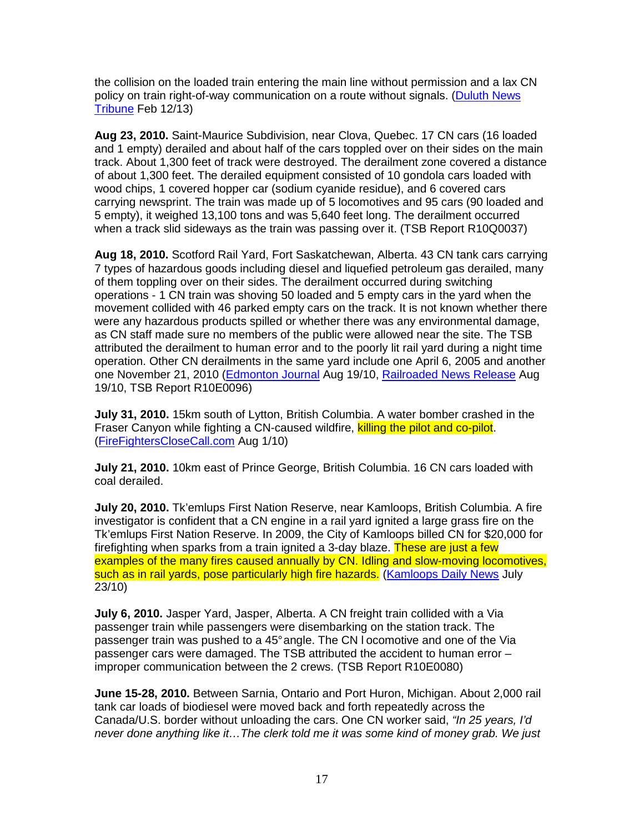the collision on the loaded train entering the main line without permission and a lax CN policy on train right-of-way communication on a route without signals. (Duluth News Tribune Feb 12/13)

**Aug 23, 2010.** Saint-Maurice Subdivision, near Clova, Quebec. 17 CN cars (16 loaded and 1 empty) derailed and about half of the cars toppled over on their sides on the main track. About 1,300 feet of track were destroyed. The derailment zone covered a distance of about 1,300 feet. The derailed equipment consisted of 10 gondola cars loaded with wood chips, 1 covered hopper car (sodium cyanide residue), and 6 covered cars carrying newsprint. The train was made up of 5 locomotives and 95 cars (90 loaded and 5 empty), it weighed 13,100 tons and was 5,640 feet long. The derailment occurred when a track slid sideways as the train was passing over it. (TSB Report R10Q0037)

**Aug 18, 2010.** Scotford Rail Yard, Fort Saskatchewan, Alberta. 43 CN tank cars carrying 7 types of hazardous goods including diesel and liquefied petroleum gas derailed, many of them toppling over on their sides. The derailment occurred during switching operations - 1 CN train was shoving 50 loaded and 5 empty cars in the yard when the movement collided with 46 parked empty cars on the track. It is not known whether there were any hazardous products spilled or whether there was any environmental damage, as CN staff made sure no members of the public were allowed near the site. The TSB attributed the derailment to human error and to the poorly lit rail yard during a night time operation. Other CN derailments in the same yard include one April 6, 2005 and another one November 21, 2010 (Edmonton Journal Aug 19/10, Railroaded News Release Aug 19/10, TSB Report R10E0096)

**July 31, 2010.** 15km south of Lytton, British Columbia. A water bomber crashed in the Fraser Canyon while fighting a CN-caused wildfire, killing the pilot and co-pilot. (FireFightersCloseCall.com Aug 1/10)

**July 21, 2010.** 10km east of Prince George, British Columbia. 16 CN cars loaded with coal derailed.

**July 20, 2010.** Tk'emlups First Nation Reserve, near Kamloops, British Columbia. A fire investigator is confident that a CN engine in a rail yard ignited a large grass fire on the Tk'emlups First Nation Reserve. In 2009, the City of Kamloops billed CN for \$20,000 for firefighting when sparks from a train ignited a 3-day blaze. These are just a few examples of the many fires caused annually by CN. Idling and slow-moving locomotives. such as in rail yards, pose particularly high fire hazards. (Kamloops Daily News July 23/10)

**July 6, 2010.** Jasper Yard, Jasper, Alberta. A CN freight train collided with a Via passenger train while passengers were disembarking on the station track. The passenger train was pushed to a 45° angle. The CN l ocomotive and one of the Via passenger cars were damaged. The TSB attributed the accident to human error – improper communication between the 2 crews. (TSB Report R10E0080)

**June 15-28, 2010.** Between Sarnia, Ontario and Port Huron, Michigan. About 2,000 rail tank car loads of biodiesel were moved back and forth repeatedly across the Canada/U.S. border without unloading the cars. One CN worker said, "In 25 years, I'd never done anything like it…The clerk told me it was some kind of money grab. We just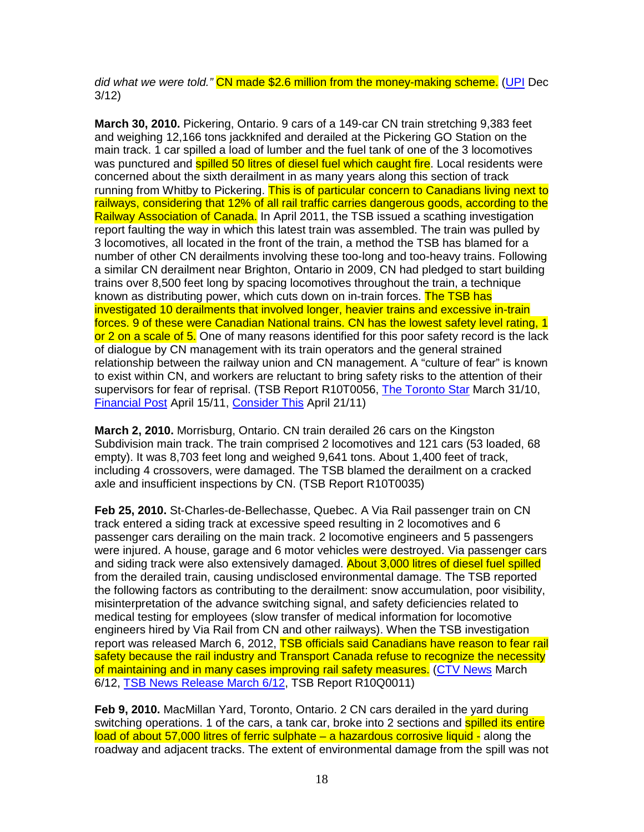did what we were told." CN made \$2.6 million from the money-making scheme. (UPI Dec 3/12)

**March 30, 2010.** Pickering, Ontario. 9 cars of a 149-car CN train stretching 9,383 feet and weighing 12,166 tons jackknifed and derailed at the Pickering GO Station on the main track. 1 car spilled a load of lumber and the fuel tank of one of the 3 locomotives was punctured and **spilled 50 litres of diesel fuel which caught fire**. Local residents were concerned about the sixth derailment in as many years along this section of track running from Whitby to Pickering. This is of particular concern to Canadians living next to railways, considering that 12% of all rail traffic carries dangerous goods, according to the Railway Association of Canada. In April 2011, the TSB issued a scathing investigation report faulting the way in which this latest train was assembled. The train was pulled by 3 locomotives, all located in the front of the train, a method the TSB has blamed for a number of other CN derailments involving these too-long and too-heavy trains. Following a similar CN derailment near Brighton, Ontario in 2009, CN had pledged to start building trains over 8,500 feet long by spacing locomotives throughout the train, a technique known as distributing power, which cuts down on in-train forces. The TSB has investigated 10 derailments that involved longer, heavier trains and excessive in-train forces. 9 of these were Canadian National trains. CN has the lowest safety level rating, 1 or 2 on a scale of 5. One of many reasons identified for this poor safety record is the lack of dialogue by CN management with its train operators and the general strained relationship between the railway union and CN management. A "culture of fear" is known to exist within CN, and workers are reluctant to bring safety risks to the attention of their supervisors for fear of reprisal. (TSB Report R10T0056, The Toronto Star March 31/10, Financial Post April 15/11, Consider This April 21/11)

**March 2, 2010.** Morrisburg, Ontario. CN train derailed 26 cars on the Kingston Subdivision main track. The train comprised 2 locomotives and 121 cars (53 loaded, 68 empty). It was 8,703 feet long and weighed 9,641 tons. About 1,400 feet of track, including 4 crossovers, were damaged. The TSB blamed the derailment on a cracked axle and insufficient inspections by CN. (TSB Report R10T0035)

**Feb 25, 2010.** St-Charles-de-Bellechasse, Quebec. A Via Rail passenger train on CN track entered a siding track at excessive speed resulting in 2 locomotives and 6 passenger cars derailing on the main track. 2 locomotive engineers and 5 passengers were injured. A house, garage and 6 motor vehicles were destroyed. Via passenger cars and siding track were also extensively damaged. About 3,000 litres of diesel fuel spilled from the derailed train, causing undisclosed environmental damage. The TSB reported the following factors as contributing to the derailment: snow accumulation, poor visibility, misinterpretation of the advance switching signal, and safety deficiencies related to medical testing for employees (slow transfer of medical information for locomotive engineers hired by Via Rail from CN and other railways). When the TSB investigation report was released March 6, 2012, TSB officials said Canadians have reason to fear rail safety because the rail industry and Transport Canada refuse to recognize the necessity of maintaining and in many cases improving rail safety measures. (CTV News March 6/12, TSB News Release March 6/12, TSB Report R10Q0011)

**Feb 9, 2010.** MacMillan Yard, Toronto, Ontario. 2 CN cars derailed in the yard during switching operations. 1 of the cars, a tank car, broke into 2 sections and spilled its entire load of about 57,000 litres of ferric sulphate – a hazardous corrosive liquid - along the roadway and adjacent tracks. The extent of environmental damage from the spill was not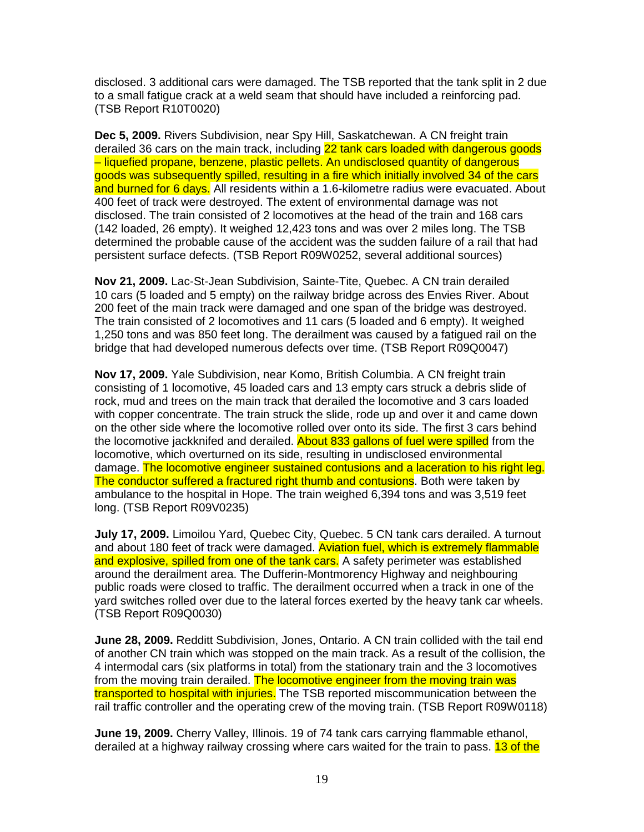disclosed. 3 additional cars were damaged. The TSB reported that the tank split in 2 due to a small fatigue crack at a weld seam that should have included a reinforcing pad. (TSB Report R10T0020)

**Dec 5, 2009.** Rivers Subdivision, near Spy Hill, Saskatchewan. A CN freight train derailed 36 cars on the main track, including 22 tank cars loaded with dangerous goods – liquefied propane, benzene, plastic pellets. An undisclosed quantity of dangerous goods was subsequently spilled, resulting in a fire which initially involved 34 of the cars and burned for 6 days. All residents within a 1.6-kilometre radius were evacuated. About 400 feet of track were destroyed. The extent of environmental damage was not disclosed. The train consisted of 2 locomotives at the head of the train and 168 cars (142 loaded, 26 empty). It weighed 12,423 tons and was over 2 miles long. The TSB determined the probable cause of the accident was the sudden failure of a rail that had persistent surface defects. (TSB Report R09W0252, several additional sources)

**Nov 21, 2009.** Lac-St-Jean Subdivision, Sainte-Tite, Quebec. A CN train derailed 10 cars (5 loaded and 5 empty) on the railway bridge across des Envies River. About 200 feet of the main track were damaged and one span of the bridge was destroyed. The train consisted of 2 locomotives and 11 cars (5 loaded and 6 empty). It weighed 1,250 tons and was 850 feet long. The derailment was caused by a fatigued rail on the bridge that had developed numerous defects over time. (TSB Report R09Q0047)

**Nov 17, 2009.** Yale Subdivision, near Komo, British Columbia. A CN freight train consisting of 1 locomotive, 45 loaded cars and 13 empty cars struck a debris slide of rock, mud and trees on the main track that derailed the locomotive and 3 cars loaded with copper concentrate. The train struck the slide, rode up and over it and came down on the other side where the locomotive rolled over onto its side. The first 3 cars behind the locomotive jackknifed and derailed. About 833 gallons of fuel were spilled from the locomotive, which overturned on its side, resulting in undisclosed environmental damage. The locomotive engineer sustained contusions and a laceration to his right leg. The conductor suffered a fractured right thumb and contusions. Both were taken by ambulance to the hospital in Hope. The train weighed 6,394 tons and was 3,519 feet long. (TSB Report R09V0235)

**July 17, 2009.** Limoilou Yard, Quebec City, Quebec. 5 CN tank cars derailed. A turnout and about 180 feet of track were damaged. Aviation fuel, which is extremely flammable and explosive, spilled from one of the tank cars. A safety perimeter was established around the derailment area. The Dufferin-Montmorency Highway and neighbouring public roads were closed to traffic. The derailment occurred when a track in one of the yard switches rolled over due to the lateral forces exerted by the heavy tank car wheels. (TSB Report R09Q0030)

**June 28, 2009.** Redditt Subdivision, Jones, Ontario. A CN train collided with the tail end of another CN train which was stopped on the main track. As a result of the collision, the 4 intermodal cars (six platforms in total) from the stationary train and the 3 locomotives from the moving train derailed. The locomotive engineer from the moving train was transported to hospital with injuries. The TSB reported miscommunication between the rail traffic controller and the operating crew of the moving train. (TSB Report R09W0118)

**June 19, 2009.** Cherry Valley, Illinois. 19 of 74 tank cars carrying flammable ethanol, derailed at a highway railway crossing where cars waited for the train to pass. 13 of the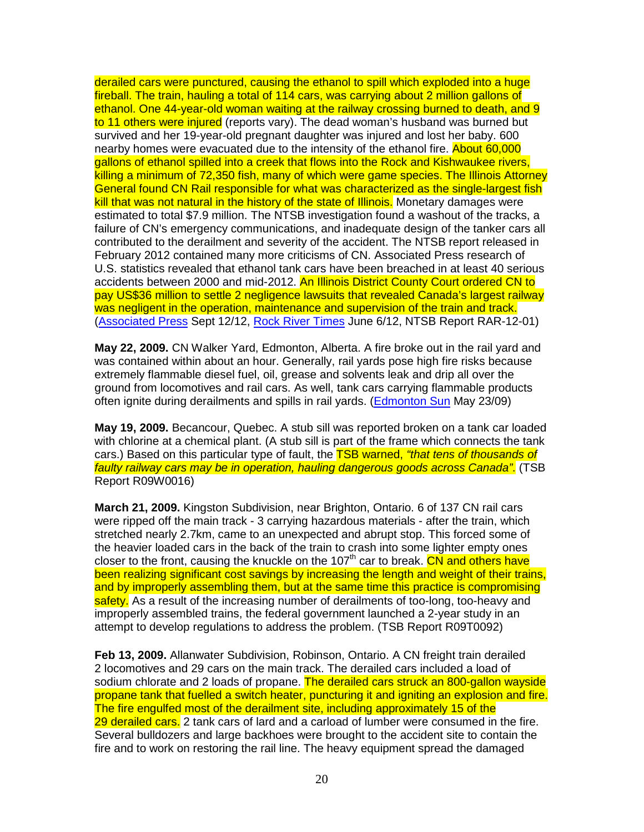derailed cars were punctured, causing the ethanol to spill which exploded into a huge fireball. The train, hauling a total of 114 cars, was carrying about 2 million gallons of ethanol. One 44-year-old woman waiting at the railway crossing burned to death, and 9 to 11 others were injured (reports vary). The dead woman's husband was burned but survived and her 19-year-old pregnant daughter was injured and lost her baby. 600 nearby homes were evacuated due to the intensity of the ethanol fire. About 60,000 gallons of ethanol spilled into a creek that flows into the Rock and Kishwaukee rivers, killing a minimum of 72,350 fish, many of which were game species. The Illinois Attorney General found CN Rail responsible for what was characterized as the single-largest fish kill that was not natural in the history of the state of Illinois. Monetary damages were estimated to total \$7.9 million. The NTSB investigation found a washout of the tracks, a failure of CN's emergency communications, and inadequate design of the tanker cars all contributed to the derailment and severity of the accident. The NTSB report released in February 2012 contained many more criticisms of CN. Associated Press research of U.S. statistics revealed that ethanol tank cars have been breached in at least 40 serious accidents between 2000 and mid-2012. An Illinois District County Court ordered CN to pay US\$36 million to settle 2 negligence lawsuits that revealed Canada's largest railway was negligent in the operation, maintenance and supervision of the train and track. (Associated Press Sept 12/12, Rock River Times June 6/12, NTSB Report RAR-12-01)

**May 22, 2009.** CN Walker Yard, Edmonton, Alberta. A fire broke out in the rail yard and was contained within about an hour. Generally, rail yards pose high fire risks because extremely flammable diesel fuel, oil, grease and solvents leak and drip all over the ground from locomotives and rail cars. As well, tank cars carrying flammable products often ignite during derailments and spills in rail yards. (Edmonton Sun May 23/09)

**May 19, 2009.** Becancour, Quebec. A stub sill was reported broken on a tank car loaded with chlorine at a chemical plant. (A stub sill is part of the frame which connects the tank cars.) Based on this particular type of fault, the TSB warned, "that tens of thousands of faulty railway cars may be in operation, hauling dangerous goods across Canada". (TSB Report R09W0016)

**March 21, 2009.** Kingston Subdivision, near Brighton, Ontario. 6 of 137 CN rail cars were ripped off the main track - 3 carrying hazardous materials - after the train, which stretched nearly 2.7km, came to an unexpected and abrupt stop. This forced some of the heavier loaded cars in the back of the train to crash into some lighter empty ones closer to the front, causing the knuckle on the 107<sup>th</sup> car to break.  $\overrightarrow{CN}$  and others have been realizing significant cost savings by increasing the length and weight of their trains, and by improperly assembling them, but at the same time this practice is compromising safety. As a result of the increasing number of derailments of too-long, too-heavy and improperly assembled trains, the federal government launched a 2-year study in an attempt to develop regulations to address the problem. (TSB Report R09T0092)

**Feb 13, 2009.** Allanwater Subdivision, Robinson, Ontario. A CN freight train derailed 2 locomotives and 29 cars on the main track. The derailed cars included a load of sodium chlorate and 2 loads of propane. The derailed cars struck an 800-gallon wayside propane tank that fuelled a switch heater, puncturing it and igniting an explosion and fire. The fire engulfed most of the derailment site, including approximately 15 of the 29 derailed cars. 2 tank cars of lard and a carload of lumber were consumed in the fire. Several bulldozers and large backhoes were brought to the accident site to contain the fire and to work on restoring the rail line. The heavy equipment spread the damaged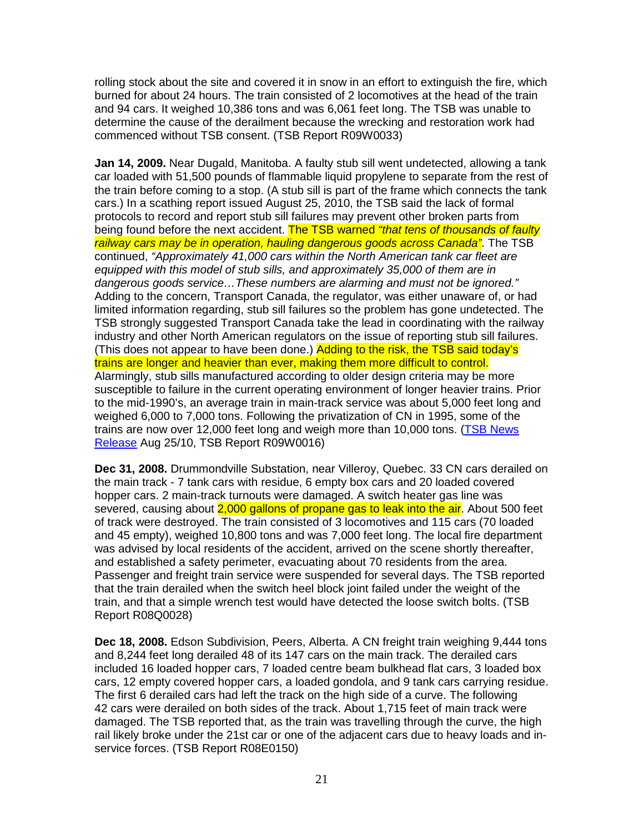rolling stock about the site and covered it in snow in an effort to extinguish the fire, which burned for about 24 hours. The train consisted of 2 locomotives at the head of the train and 94 cars. It weighed 10,386 tons and was 6,061 feet long. The TSB was unable to determine the cause of the derailment because the wrecking and restoration work had commenced without TSB consent. (TSB Report R09W0033)

**Jan 14, 2009.** Near Dugald, Manitoba. A faulty stub sill went undetected, allowing a tank car loaded with 51,500 pounds of flammable liquid propylene to separate from the rest of the train before coming to a stop. (A stub sill is part of the frame which connects the tank cars.) In a scathing report issued August 25, 2010, the TSB said the lack of formal protocols to record and report stub sill failures may prevent other broken parts from being found before the next accident. The TSB warned "that tens of thousands of faulty railway cars may be in operation, hauling dangerous goods across Canada". The TSB continued, "Approximately 41,000 cars within the North American tank car fleet are equipped with this model of stub sills, and approximately 35,000 of them are in dangerous goods service…These numbers are alarming and must not be ignored." Adding to the concern, Transport Canada, the regulator, was either unaware of, or had limited information regarding, stub sill failures so the problem has gone undetected. The TSB strongly suggested Transport Canada take the lead in coordinating with the railway industry and other North American regulators on the issue of reporting stub sill failures. (This does not appear to have been done.) Adding to the risk, the TSB said today's trains are longer and heavier than ever, making them more difficult to control. Alarmingly, stub sills manufactured according to older design criteria may be more susceptible to failure in the current operating environment of longer heavier trains. Prior to the mid-1990's, an average train in main-track service was about 5,000 feet long and weighed 6,000 to 7,000 tons. Following the privatization of CN in 1995, some of the trains are now over 12,000 feet long and weigh more than 10,000 tons. (TSB News Release Aug 25/10, TSB Report R09W0016)

**Dec 31, 2008.** Drummondville Substation, near Villeroy, Quebec. 33 CN cars derailed on the main track - 7 tank cars with residue, 6 empty box cars and 20 loaded covered hopper cars. 2 main-track turnouts were damaged. A switch heater gas line was severed, causing about 2,000 gallons of propane gas to leak into the air. About 500 feet of track were destroyed. The train consisted of 3 locomotives and 115 cars (70 loaded and 45 empty), weighed 10,800 tons and was 7,000 feet long. The local fire department was advised by local residents of the accident, arrived on the scene shortly thereafter, and established a safety perimeter, evacuating about 70 residents from the area. Passenger and freight train service were suspended for several days. The TSB reported that the train derailed when the switch heel block joint failed under the weight of the train, and that a simple wrench test would have detected the loose switch bolts. (TSB Report R08Q0028)

**Dec 18, 2008.** Edson Subdivision, Peers, Alberta. A CN freight train weighing 9,444 tons and 8,244 feet long derailed 48 of its 147 cars on the main track. The derailed cars included 16 loaded hopper cars, 7 loaded centre beam bulkhead flat cars, 3 loaded box cars, 12 empty covered hopper cars, a loaded gondola, and 9 tank cars carrying residue. The first 6 derailed cars had left the track on the high side of a curve. The following 42 cars were derailed on both sides of the track. About 1,715 feet of main track were damaged. The TSB reported that, as the train was travelling through the curve, the high rail likely broke under the 21st car or one of the adjacent cars due to heavy loads and inservice forces. (TSB Report R08E0150)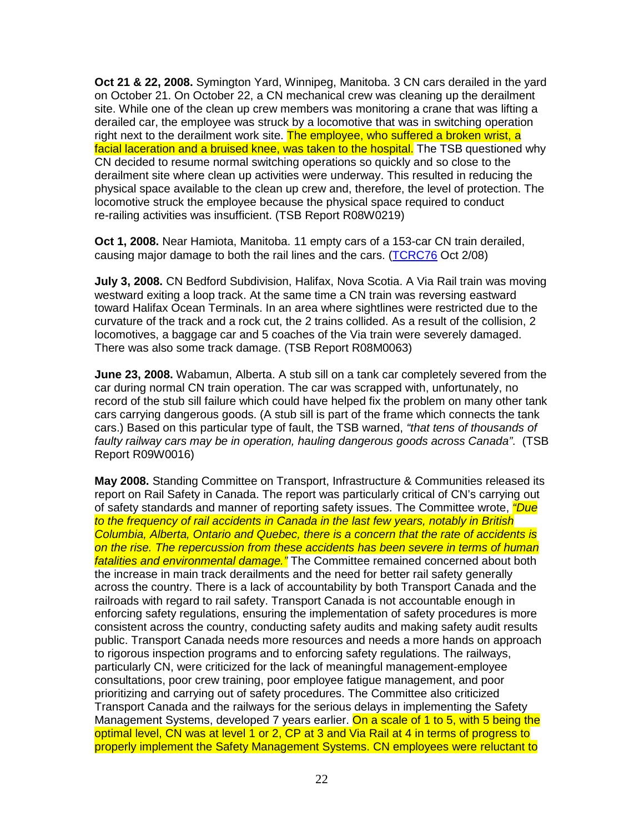**Oct 21 & 22, 2008.** Symington Yard, Winnipeg, Manitoba. 3 CN cars derailed in the yard on October 21. On October 22, a CN mechanical crew was cleaning up the derailment site. While one of the clean up crew members was monitoring a crane that was lifting a derailed car, the employee was struck by a locomotive that was in switching operation right next to the derailment work site. The employee, who suffered a broken wrist, a facial laceration and a bruised knee, was taken to the hospital. The TSB questioned why CN decided to resume normal switching operations so quickly and so close to the derailment site where clean up activities were underway. This resulted in reducing the physical space available to the clean up crew and, therefore, the level of protection. The locomotive struck the employee because the physical space required to conduct re-railing activities was insufficient. (TSB Report R08W0219)

**Oct 1, 2008.** Near Hamiota, Manitoba. 11 empty cars of a 153-car CN train derailed, causing major damage to both the rail lines and the cars. (TCRC76 Oct 2/08)

**July 3, 2008.** CN Bedford Subdivision, Halifax, Nova Scotia. A Via Rail train was moving westward exiting a loop track. At the same time a CN train was reversing eastward toward Halifax Ocean Terminals. In an area where sightlines were restricted due to the curvature of the track and a rock cut, the 2 trains collided. As a result of the collision, 2 locomotives, a baggage car and 5 coaches of the Via train were severely damaged. There was also some track damage. (TSB Report R08M0063)

**June 23, 2008.** Wabamun, Alberta. A stub sill on a tank car completely severed from the car during normal CN train operation. The car was scrapped with, unfortunately, no record of the stub sill failure which could have helped fix the problem on many other tank cars carrying dangerous goods. (A stub sill is part of the frame which connects the tank cars.) Based on this particular type of fault, the TSB warned, "that tens of thousands of faulty railway cars may be in operation, hauling dangerous goods across Canada". (TSB Report R09W0016)

**May 2008.** Standing Committee on Transport, Infrastructure & Communities released its report on Rail Safety in Canada. The report was particularly critical of CN's carrying out of safety standards and manner of reporting safety issues. The Committee wrote, *"Due* to the frequency of rail accidents in Canada in the last few years, notably in British Columbia, Alberta, Ontario and Quebec, there is a concern that the rate of accidents is on the rise. The repercussion from these accidents has been severe in terms of human fatalities and environmental damage." The Committee remained concerned about both the increase in main track derailments and the need for better rail safety generally across the country. There is a lack of accountability by both Transport Canada and the railroads with regard to rail safety. Transport Canada is not accountable enough in enforcing safety regulations, ensuring the implementation of safety procedures is more consistent across the country, conducting safety audits and making safety audit results public. Transport Canada needs more resources and needs a more hands on approach to rigorous inspection programs and to enforcing safety regulations. The railways, particularly CN, were criticized for the lack of meaningful management-employee consultations, poor crew training, poor employee fatigue management, and poor prioritizing and carrying out of safety procedures. The Committee also criticized Transport Canada and the railways for the serious delays in implementing the Safety Management Systems, developed 7 years earlier. On a scale of 1 to 5, with 5 being the optimal level, CN was at level 1 or 2, CP at 3 and Via Rail at 4 in terms of progress to properly implement the Safety Management Systems. CN employees were reluctant to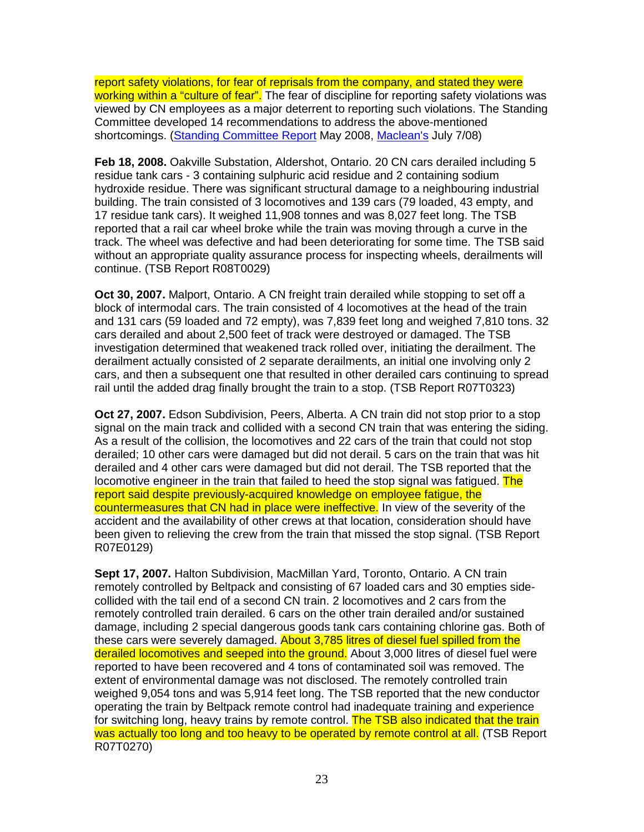report safety violations, for fear of reprisals from the company, and stated they were working within a "culture of fear". The fear of discipline for reporting safety violations was viewed by CN employees as a major deterrent to reporting such violations. The Standing Committee developed 14 recommendations to address the above-mentioned shortcomings. (Standing Committee Report May 2008, Maclean's July 7/08)

**Feb 18, 2008.** Oakville Substation, Aldershot, Ontario. 20 CN cars derailed including 5 residue tank cars - 3 containing sulphuric acid residue and 2 containing sodium hydroxide residue. There was significant structural damage to a neighbouring industrial building. The train consisted of 3 locomotives and 139 cars (79 loaded, 43 empty, and 17 residue tank cars). It weighed 11,908 tonnes and was 8,027 feet long. The TSB reported that a rail car wheel broke while the train was moving through a curve in the track. The wheel was defective and had been deteriorating for some time. The TSB said without an appropriate quality assurance process for inspecting wheels, derailments will continue. (TSB Report R08T0029)

**Oct 30, 2007.** Malport, Ontario. A CN freight train derailed while stopping to set off a block of intermodal cars. The train consisted of 4 locomotives at the head of the train and 131 cars (59 loaded and 72 empty), was 7,839 feet long and weighed 7,810 tons. 32 cars derailed and about 2,500 feet of track were destroyed or damaged. The TSB investigation determined that weakened track rolled over, initiating the derailment. The derailment actually consisted of 2 separate derailments, an initial one involving only 2 cars, and then a subsequent one that resulted in other derailed cars continuing to spread rail until the added drag finally brought the train to a stop. (TSB Report R07T0323)

**Oct 27, 2007.** Edson Subdivision, Peers, Alberta. A CN train did not stop prior to a stop signal on the main track and collided with a second CN train that was entering the siding. As a result of the collision, the locomotives and 22 cars of the train that could not stop derailed; 10 other cars were damaged but did not derail. 5 cars on the train that was hit derailed and 4 other cars were damaged but did not derail. The TSB reported that the locomotive engineer in the train that failed to heed the stop signal was fatigued. The report said despite previously-acquired knowledge on employee fatigue, the countermeasures that CN had in place were ineffective. In view of the severity of the accident and the availability of other crews at that location, consideration should have been given to relieving the crew from the train that missed the stop signal. (TSB Report R07E0129)

**Sept 17, 2007.** Halton Subdivision, MacMillan Yard, Toronto, Ontario. A CN train remotely controlled by Beltpack and consisting of 67 loaded cars and 30 empties sidecollided with the tail end of a second CN train. 2 locomotives and 2 cars from the remotely controlled train derailed. 6 cars on the other train derailed and/or sustained damage, including 2 special dangerous goods tank cars containing chlorine gas. Both of these cars were severely damaged. About 3,785 litres of diesel fuel spilled from the derailed locomotives and seeped into the ground. About 3,000 litres of diesel fuel were reported to have been recovered and 4 tons of contaminated soil was removed. The extent of environmental damage was not disclosed. The remotely controlled train weighed 9,054 tons and was 5,914 feet long. The TSB reported that the new conductor operating the train by Beltpack remote control had inadequate training and experience for switching long, heavy trains by remote control. The TSB also indicated that the train was actually too long and too heavy to be operated by remote control at all. (TSB Report R07T0270)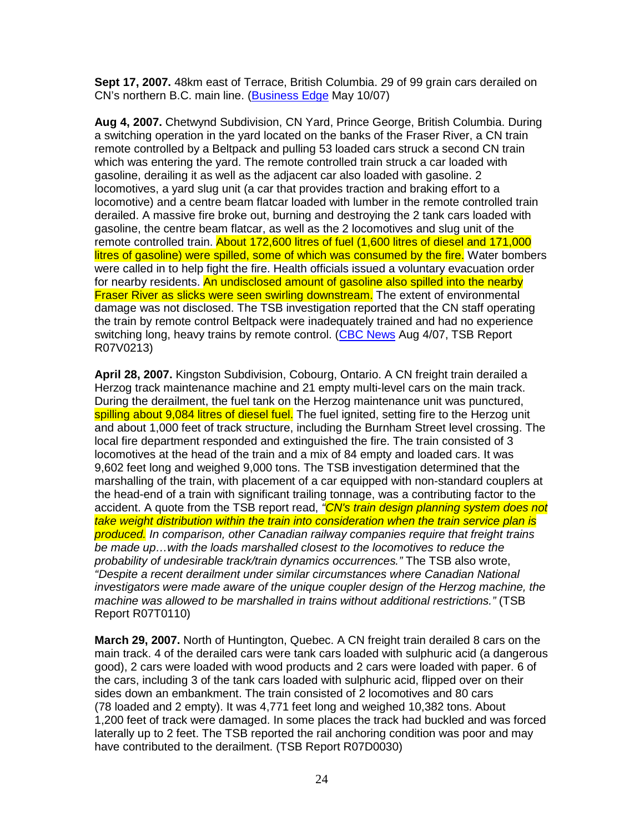**Sept 17, 2007.** 48km east of Terrace, British Columbia. 29 of 99 grain cars derailed on CN's northern B.C. main line. (Business Edge May 10/07)

**Aug 4, 2007.** Chetwynd Subdivision, CN Yard, Prince George, British Columbia. During a switching operation in the yard located on the banks of the Fraser River, a CN train remote controlled by a Beltpack and pulling 53 loaded cars struck a second CN train which was entering the yard. The remote controlled train struck a car loaded with gasoline, derailing it as well as the adjacent car also loaded with gasoline. 2 locomotives, a yard slug unit (a car that provides traction and braking effort to a locomotive) and a centre beam flatcar loaded with lumber in the remote controlled train derailed. A massive fire broke out, burning and destroying the 2 tank cars loaded with gasoline, the centre beam flatcar, as well as the 2 locomotives and slug unit of the remote controlled train. About 172,600 litres of fuel (1,600 litres of diesel and 171,000 litres of gasoline) were spilled, some of which was consumed by the fire. Water bombers were called in to help fight the fire. Health officials issued a voluntary evacuation order for nearby residents. An undisclosed amount of gasoline also spilled into the nearby **Fraser River as slicks were seen swirling downstream.** The extent of environmental damage was not disclosed. The TSB investigation reported that the CN staff operating the train by remote control Beltpack were inadequately trained and had no experience switching long, heavy trains by remote control. (CBC News Aug 4/07, TSB Report R07V0213)

**April 28, 2007.** Kingston Subdivision, Cobourg, Ontario. A CN freight train derailed a Herzog track maintenance machine and 21 empty multi-level cars on the main track. During the derailment, the fuel tank on the Herzog maintenance unit was punctured, spilling about 9,084 litres of diesel fuel. The fuel ignited, setting fire to the Herzog unit and about 1,000 feet of track structure, including the Burnham Street level crossing. The local fire department responded and extinguished the fire. The train consisted of 3 locomotives at the head of the train and a mix of 84 empty and loaded cars. It was 9,602 feet long and weighed 9,000 tons. The TSB investigation determined that the marshalling of the train, with placement of a car equipped with non-standard couplers at the head-end of a train with significant trailing tonnage, was a contributing factor to the accident. A quote from the TSB report read, "CN's train design planning system does not take weight distribution within the train into consideration when the train service plan is produced. In comparison, other Canadian railway companies require that freight trains be made up…with the loads marshalled closest to the locomotives to reduce the probability of undesirable track/train dynamics occurrences." The TSB also wrote, "Despite a recent derailment under similar circumstances where Canadian National investigators were made aware of the unique coupler design of the Herzog machine, the machine was allowed to be marshalled in trains without additional restrictions." (TSB Report R07T0110)

**March 29, 2007.** North of Huntington, Quebec. A CN freight train derailed 8 cars on the main track. 4 of the derailed cars were tank cars loaded with sulphuric acid (a dangerous good), 2 cars were loaded with wood products and 2 cars were loaded with paper. 6 of the cars, including 3 of the tank cars loaded with sulphuric acid, flipped over on their sides down an embankment. The train consisted of 2 locomotives and 80 cars (78 loaded and 2 empty). It was 4,771 feet long and weighed 10,382 tons. About 1,200 feet of track were damaged. In some places the track had buckled and was forced laterally up to 2 feet. The TSB reported the rail anchoring condition was poor and may have contributed to the derailment. (TSB Report R07D0030)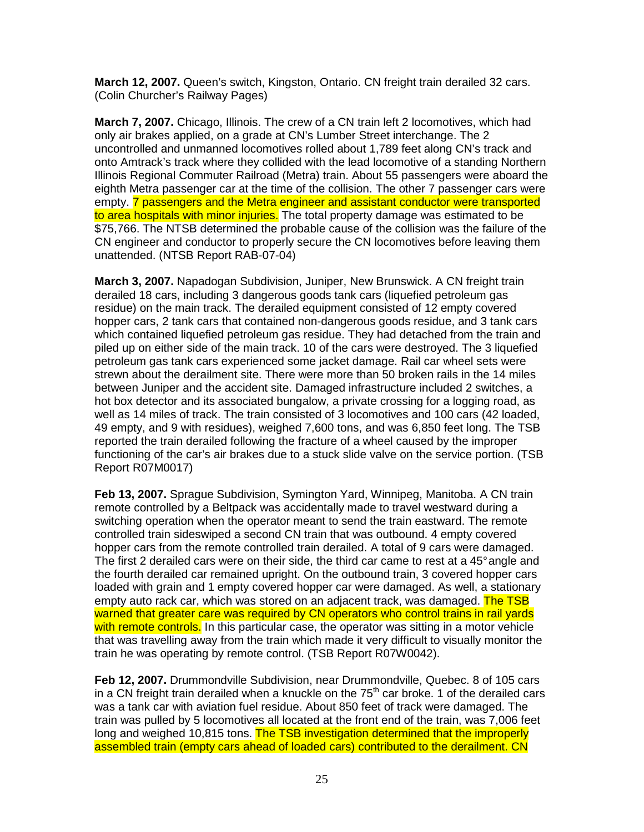**March 12, 2007.** Queen's switch, Kingston, Ontario. CN freight train derailed 32 cars. (Colin Churcher's Railway Pages)

**March 7, 2007.** Chicago, Illinois. The crew of a CN train left 2 locomotives, which had only air brakes applied, on a grade at CN's Lumber Street interchange. The 2 uncontrolled and unmanned locomotives rolled about 1,789 feet along CN's track and onto Amtrack's track where they collided with the lead locomotive of a standing Northern Illinois Regional Commuter Railroad (Metra) train. About 55 passengers were aboard the eighth Metra passenger car at the time of the collision. The other 7 passenger cars were empty. 7 passengers and the Metra engineer and assistant conductor were transported to area hospitals with minor injuries. The total property damage was estimated to be \$75,766. The NTSB determined the probable cause of the collision was the failure of the CN engineer and conductor to properly secure the CN locomotives before leaving them unattended. (NTSB Report RAB-07-04)

**March 3, 2007.** Napadogan Subdivision, Juniper, New Brunswick. A CN freight train derailed 18 cars, including 3 dangerous goods tank cars (liquefied petroleum gas residue) on the main track. The derailed equipment consisted of 12 empty covered hopper cars, 2 tank cars that contained non-dangerous goods residue, and 3 tank cars which contained liquefied petroleum gas residue. They had detached from the train and piled up on either side of the main track. 10 of the cars were destroyed. The 3 liquefied petroleum gas tank cars experienced some jacket damage. Rail car wheel sets were strewn about the derailment site. There were more than 50 broken rails in the 14 miles between Juniper and the accident site. Damaged infrastructure included 2 switches, a hot box detector and its associated bungalow, a private crossing for a logging road, as well as 14 miles of track. The train consisted of 3 locomotives and 100 cars (42 loaded, 49 empty, and 9 with residues), weighed 7,600 tons, and was 6,850 feet long. The TSB reported the train derailed following the fracture of a wheel caused by the improper functioning of the car's air brakes due to a stuck slide valve on the service portion. (TSB Report R07M0017)

**Feb 13, 2007.** Sprague Subdivision, Symington Yard, Winnipeg, Manitoba. A CN train remote controlled by a Beltpack was accidentally made to travel westward during a switching operation when the operator meant to send the train eastward. The remote controlled train sideswiped a second CN train that was outbound. 4 empty covered hopper cars from the remote controlled train derailed. A total of 9 cars were damaged. The first 2 derailed cars were on their side, the third car came to rest at a 45° angle and the fourth derailed car remained upright. On the outbound train, 3 covered hopper cars loaded with grain and 1 empty covered hopper car were damaged. As well, a stationary empty auto rack car, which was stored on an adiacent track, was damaged. The TSB warned that greater care was required by CN operators who control trains in rail yards with remote controls. In this particular case, the operator was sitting in a motor vehicle that was travelling away from the train which made it very difficult to visually monitor the train he was operating by remote control. (TSB Report R07W0042).

**Feb 12, 2007.** Drummondville Subdivision, near Drummondville, Quebec. 8 of 105 cars in a CN freight train derailed when a knuckle on the  $75<sup>th</sup>$  car broke. 1 of the derailed cars was a tank car with aviation fuel residue. About 850 feet of track were damaged. The train was pulled by 5 locomotives all located at the front end of the train, was 7,006 feet long and weighed 10,815 tons. The TSB investigation determined that the improperly assembled train (empty cars ahead of loaded cars) contributed to the derailment. CN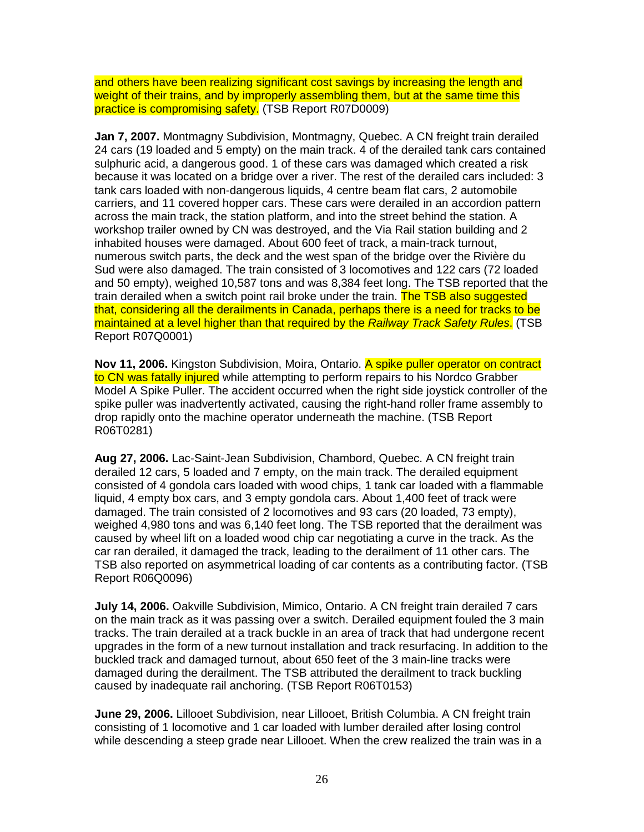and others have been realizing significant cost savings by increasing the length and weight of their trains, and by improperly assembling them, but at the same time this practice is compromising safety. (TSB Report R07D0009)

**Jan 7, 2007.** Montmagny Subdivision, Montmagny, Quebec. A CN freight train derailed 24 cars (19 loaded and 5 empty) on the main track. 4 of the derailed tank cars contained sulphuric acid, a dangerous good. 1 of these cars was damaged which created a risk because it was located on a bridge over a river. The rest of the derailed cars included: 3 tank cars loaded with non-dangerous liquids, 4 centre beam flat cars, 2 automobile carriers, and 11 covered hopper cars. These cars were derailed in an accordion pattern across the main track, the station platform, and into the street behind the station. A workshop trailer owned by CN was destroyed, and the Via Rail station building and 2 inhabited houses were damaged. About 600 feet of track, a main-track turnout, numerous switch parts, the deck and the west span of the bridge over the Rivière du Sud were also damaged. The train consisted of 3 locomotives and 122 cars (72 loaded and 50 empty), weighed 10,587 tons and was 8,384 feet long. The TSB reported that the train derailed when a switch point rail broke under the train. The TSB also suggested that, considering all the derailments in Canada, perhaps there is a need for tracks to be maintained at a level higher than that required by the Railway Track Safety Rules. (TSB Report R07Q0001)

**Nov 11, 2006.** Kingston Subdivision, Moira, Ontario. A spike puller operator on contract to CN was fatally injured while attempting to perform repairs to his Nordco Grabber Model A Spike Puller. The accident occurred when the right side joystick controller of the spike puller was inadvertently activated, causing the right-hand roller frame assembly to drop rapidly onto the machine operator underneath the machine. (TSB Report R06T0281)

**Aug 27, 2006.** Lac-Saint-Jean Subdivision, Chambord, Quebec. A CN freight train derailed 12 cars, 5 loaded and 7 empty, on the main track. The derailed equipment consisted of 4 gondola cars loaded with wood chips, 1 tank car loaded with a flammable liquid, 4 empty box cars, and 3 empty gondola cars. About 1,400 feet of track were damaged. The train consisted of 2 locomotives and 93 cars (20 loaded, 73 empty), weighed 4,980 tons and was 6,140 feet long. The TSB reported that the derailment was caused by wheel lift on a loaded wood chip car negotiating a curve in the track. As the car ran derailed, it damaged the track, leading to the derailment of 11 other cars. The TSB also reported on asymmetrical loading of car contents as a contributing factor. (TSB Report R06Q0096)

**July 14, 2006.** Oakville Subdivision, Mimico, Ontario. A CN freight train derailed 7 cars on the main track as it was passing over a switch. Derailed equipment fouled the 3 main tracks. The train derailed at a track buckle in an area of track that had undergone recent upgrades in the form of a new turnout installation and track resurfacing. In addition to the buckled track and damaged turnout, about 650 feet of the 3 main-line tracks were damaged during the derailment. The TSB attributed the derailment to track buckling caused by inadequate rail anchoring. (TSB Report R06T0153)

**June 29, 2006.** Lillooet Subdivision, near Lillooet, British Columbia. A CN freight train consisting of 1 locomotive and 1 car loaded with lumber derailed after losing control while descending a steep grade near Lillooet. When the crew realized the train was in a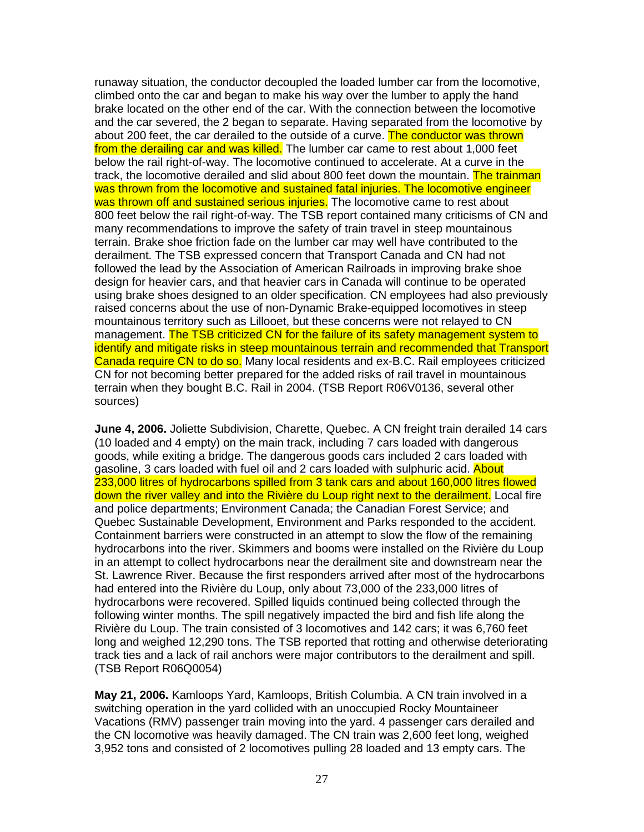runaway situation, the conductor decoupled the loaded lumber car from the locomotive, climbed onto the car and began to make his way over the lumber to apply the hand brake located on the other end of the car. With the connection between the locomotive and the car severed, the 2 began to separate. Having separated from the locomotive by about 200 feet, the car derailed to the outside of a curve. The conductor was thrown from the derailing car and was killed. The lumber car came to rest about 1,000 feet below the rail right-of-way. The locomotive continued to accelerate. At a curve in the track, the locomotive derailed and slid about 800 feet down the mountain. The trainman was thrown from the locomotive and sustained fatal injuries. The locomotive engineer was thrown off and sustained serious injuries. The locomotive came to rest about 800 feet below the rail right-of-way. The TSB report contained many criticisms of CN and many recommendations to improve the safety of train travel in steep mountainous terrain. Brake shoe friction fade on the lumber car may well have contributed to the derailment. The TSB expressed concern that Transport Canada and CN had not followed the lead by the Association of American Railroads in improving brake shoe design for heavier cars, and that heavier cars in Canada will continue to be operated using brake shoes designed to an older specification. CN employees had also previously raised concerns about the use of non-Dynamic Brake-equipped locomotives in steep mountainous territory such as Lillooet, but these concerns were not relayed to CN management. The TSB criticized CN for the failure of its safety management system to identify and mitigate risks in steep mountainous terrain and recommended that Transport Canada require CN to do so. Many local residents and ex-B.C. Rail employees criticized CN for not becoming better prepared for the added risks of rail travel in mountainous terrain when they bought B.C. Rail in 2004. (TSB Report R06V0136, several other sources)

**June 4, 2006.** Joliette Subdivision, Charette, Quebec. A CN freight train derailed 14 cars (10 loaded and 4 empty) on the main track, including 7 cars loaded with dangerous goods, while exiting a bridge. The dangerous goods cars included 2 cars loaded with gasoline, 3 cars loaded with fuel oil and 2 cars loaded with sulphuric acid. About 233,000 litres of hydrocarbons spilled from 3 tank cars and about 160,000 litres flowed down the river valley and into the Rivière du Loup right next to the derailment. Local fire and police departments; Environment Canada; the Canadian Forest Service; and Quebec Sustainable Development, Environment and Parks responded to the accident. Containment barriers were constructed in an attempt to slow the flow of the remaining hydrocarbons into the river. Skimmers and booms were installed on the Rivière du Loup in an attempt to collect hydrocarbons near the derailment site and downstream near the St. Lawrence River. Because the first responders arrived after most of the hydrocarbons had entered into the Rivière du Loup, only about 73,000 of the 233,000 litres of hydrocarbons were recovered. Spilled liquids continued being collected through the following winter months. The spill negatively impacted the bird and fish life along the Rivière du Loup. The train consisted of 3 locomotives and 142 cars; it was 6,760 feet long and weighed 12,290 tons. The TSB reported that rotting and otherwise deteriorating track ties and a lack of rail anchors were major contributors to the derailment and spill. (TSB Report R06Q0054)

**May 21, 2006.** Kamloops Yard, Kamloops, British Columbia. A CN train involved in a switching operation in the yard collided with an unoccupied Rocky Mountaineer Vacations (RMV) passenger train moving into the yard. 4 passenger cars derailed and the CN locomotive was heavily damaged. The CN train was 2,600 feet long, weighed 3,952 tons and consisted of 2 locomotives pulling 28 loaded and 13 empty cars. The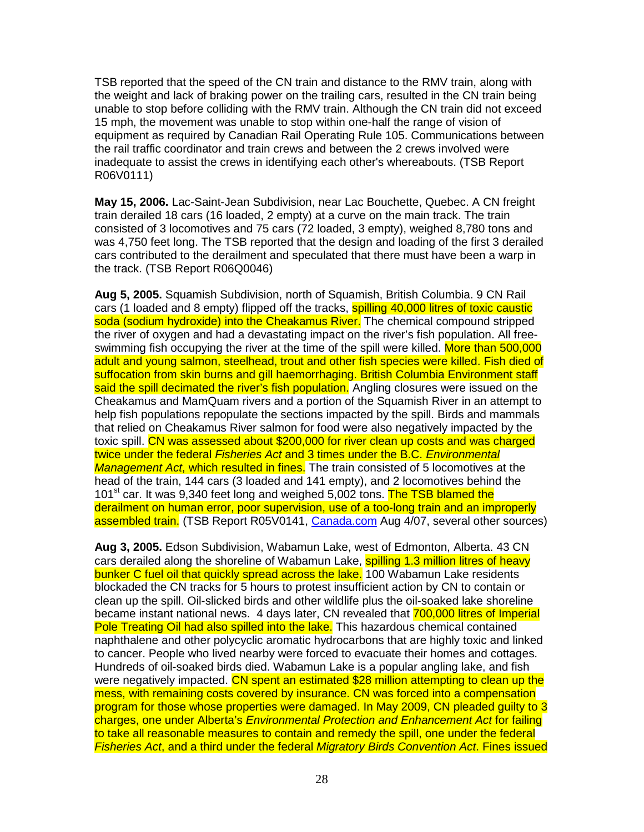TSB reported that the speed of the CN train and distance to the RMV train, along with the weight and lack of braking power on the trailing cars, resulted in the CN train being unable to stop before colliding with the RMV train. Although the CN train did not exceed 15 mph, the movement was unable to stop within one-half the range of vision of equipment as required by Canadian Rail Operating Rule 105. Communications between the rail traffic coordinator and train crews and between the 2 crews involved were inadequate to assist the crews in identifying each other's whereabouts. (TSB Report R06V0111)

**May 15, 2006.** Lac-Saint-Jean Subdivision, near Lac Bouchette, Quebec. A CN freight train derailed 18 cars (16 loaded, 2 empty) at a curve on the main track. The train consisted of 3 locomotives and 75 cars (72 loaded, 3 empty), weighed 8,780 tons and was 4,750 feet long. The TSB reported that the design and loading of the first 3 derailed cars contributed to the derailment and speculated that there must have been a warp in the track. (TSB Report R06Q0046)

**Aug 5, 2005.** Squamish Subdivision, north of Squamish, British Columbia. 9 CN Rail cars (1 loaded and 8 empty) flipped off the tracks, **spilling 40,000 litres of toxic caustic** soda (sodium hydroxide) into the Cheakamus River. The chemical compound stripped the river of oxygen and had a devastating impact on the river's fish population. All freeswimming fish occupying the river at the time of the spill were killed. More than 500,000 adult and young salmon, steelhead, trout and other fish species were killed. Fish died of suffocation from skin burns and gill haemorrhaging. British Columbia Environment staff said the spill decimated the river's fish population. Angling closures were issued on the Cheakamus and MamQuam rivers and a portion of the Squamish River in an attempt to help fish populations repopulate the sections impacted by the spill. Birds and mammals that relied on Cheakamus River salmon for food were also negatively impacted by the toxic spill. CN was assessed about \$200,000 for river clean up costs and was charged twice under the federal *Fisheries Act* and 3 times under the B.C. *Environmental* Management Act, which resulted in fines. The train consisted of 5 locomotives at the head of the train, 144 cars (3 loaded and 141 empty), and 2 locomotives behind the 101<sup>st</sup> car. It was 9,340 feet long and weighed 5,002 tons. The TSB blamed the derailment on human error, poor supervision, use of a too-long train and an improperly assembled train. (TSB Report R05V0141, Canada.com Aug 4/07, several other sources)

**Aug 3, 2005.** Edson Subdivision, Wabamun Lake, west of Edmonton, Alberta. 43 CN cars derailed along the shoreline of Wabamun Lake, spilling 1.3 million litres of heavy bunker C fuel oil that quickly spread across the lake. 100 Wabamun Lake residents blockaded the CN tracks for 5 hours to protest insufficient action by CN to contain or clean up the spill. Oil-slicked birds and other wildlife plus the oil-soaked lake shoreline became instant national news. 4 days later, CN revealed that 700,000 litres of Imperial Pole Treating Oil had also spilled into the lake. This hazardous chemical contained naphthalene and other polycyclic aromatic hydrocarbons that are highly toxic and linked to cancer. People who lived nearby were forced to evacuate their homes and cottages. Hundreds of oil-soaked birds died. Wabamun Lake is a popular angling lake, and fish were negatively impacted. CN spent an estimated \$28 million attempting to clean up the mess, with remaining costs covered by insurance. CN was forced into a compensation program for those whose properties were damaged. In May 2009, CN pleaded guilty to 3 charges, one under Alberta's Environmental Protection and Enhancement Act for failing to take all reasonable measures to contain and remedy the spill, one under the federal Fisheries Act, and a third under the federal Migratory Birds Convention Act. Fines issued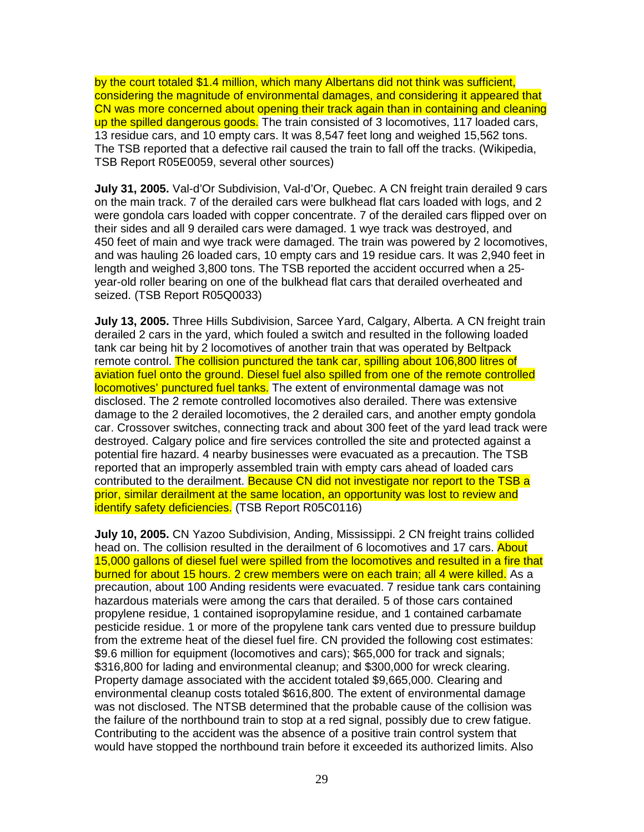by the court totaled \$1.4 million, which many Albertans did not think was sufficient, considering the magnitude of environmental damages, and considering it appeared that CN was more concerned about opening their track again than in containing and cleaning up the spilled dangerous goods. The train consisted of 3 locomotives, 117 loaded cars, 13 residue cars, and 10 empty cars. It was 8,547 feet long and weighed 15,562 tons. The TSB reported that a defective rail caused the train to fall off the tracks. (Wikipedia, TSB Report R05E0059, several other sources)

**July 31, 2005.** Val-d'Or Subdivision, Val-d'Or, Quebec. A CN freight train derailed 9 cars on the main track. 7 of the derailed cars were bulkhead flat cars loaded with logs, and 2 were gondola cars loaded with copper concentrate. 7 of the derailed cars flipped over on their sides and all 9 derailed cars were damaged. 1 wye track was destroyed, and 450 feet of main and wye track were damaged. The train was powered by 2 locomotives, and was hauling 26 loaded cars, 10 empty cars and 19 residue cars. It was 2,940 feet in length and weighed 3,800 tons. The TSB reported the accident occurred when a 25 year-old roller bearing on one of the bulkhead flat cars that derailed overheated and seized. (TSB Report R05Q0033)

**July 13, 2005.** Three Hills Subdivision, Sarcee Yard, Calgary, Alberta. A CN freight train derailed 2 cars in the yard, which fouled a switch and resulted in the following loaded tank car being hit by 2 locomotives of another train that was operated by Beltpack remote control. The collision punctured the tank car, spilling about 106,800 litres of aviation fuel onto the ground. Diesel fuel also spilled from one of the remote controlled locomotives' punctured fuel tanks. The extent of environmental damage was not disclosed. The 2 remote controlled locomotives also derailed. There was extensive damage to the 2 derailed locomotives, the 2 derailed cars, and another empty gondola car. Crossover switches, connecting track and about 300 feet of the yard lead track were destroyed. Calgary police and fire services controlled the site and protected against a potential fire hazard. 4 nearby businesses were evacuated as a precaution. The TSB reported that an improperly assembled train with empty cars ahead of loaded cars contributed to the derailment. Because CN did not investigate nor report to the TSB a prior, similar derailment at the same location, an opportunity was lost to review and identify safety deficiencies. (TSB Report R05C0116)

**July 10, 2005.** CN Yazoo Subdivision, Anding, Mississippi. 2 CN freight trains collided head on. The collision resulted in the derailment of 6 locomotives and 17 cars. About 15,000 gallons of diesel fuel were spilled from the locomotives and resulted in a fire that burned for about 15 hours. 2 crew members were on each train; all 4 were killed. As a precaution, about 100 Anding residents were evacuated. 7 residue tank cars containing hazardous materials were among the cars that derailed. 5 of those cars contained propylene residue, 1 contained isopropylamine residue, and 1 contained carbamate pesticide residue. 1 or more of the propylene tank cars vented due to pressure buildup from the extreme heat of the diesel fuel fire. CN provided the following cost estimates: \$9.6 million for equipment (locomotives and cars); \$65,000 for track and signals; \$316,800 for lading and environmental cleanup; and \$300,000 for wreck clearing. Property damage associated with the accident totaled \$9,665,000. Clearing and environmental cleanup costs totaled \$616,800. The extent of environmental damage was not disclosed. The NTSB determined that the probable cause of the collision was the failure of the northbound train to stop at a red signal, possibly due to crew fatigue. Contributing to the accident was the absence of a positive train control system that would have stopped the northbound train before it exceeded its authorized limits. Also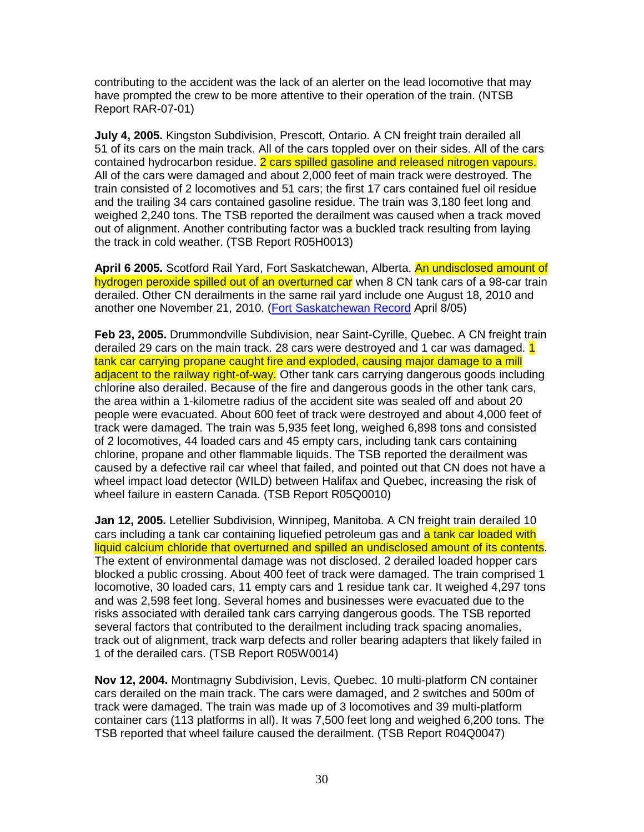contributing to the accident was the lack of an alerter on the lead locomotive that may have prompted the crew to be more attentive to their operation of the train. (NTSB Report RAR-07-01)

**July 4, 2005.** Kingston Subdivision, Prescott, Ontario. A CN freight train derailed all 51 of its cars on the main track. All of the cars toppled over on their sides. All of the cars contained hydrocarbon residue. 2 cars spilled gasoline and released nitrogen vapours. All of the cars were damaged and about 2,000 feet of main track were destroyed. The train consisted of 2 locomotives and 51 cars; the first 17 cars contained fuel oil residue and the trailing 34 cars contained gasoline residue. The train was 3,180 feet long and weighed 2,240 tons. The TSB reported the derailment was caused when a track moved out of alignment. Another contributing factor was a buckled track resulting from laying the track in cold weather. (TSB Report R05H0013)

**April 6 2005.** Scotford Rail Yard, Fort Saskatchewan, Alberta. An undisclosed amount of hydrogen peroxide spilled out of an overturned car when 8 CN tank cars of a 98-car train derailed. Other CN derailments in the same rail yard include one August 18, 2010 and another one November 21, 2010. (Fort Saskatchewan Record April 8/05)

**Feb 23, 2005.** Drummondville Subdivision, near Saint-Cyrille, Quebec. A CN freight train derailed 29 cars on the main track. 28 cars were destroyed and 1 car was damaged. 1 tank car carrying propane caught fire and exploded, causing major damage to a mill adjacent to the railway right-of-way. Other tank cars carrying dangerous goods including chlorine also derailed. Because of the fire and dangerous goods in the other tank cars, the area within a 1-kilometre radius of the accident site was sealed off and about 20 people were evacuated. About 600 feet of track were destroyed and about 4,000 feet of track were damaged. The train was 5,935 feet long, weighed 6,898 tons and consisted of 2 locomotives, 44 loaded cars and 45 empty cars, including tank cars containing chlorine, propane and other flammable liquids. The TSB reported the derailment was caused by a defective rail car wheel that failed, and pointed out that CN does not have a wheel impact load detector (WILD) between Halifax and Quebec, increasing the risk of wheel failure in eastern Canada. (TSB Report R05Q0010)

**Jan 12, 2005.** Letellier Subdivision, Winnipeg, Manitoba. A CN freight train derailed 10 cars including a tank car containing liquefied petroleum gas and a tank car loaded with liquid calcium chloride that overturned and spilled an undisclosed amount of its contents. The extent of environmental damage was not disclosed. 2 derailed loaded hopper cars blocked a public crossing. About 400 feet of track were damaged. The train comprised 1 locomotive, 30 loaded cars, 11 empty cars and 1 residue tank car. It weighed 4,297 tons and was 2,598 feet long. Several homes and businesses were evacuated due to the risks associated with derailed tank cars carrying dangerous goods. The TSB reported several factors that contributed to the derailment including track spacing anomalies, track out of alignment, track warp defects and roller bearing adapters that likely failed in 1 of the derailed cars. (TSB Report R05W0014)

**Nov 12, 2004.** Montmagny Subdivision, Levis, Quebec. 10 multi-platform CN container cars derailed on the main track. The cars were damaged, and 2 switches and 500m of track were damaged. The train was made up of 3 locomotives and 39 multi-platform container cars (113 platforms in all). It was 7,500 feet long and weighed 6,200 tons. The TSB reported that wheel failure caused the derailment. (TSB Report R04Q0047)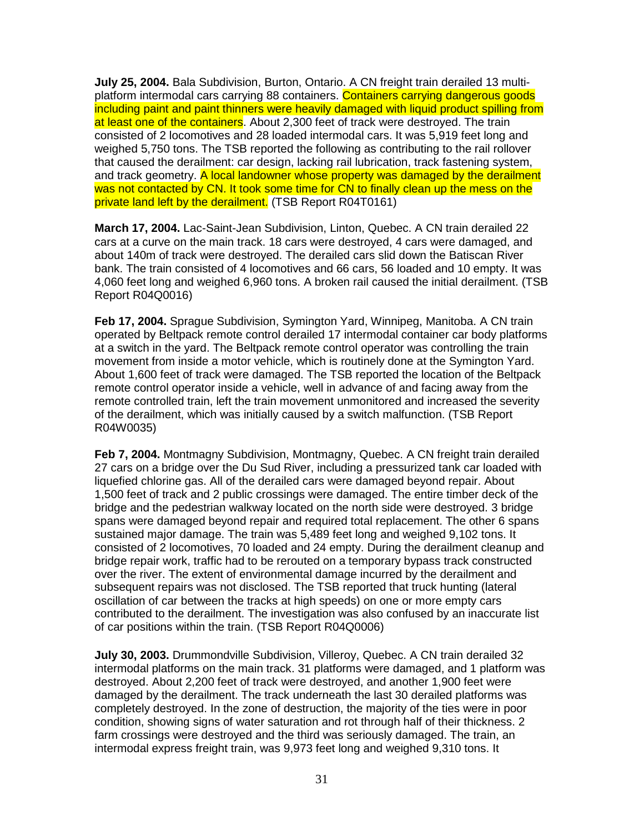**July 25, 2004.** Bala Subdivision, Burton, Ontario. A CN freight train derailed 13 multiplatform intermodal cars carrying 88 containers. Containers carrying dangerous goods including paint and paint thinners were heavily damaged with liquid product spilling from at least one of the containers. About 2,300 feet of track were destroyed. The train consisted of 2 locomotives and 28 loaded intermodal cars. It was 5,919 feet long and weighed 5,750 tons. The TSB reported the following as contributing to the rail rollover that caused the derailment: car design, lacking rail lubrication, track fastening system, and track geometry. A local landowner whose property was damaged by the derailment was not contacted by CN. It took some time for CN to finally clean up the mess on the private land left by the derailment. (TSB Report R04T0161)

**March 17, 2004.** Lac-Saint-Jean Subdivision, Linton, Quebec. A CN train derailed 22 cars at a curve on the main track. 18 cars were destroyed, 4 cars were damaged, and about 140m of track were destroyed. The derailed cars slid down the Batiscan River bank. The train consisted of 4 locomotives and 66 cars, 56 loaded and 10 empty. It was 4,060 feet long and weighed 6,960 tons. A broken rail caused the initial derailment. (TSB Report R04Q0016)

**Feb 17, 2004.** Sprague Subdivision, Symington Yard, Winnipeg, Manitoba. A CN train operated by Beltpack remote control derailed 17 intermodal container car body platforms at a switch in the yard. The Beltpack remote control operator was controlling the train movement from inside a motor vehicle, which is routinely done at the Symington Yard. About 1,600 feet of track were damaged. The TSB reported the location of the Beltpack remote control operator inside a vehicle, well in advance of and facing away from the remote controlled train, left the train movement unmonitored and increased the severity of the derailment, which was initially caused by a switch malfunction. (TSB Report R04W0035)

**Feb 7, 2004.** Montmagny Subdivision, Montmagny, Quebec. A CN freight train derailed 27 cars on a bridge over the Du Sud River, including a pressurized tank car loaded with liquefied chlorine gas. All of the derailed cars were damaged beyond repair. About 1,500 feet of track and 2 public crossings were damaged. The entire timber deck of the bridge and the pedestrian walkway located on the north side were destroyed. 3 bridge spans were damaged beyond repair and required total replacement. The other 6 spans sustained major damage. The train was 5,489 feet long and weighed 9,102 tons. It consisted of 2 locomotives, 70 loaded and 24 empty. During the derailment cleanup and bridge repair work, traffic had to be rerouted on a temporary bypass track constructed over the river. The extent of environmental damage incurred by the derailment and subsequent repairs was not disclosed. The TSB reported that truck hunting (lateral oscillation of car between the tracks at high speeds) on one or more empty cars contributed to the derailment. The investigation was also confused by an inaccurate list of car positions within the train. (TSB Report R04Q0006)

**July 30, 2003.** Drummondville Subdivision, Villeroy, Quebec. A CN train derailed 32 intermodal platforms on the main track. 31 platforms were damaged, and 1 platform was destroyed. About 2,200 feet of track were destroyed, and another 1,900 feet were damaged by the derailment. The track underneath the last 30 derailed platforms was completely destroyed. In the zone of destruction, the majority of the ties were in poor condition, showing signs of water saturation and rot through half of their thickness. 2 farm crossings were destroyed and the third was seriously damaged. The train, an intermodal express freight train, was 9,973 feet long and weighed 9,310 tons. It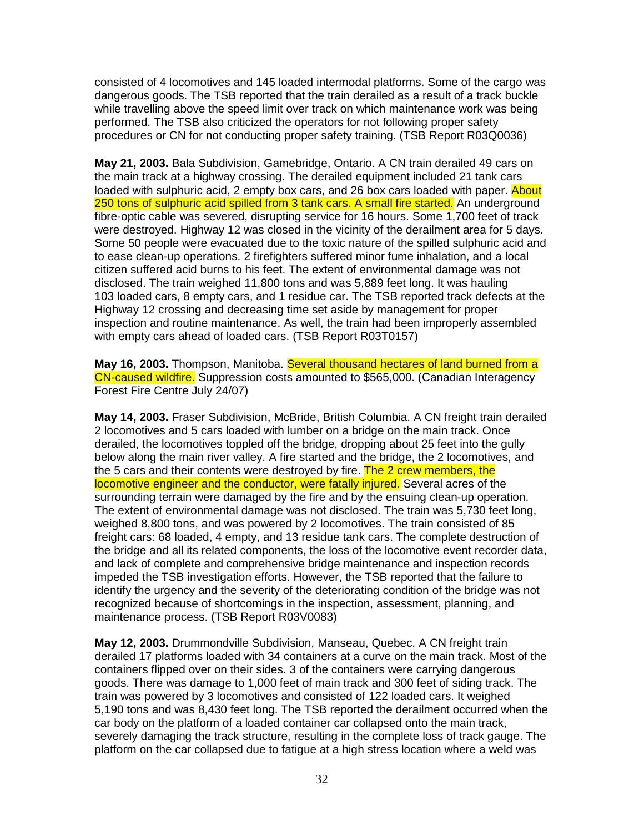consisted of 4 locomotives and 145 loaded intermodal platforms. Some of the cargo was dangerous goods. The TSB reported that the train derailed as a result of a track buckle while travelling above the speed limit over track on which maintenance work was being performed. The TSB also criticized the operators for not following proper safety procedures or CN for not conducting proper safety training. (TSB Report R03Q0036)

**May 21, 2003.** Bala Subdivision, Gamebridge, Ontario. A CN train derailed 49 cars on the main track at a highway crossing. The derailed equipment included 21 tank cars loaded with sulphuric acid, 2 empty box cars, and 26 box cars loaded with paper. About 250 tons of sulphuric acid spilled from 3 tank cars. A small fire started. An underground fibre-optic cable was severed, disrupting service for 16 hours. Some 1,700 feet of track were destroyed. Highway 12 was closed in the vicinity of the derailment area for 5 days. Some 50 people were evacuated due to the toxic nature of the spilled sulphuric acid and to ease clean-up operations. 2 firefighters suffered minor fume inhalation, and a local citizen suffered acid burns to his feet. The extent of environmental damage was not disclosed. The train weighed 11,800 tons and was 5,889 feet long. It was hauling 103 loaded cars, 8 empty cars, and 1 residue car. The TSB reported track defects at the Highway 12 crossing and decreasing time set aside by management for proper inspection and routine maintenance. As well, the train had been improperly assembled with empty cars ahead of loaded cars. (TSB Report R03T0157)

**May 16, 2003.** Thompson, Manitoba. Several thousand hectares of land burned from a CN-caused wildfire. Suppression costs amounted to \$565,000. (Canadian Interagency Forest Fire Centre July 24/07)

**May 14, 2003.** Fraser Subdivision, McBride, British Columbia. A CN freight train derailed 2 locomotives and 5 cars loaded with lumber on a bridge on the main track. Once derailed, the locomotives toppled off the bridge, dropping about 25 feet into the gully below along the main river valley. A fire started and the bridge, the 2 locomotives, and the 5 cars and their contents were destroyed by fire. The 2 crew members, the locomotive engineer and the conductor, were fatally injured. Several acres of the surrounding terrain were damaged by the fire and by the ensuing clean-up operation. The extent of environmental damage was not disclosed. The train was 5,730 feet long, weighed 8,800 tons, and was powered by 2 locomotives. The train consisted of 85 freight cars: 68 loaded, 4 empty, and 13 residue tank cars. The complete destruction of the bridge and all its related components, the loss of the locomotive event recorder data, and lack of complete and comprehensive bridge maintenance and inspection records impeded the TSB investigation efforts. However, the TSB reported that the failure to identify the urgency and the severity of the deteriorating condition of the bridge was not recognized because of shortcomings in the inspection, assessment, planning, and maintenance process. (TSB Report R03V0083)

**May 12, 2003.** Drummondville Subdivision, Manseau, Quebec. A CN freight train derailed 17 platforms loaded with 34 containers at a curve on the main track. Most of the containers flipped over on their sides. 3 of the containers were carrying dangerous goods. There was damage to 1,000 feet of main track and 300 feet of siding track. The train was powered by 3 locomotives and consisted of 122 loaded cars. It weighed 5,190 tons and was 8,430 feet long. The TSB reported the derailment occurred when the car body on the platform of a loaded container car collapsed onto the main track, severely damaging the track structure, resulting in the complete loss of track gauge. The platform on the car collapsed due to fatigue at a high stress location where a weld was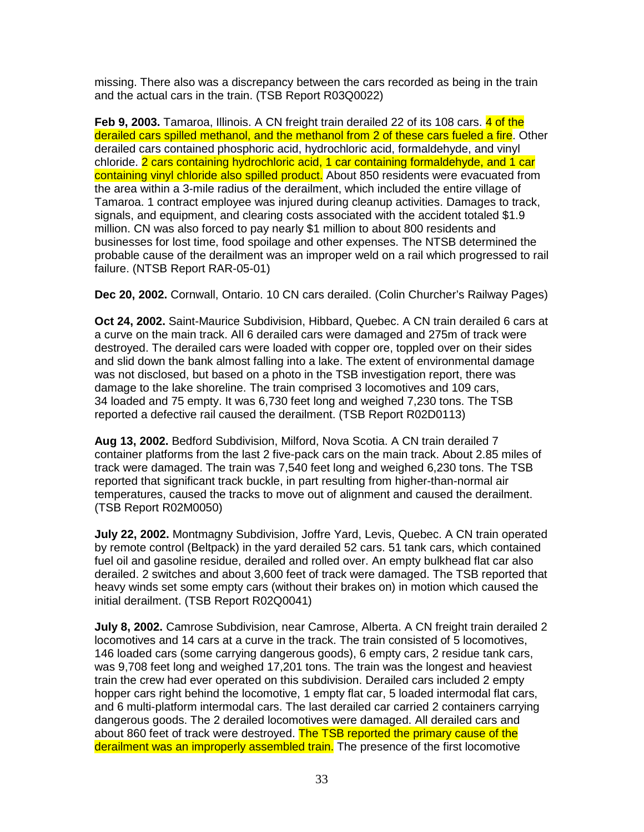missing. There also was a discrepancy between the cars recorded as being in the train and the actual cars in the train. (TSB Report R03Q0022)

**Feb 9, 2003.** Tamaroa, Illinois. A CN freight train derailed 22 of its 108 cars. 4 of the derailed cars spilled methanol, and the methanol from 2 of these cars fueled a fire. Other derailed cars contained phosphoric acid, hydrochloric acid, formaldehyde, and vinyl chloride. 2 cars containing hydrochloric acid, 1 car containing formaldehyde, and 1 car containing vinyl chloride also spilled product. About 850 residents were evacuated from the area within a 3-mile radius of the derailment, which included the entire village of Tamaroa. 1 contract employee was injured during cleanup activities. Damages to track, signals, and equipment, and clearing costs associated with the accident totaled \$1.9 million. CN was also forced to pay nearly \$1 million to about 800 residents and businesses for lost time, food spoilage and other expenses. The NTSB determined the probable cause of the derailment was an improper weld on a rail which progressed to rail failure. (NTSB Report RAR-05-01)

**Dec 20, 2002.** Cornwall, Ontario. 10 CN cars derailed. (Colin Churcher's Railway Pages)

**Oct 24, 2002.** Saint-Maurice Subdivision, Hibbard, Quebec. A CN train derailed 6 cars at a curve on the main track. All 6 derailed cars were damaged and 275m of track were destroyed. The derailed cars were loaded with copper ore, toppled over on their sides and slid down the bank almost falling into a lake. The extent of environmental damage was not disclosed, but based on a photo in the TSB investigation report, there was damage to the lake shoreline. The train comprised 3 locomotives and 109 cars, 34 loaded and 75 empty. It was 6,730 feet long and weighed 7,230 tons. The TSB reported a defective rail caused the derailment. (TSB Report R02D0113)

**Aug 13, 2002.** Bedford Subdivision, Milford, Nova Scotia. A CN train derailed 7 container platforms from the last 2 five-pack cars on the main track. About 2.85 miles of track were damaged. The train was 7,540 feet long and weighed 6,230 tons. The TSB reported that significant track buckle, in part resulting from higher-than-normal air temperatures, caused the tracks to move out of alignment and caused the derailment. (TSB Report R02M0050)

**July 22, 2002.** Montmagny Subdivision, Joffre Yard, Levis, Quebec. A CN train operated by remote control (Beltpack) in the yard derailed 52 cars. 51 tank cars, which contained fuel oil and gasoline residue, derailed and rolled over. An empty bulkhead flat car also derailed. 2 switches and about 3,600 feet of track were damaged. The TSB reported that heavy winds set some empty cars (without their brakes on) in motion which caused the initial derailment. (TSB Report R02Q0041)

**July 8, 2002.** Camrose Subdivision, near Camrose, Alberta. A CN freight train derailed 2 locomotives and 14 cars at a curve in the track. The train consisted of 5 locomotives, 146 loaded cars (some carrying dangerous goods), 6 empty cars, 2 residue tank cars, was 9,708 feet long and weighed 17,201 tons. The train was the longest and heaviest train the crew had ever operated on this subdivision. Derailed cars included 2 empty hopper cars right behind the locomotive, 1 empty flat car, 5 loaded intermodal flat cars, and 6 multi-platform intermodal cars. The last derailed car carried 2 containers carrying dangerous goods. The 2 derailed locomotives were damaged. All derailed cars and about 860 feet of track were destroyed. The TSB reported the primary cause of the derailment was an improperly assembled train. The presence of the first locomotive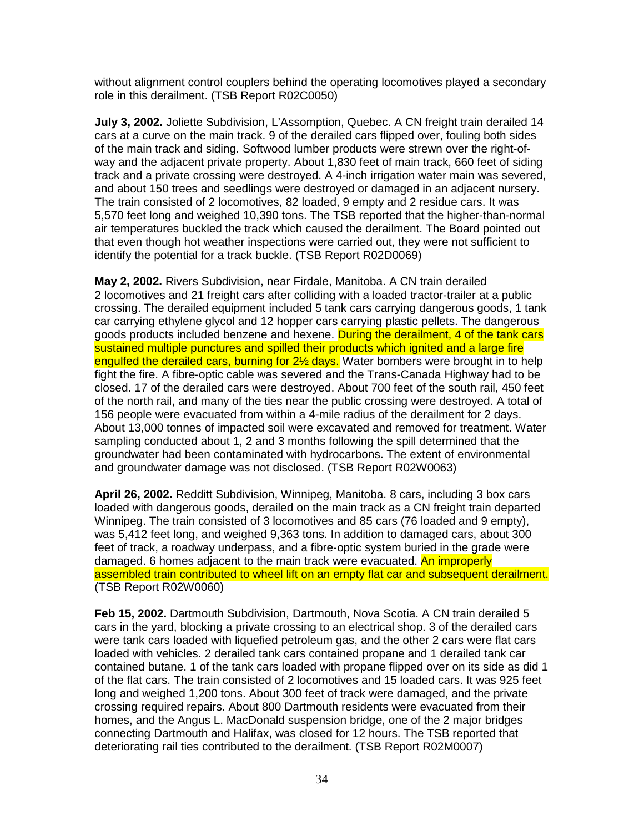without alignment control couplers behind the operating locomotives played a secondary role in this derailment. (TSB Report R02C0050)

**July 3, 2002.** Joliette Subdivision, L'Assomption, Quebec. A CN freight train derailed 14 cars at a curve on the main track. 9 of the derailed cars flipped over, fouling both sides of the main track and siding. Softwood lumber products were strewn over the right-ofway and the adjacent private property. About 1,830 feet of main track, 660 feet of siding track and a private crossing were destroyed. A 4-inch irrigation water main was severed, and about 150 trees and seedlings were destroyed or damaged in an adjacent nursery. The train consisted of 2 locomotives, 82 loaded, 9 empty and 2 residue cars. It was 5,570 feet long and weighed 10,390 tons. The TSB reported that the higher-than-normal air temperatures buckled the track which caused the derailment. The Board pointed out that even though hot weather inspections were carried out, they were not sufficient to identify the potential for a track buckle. (TSB Report R02D0069)

**May 2, 2002.** Rivers Subdivision, near Firdale, Manitoba. A CN train derailed 2 locomotives and 21 freight cars after colliding with a loaded tractor-trailer at a public crossing. The derailed equipment included 5 tank cars carrying dangerous goods, 1 tank car carrying ethylene glycol and 12 hopper cars carrying plastic pellets. The dangerous goods products included benzene and hexene. During the derailment, 4 of the tank cars sustained multiple punctures and spilled their products which ignited and a large fire engulfed the derailed cars, burning for 2½ days. Water bombers were brought in to help fight the fire. A fibre-optic cable was severed and the Trans-Canada Highway had to be closed. 17 of the derailed cars were destroyed. About 700 feet of the south rail, 450 feet of the north rail, and many of the ties near the public crossing were destroyed. A total of 156 people were evacuated from within a 4-mile radius of the derailment for 2 days. About 13,000 tonnes of impacted soil were excavated and removed for treatment. Water sampling conducted about 1, 2 and 3 months following the spill determined that the groundwater had been contaminated with hydrocarbons. The extent of environmental and groundwater damage was not disclosed. (TSB Report R02W0063)

**April 26, 2002.** Redditt Subdivision, Winnipeg, Manitoba. 8 cars, including 3 box cars loaded with dangerous goods, derailed on the main track as a CN freight train departed Winnipeg. The train consisted of 3 locomotives and 85 cars (76 loaded and 9 empty), was 5,412 feet long, and weighed 9,363 tons. In addition to damaged cars, about 300 feet of track, a roadway underpass, and a fibre-optic system buried in the grade were damaged. 6 homes adjacent to the main track were evacuated. An improperly assembled train contributed to wheel lift on an empty flat car and subsequent derailment. (TSB Report R02W0060)

**Feb 15, 2002.** Dartmouth Subdivision, Dartmouth, Nova Scotia. A CN train derailed 5 cars in the yard, blocking a private crossing to an electrical shop. 3 of the derailed cars were tank cars loaded with liquefied petroleum gas, and the other 2 cars were flat cars loaded with vehicles. 2 derailed tank cars contained propane and 1 derailed tank car contained butane. 1 of the tank cars loaded with propane flipped over on its side as did 1 of the flat cars. The train consisted of 2 locomotives and 15 loaded cars. It was 925 feet long and weighed 1,200 tons. About 300 feet of track were damaged, and the private crossing required repairs. About 800 Dartmouth residents were evacuated from their homes, and the Angus L. MacDonald suspension bridge, one of the 2 major bridges connecting Dartmouth and Halifax, was closed for 12 hours. The TSB reported that deteriorating rail ties contributed to the derailment. (TSB Report R02M0007)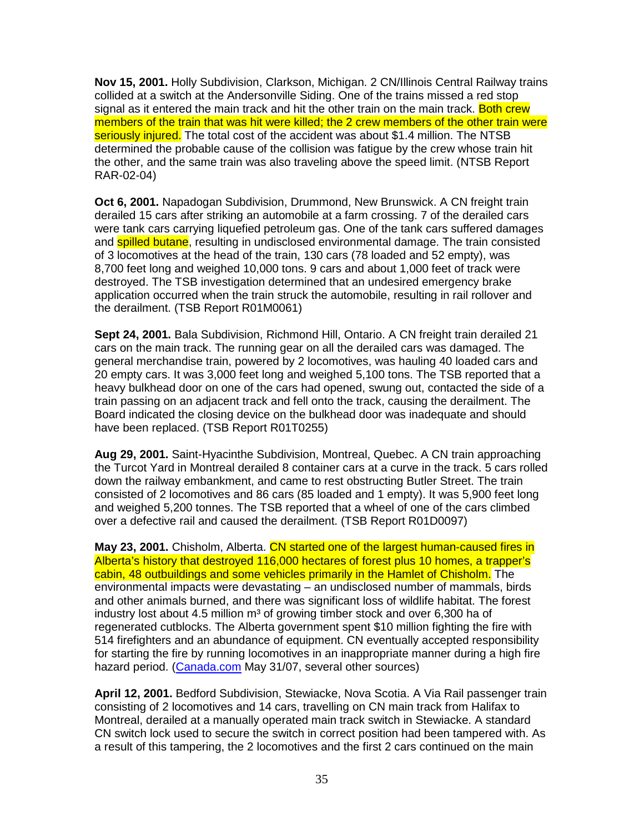**Nov 15, 2001.** Holly Subdivision, Clarkson, Michigan. 2 CN/Illinois Central Railway trains collided at a switch at the Andersonville Siding. One of the trains missed a red stop signal as it entered the main track and hit the other train on the main track. Both crew members of the train that was hit were killed; the 2 crew members of the other train were seriously injured. The total cost of the accident was about \$1.4 million. The NTSB determined the probable cause of the collision was fatigue by the crew whose train hit the other, and the same train was also traveling above the speed limit. (NTSB Report RAR-02-04)

**Oct 6, 2001.** Napadogan Subdivision, Drummond, New Brunswick. A CN freight train derailed 15 cars after striking an automobile at a farm crossing. 7 of the derailed cars were tank cars carrying liquefied petroleum gas. One of the tank cars suffered damages and **spilled butane**, resulting in undisclosed environmental damage. The train consisted of 3 locomotives at the head of the train, 130 cars (78 loaded and 52 empty), was 8,700 feet long and weighed 10,000 tons. 9 cars and about 1,000 feet of track were destroyed. The TSB investigation determined that an undesired emergency brake application occurred when the train struck the automobile, resulting in rail rollover and the derailment. (TSB Report R01M0061)

**Sept 24, 2001.** Bala Subdivision, Richmond Hill, Ontario. A CN freight train derailed 21 cars on the main track. The running gear on all the derailed cars was damaged. The general merchandise train, powered by 2 locomotives, was hauling 40 loaded cars and 20 empty cars. It was 3,000 feet long and weighed 5,100 tons. The TSB reported that a heavy bulkhead door on one of the cars had opened, swung out, contacted the side of a train passing on an adjacent track and fell onto the track, causing the derailment. The Board indicated the closing device on the bulkhead door was inadequate and should have been replaced. (TSB Report R01T0255)

**Aug 29, 2001.** Saint-Hyacinthe Subdivision, Montreal, Quebec. A CN train approaching the Turcot Yard in Montreal derailed 8 container cars at a curve in the track. 5 cars rolled down the railway embankment, and came to rest obstructing Butler Street. The train consisted of 2 locomotives and 86 cars (85 loaded and 1 empty). It was 5,900 feet long and weighed 5,200 tonnes. The TSB reported that a wheel of one of the cars climbed over a defective rail and caused the derailment. (TSB Report R01D0097)

**May 23, 2001.** Chisholm, Alberta. CN started one of the largest human-caused fires in Alberta's history that destroyed 116,000 hectares of forest plus 10 homes, a trapper's cabin, 48 outbuildings and some vehicles primarily in the Hamlet of Chisholm. The environmental impacts were devastating – an undisclosed number of mammals, birds and other animals burned, and there was significant loss of wildlife habitat. The forest industry lost about 4.5 million  $m<sup>3</sup>$  of growing timber stock and over 6,300 ha of regenerated cutblocks. The Alberta government spent \$10 million fighting the fire with 514 firefighters and an abundance of equipment. CN eventually accepted responsibility for starting the fire by running locomotives in an inappropriate manner during a high fire hazard period. (Canada.com May 31/07, several other sources)

**April 12, 2001.** Bedford Subdivision, Stewiacke, Nova Scotia. A Via Rail passenger train consisting of 2 locomotives and 14 cars, travelling on CN main track from Halifax to Montreal, derailed at a manually operated main track switch in Stewiacke. A standard CN switch lock used to secure the switch in correct position had been tampered with. As a result of this tampering, the 2 locomotives and the first 2 cars continued on the main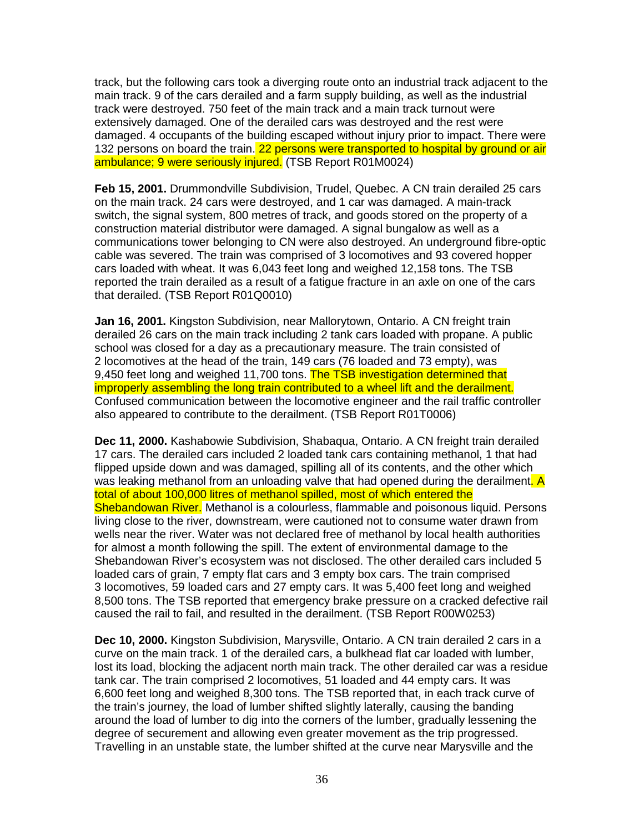track, but the following cars took a diverging route onto an industrial track adjacent to the main track. 9 of the cars derailed and a farm supply building, as well as the industrial track were destroyed. 750 feet of the main track and a main track turnout were extensively damaged. One of the derailed cars was destroyed and the rest were damaged. 4 occupants of the building escaped without injury prior to impact. There were 132 persons on board the train. 22 persons were transported to hospital by ground or air ambulance; 9 were seriously injured. (TSB Report R01M0024)

**Feb 15, 2001.** Drummondville Subdivision, Trudel, Quebec. A CN train derailed 25 cars on the main track. 24 cars were destroyed, and 1 car was damaged. A main-track switch, the signal system, 800 metres of track, and goods stored on the property of a construction material distributor were damaged. A signal bungalow as well as a communications tower belonging to CN were also destroyed. An underground fibre-optic cable was severed. The train was comprised of 3 locomotives and 93 covered hopper cars loaded with wheat. It was 6,043 feet long and weighed 12,158 tons. The TSB reported the train derailed as a result of a fatigue fracture in an axle on one of the cars that derailed. (TSB Report R01Q0010)

**Jan 16, 2001.** Kingston Subdivision, near Mallorytown, Ontario. A CN freight train derailed 26 cars on the main track including 2 tank cars loaded with propane. A public school was closed for a day as a precautionary measure. The train consisted of 2 locomotives at the head of the train, 149 cars (76 loaded and 73 empty), was 9,450 feet long and weighed 11,700 tons. The TSB investigation determined that improperly assembling the long train contributed to a wheel lift and the derailment. Confused communication between the locomotive engineer and the rail traffic controller also appeared to contribute to the derailment. (TSB Report R01T0006)

**Dec 11, 2000.** Kashabowie Subdivision, Shabaqua, Ontario. A CN freight train derailed 17 cars. The derailed cars included 2 loaded tank cars containing methanol, 1 that had flipped upside down and was damaged, spilling all of its contents, and the other which was leaking methanol from an unloading valve that had opened during the derailment. A total of about 100,000 litres of methanol spilled, most of which entered the Shebandowan River. Methanol is a colourless, flammable and poisonous liquid. Persons living close to the river, downstream, were cautioned not to consume water drawn from wells near the river. Water was not declared free of methanol by local health authorities for almost a month following the spill. The extent of environmental damage to the Shebandowan River's ecosystem was not disclosed. The other derailed cars included 5 loaded cars of grain, 7 empty flat cars and 3 empty box cars. The train comprised 3 locomotives, 59 loaded cars and 27 empty cars. It was 5,400 feet long and weighed 8,500 tons. The TSB reported that emergency brake pressure on a cracked defective rail caused the rail to fail, and resulted in the derailment. (TSB Report R00W0253)

**Dec 10, 2000.** Kingston Subdivision, Marysville, Ontario. A CN train derailed 2 cars in a curve on the main track. 1 of the derailed cars, a bulkhead flat car loaded with lumber, lost its load, blocking the adjacent north main track. The other derailed car was a residue tank car. The train comprised 2 locomotives, 51 loaded and 44 empty cars. It was 6,600 feet long and weighed 8,300 tons. The TSB reported that, in each track curve of the train's journey, the load of lumber shifted slightly laterally, causing the banding around the load of lumber to dig into the corners of the lumber, gradually lessening the degree of securement and allowing even greater movement as the trip progressed. Travelling in an unstable state, the lumber shifted at the curve near Marysville and the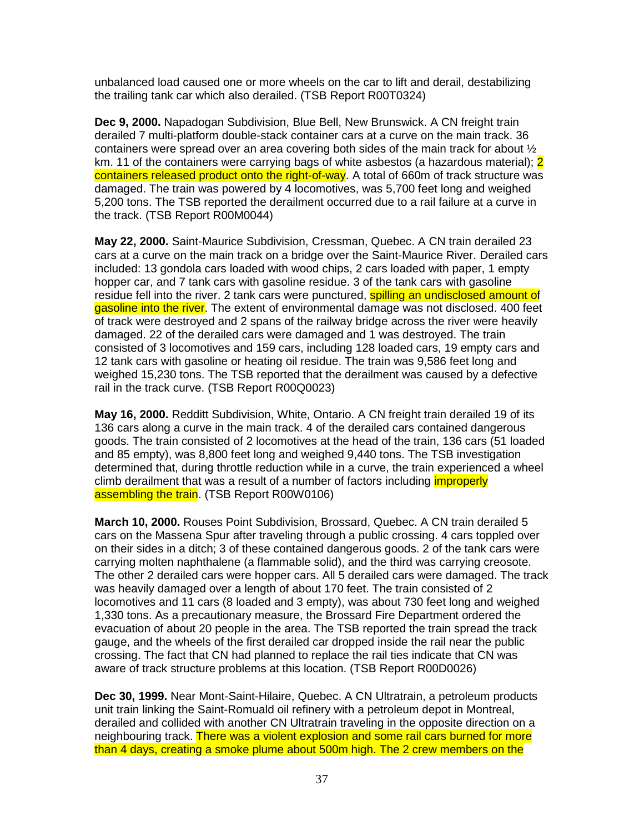unbalanced load caused one or more wheels on the car to lift and derail, destabilizing the trailing tank car which also derailed. (TSB Report R00T0324)

**Dec 9, 2000.** Napadogan Subdivision, Blue Bell, New Brunswick. A CN freight train derailed 7 multi-platform double-stack container cars at a curve on the main track. 36 containers were spread over an area covering both sides of the main track for about ½ km. 11 of the containers were carrying bags of white asbestos (a hazardous material); 2 containers released product onto the right-of-way. A total of 660m of track structure was damaged. The train was powered by 4 locomotives, was 5,700 feet long and weighed 5,200 tons. The TSB reported the derailment occurred due to a rail failure at a curve in the track. (TSB Report R00M0044)

**May 22, 2000.** Saint-Maurice Subdivision, Cressman, Quebec. A CN train derailed 23 cars at a curve on the main track on a bridge over the Saint-Maurice River. Derailed cars included: 13 gondola cars loaded with wood chips, 2 cars loaded with paper, 1 empty hopper car, and 7 tank cars with gasoline residue. 3 of the tank cars with gasoline residue fell into the river. 2 tank cars were punctured, spilling an undisclosed amount of gasoline into the river. The extent of environmental damage was not disclosed. 400 feet of track were destroyed and 2 spans of the railway bridge across the river were heavily damaged. 22 of the derailed cars were damaged and 1 was destroyed. The train consisted of 3 locomotives and 159 cars, including 128 loaded cars, 19 empty cars and 12 tank cars with gasoline or heating oil residue. The train was 9,586 feet long and weighed 15,230 tons. The TSB reported that the derailment was caused by a defective rail in the track curve. (TSB Report R00Q0023)

**May 16, 2000.** Redditt Subdivision, White, Ontario. A CN freight train derailed 19 of its 136 cars along a curve in the main track. 4 of the derailed cars contained dangerous goods. The train consisted of 2 locomotives at the head of the train, 136 cars (51 loaded and 85 empty), was 8,800 feet long and weighed 9,440 tons. The TSB investigation determined that, during throttle reduction while in a curve, the train experienced a wheel climb derailment that was a result of a number of factors including *improperly* assembling the train. (TSB Report R00W0106)

**March 10, 2000.** Rouses Point Subdivision, Brossard, Quebec. A CN train derailed 5 cars on the Massena Spur after traveling through a public crossing. 4 cars toppled over on their sides in a ditch; 3 of these contained dangerous goods. 2 of the tank cars were carrying molten naphthalene (a flammable solid), and the third was carrying creosote. The other 2 derailed cars were hopper cars. All 5 derailed cars were damaged. The track was heavily damaged over a length of about 170 feet. The train consisted of 2 locomotives and 11 cars (8 loaded and 3 empty), was about 730 feet long and weighed 1,330 tons. As a precautionary measure, the Brossard Fire Department ordered the evacuation of about 20 people in the area. The TSB reported the train spread the track gauge, and the wheels of the first derailed car dropped inside the rail near the public crossing. The fact that CN had planned to replace the rail ties indicate that CN was aware of track structure problems at this location. (TSB Report R00D0026)

**Dec 30, 1999.** Near Mont-Saint-Hilaire, Quebec. A CN Ultratrain, a petroleum products unit train linking the Saint-Romuald oil refinery with a petroleum depot in Montreal, derailed and collided with another CN Ultratrain traveling in the opposite direction on a neighbouring track. There was a violent explosion and some rail cars burned for more than 4 days, creating a smoke plume about 500m high. The 2 crew members on the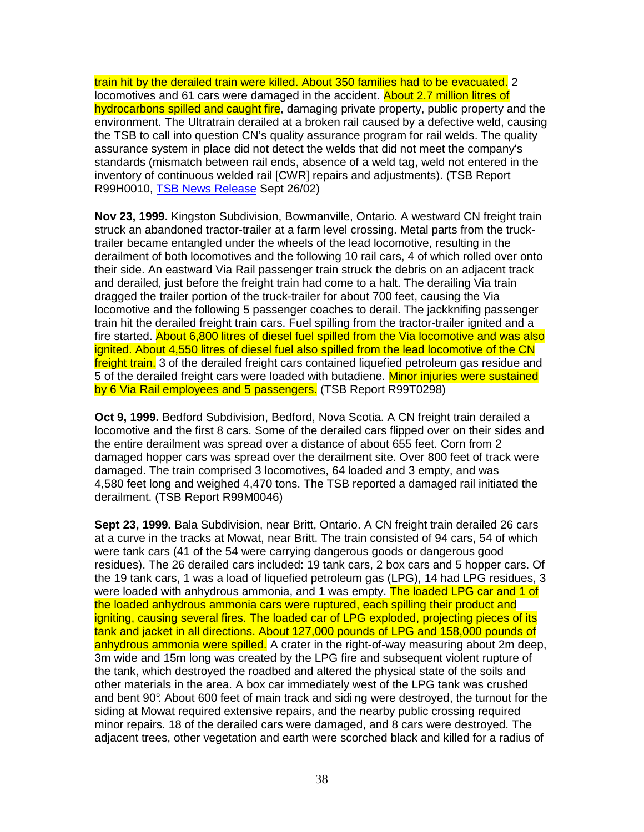train hit by the derailed train were killed. About 350 families had to be evacuated. 2 locomotives and 61 cars were damaged in the accident. About 2.7 million litres of hydrocarbons spilled and caught fire, damaging private property, public property and the environment. The Ultratrain derailed at a broken rail caused by a defective weld, causing the TSB to call into question CN's quality assurance program for rail welds. The quality assurance system in place did not detect the welds that did not meet the company's standards (mismatch between rail ends, absence of a weld tag, weld not entered in the inventory of continuous welded rail [CWR] repairs and adjustments). (TSB Report R99H0010, TSB News Release Sept 26/02)

**Nov 23, 1999.** Kingston Subdivision, Bowmanville, Ontario. A westward CN freight train struck an abandoned tractor-trailer at a farm level crossing. Metal parts from the trucktrailer became entangled under the wheels of the lead locomotive, resulting in the derailment of both locomotives and the following 10 rail cars, 4 of which rolled over onto their side. An eastward Via Rail passenger train struck the debris on an adjacent track and derailed, just before the freight train had come to a halt. The derailing Via train dragged the trailer portion of the truck-trailer for about 700 feet, causing the Via locomotive and the following 5 passenger coaches to derail. The jackknifing passenger train hit the derailed freight train cars. Fuel spilling from the tractor-trailer ignited and a fire started. About 6,800 litres of diesel fuel spilled from the Via locomotive and was also ignited. About 4,550 litres of diesel fuel also spilled from the lead locomotive of the CN freight train. 3 of the derailed freight cars contained liquefied petroleum gas residue and 5 of the derailed freight cars were loaded with butadiene. Minor injuries were sustained by 6 Via Rail employees and 5 passengers. (TSB Report R99T0298)

**Oct 9, 1999.** Bedford Subdivision, Bedford, Nova Scotia. A CN freight train derailed a locomotive and the first 8 cars. Some of the derailed cars flipped over on their sides and the entire derailment was spread over a distance of about 655 feet. Corn from 2 damaged hopper cars was spread over the derailment site. Over 800 feet of track were damaged. The train comprised 3 locomotives, 64 loaded and 3 empty, and was 4,580 feet long and weighed 4,470 tons. The TSB reported a damaged rail initiated the derailment. (TSB Report R99M0046)

**Sept 23, 1999.** Bala Subdivision, near Britt, Ontario. A CN freight train derailed 26 cars at a curve in the tracks at Mowat, near Britt. The train consisted of 94 cars, 54 of which were tank cars (41 of the 54 were carrying dangerous goods or dangerous good residues). The 26 derailed cars included: 19 tank cars, 2 box cars and 5 hopper cars. Of the 19 tank cars, 1 was a load of liquefied petroleum gas (LPG), 14 had LPG residues, 3 were loaded with anhydrous ammonia, and 1 was empty. The loaded LPG car and 1 of the loaded anhydrous ammonia cars were ruptured, each spilling their product and igniting, causing several fires. The loaded car of LPG exploded, projecting pieces of its tank and jacket in all directions. About 127,000 pounds of LPG and 158,000 pounds of anhydrous ammonia were spilled. A crater in the right-of-way measuring about 2m deep, 3m wide and 15m long was created by the LPG fire and subsequent violent rupture of the tank, which destroyed the roadbed and altered the physical state of the soils and other materials in the area. A box car immediately west of the LPG tank was crushed and bent 90°. About 600 feet of main track and sidi ng were destroyed, the turnout for the siding at Mowat required extensive repairs, and the nearby public crossing required minor repairs. 18 of the derailed cars were damaged, and 8 cars were destroyed. The adjacent trees, other vegetation and earth were scorched black and killed for a radius of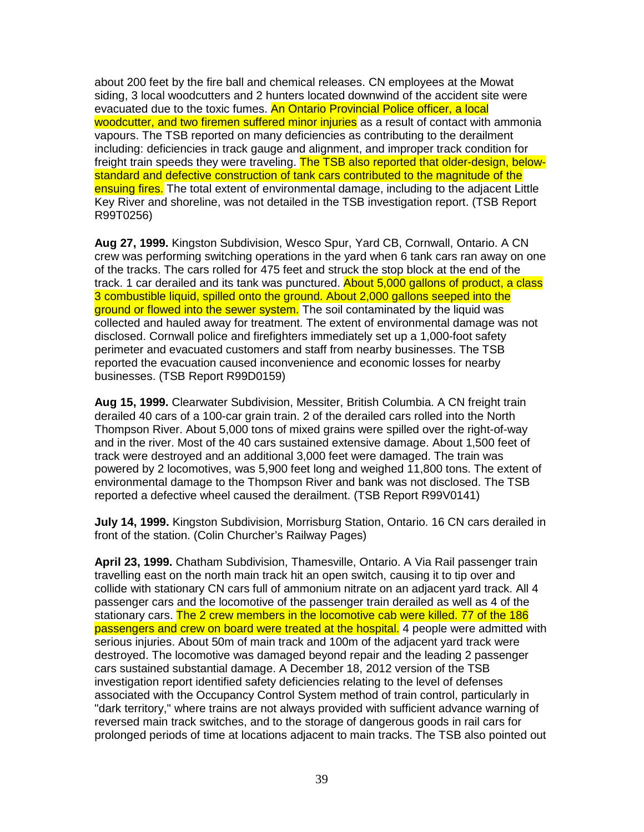about 200 feet by the fire ball and chemical releases. CN employees at the Mowat siding, 3 local woodcutters and 2 hunters located downwind of the accident site were evacuated due to the toxic fumes. An Ontario Provincial Police officer, a local woodcutter, and two firemen suffered minor injuries as a result of contact with ammonia vapours. The TSB reported on many deficiencies as contributing to the derailment including: deficiencies in track gauge and alignment, and improper track condition for freight train speeds they were traveling. The TSB also reported that older-design, belowstandard and defective construction of tank cars contributed to the magnitude of the ensuing fires. The total extent of environmental damage, including to the adiacent Little Key River and shoreline, was not detailed in the TSB investigation report. (TSB Report R99T0256)

**Aug 27, 1999.** Kingston Subdivision, Wesco Spur, Yard CB, Cornwall, Ontario. A CN crew was performing switching operations in the yard when 6 tank cars ran away on one of the tracks. The cars rolled for 475 feet and struck the stop block at the end of the track. 1 car derailed and its tank was punctured. About 5,000 gallons of product, a class 3 combustible liquid, spilled onto the ground. About 2,000 gallons seeped into the ground or flowed into the sewer system. The soil contaminated by the liquid was collected and hauled away for treatment. The extent of environmental damage was not disclosed. Cornwall police and firefighters immediately set up a 1,000-foot safety perimeter and evacuated customers and staff from nearby businesses. The TSB reported the evacuation caused inconvenience and economic losses for nearby businesses. (TSB Report R99D0159)

**Aug 15, 1999.** Clearwater Subdivision, Messiter, British Columbia. A CN freight train derailed 40 cars of a 100-car grain train. 2 of the derailed cars rolled into the North Thompson River. About 5,000 tons of mixed grains were spilled over the right-of-way and in the river. Most of the 40 cars sustained extensive damage. About 1,500 feet of track were destroyed and an additional 3,000 feet were damaged. The train was powered by 2 locomotives, was 5,900 feet long and weighed 11,800 tons. The extent of environmental damage to the Thompson River and bank was not disclosed. The TSB reported a defective wheel caused the derailment. (TSB Report R99V0141)

**July 14, 1999.** Kingston Subdivision, Morrisburg Station, Ontario. 16 CN cars derailed in front of the station. (Colin Churcher's Railway Pages)

**April 23, 1999.** Chatham Subdivision, Thamesville, Ontario. A Via Rail passenger train travelling east on the north main track hit an open switch, causing it to tip over and collide with stationary CN cars full of ammonium nitrate on an adjacent yard track. All 4 passenger cars and the locomotive of the passenger train derailed as well as 4 of the stationary cars. The 2 crew members in the locomotive cab were killed. 77 of the 186 passengers and crew on board were treated at the hospital. 4 people were admitted with serious injuries. About 50m of main track and 100m of the adjacent yard track were destroyed. The locomotive was damaged beyond repair and the leading 2 passenger cars sustained substantial damage. A December 18, 2012 version of the TSB investigation report identified safety deficiencies relating to the level of defenses associated with the Occupancy Control System method of train control, particularly in "dark territory," where trains are not always provided with sufficient advance warning of reversed main track switches, and to the storage of dangerous goods in rail cars for prolonged periods of time at locations adjacent to main tracks. The TSB also pointed out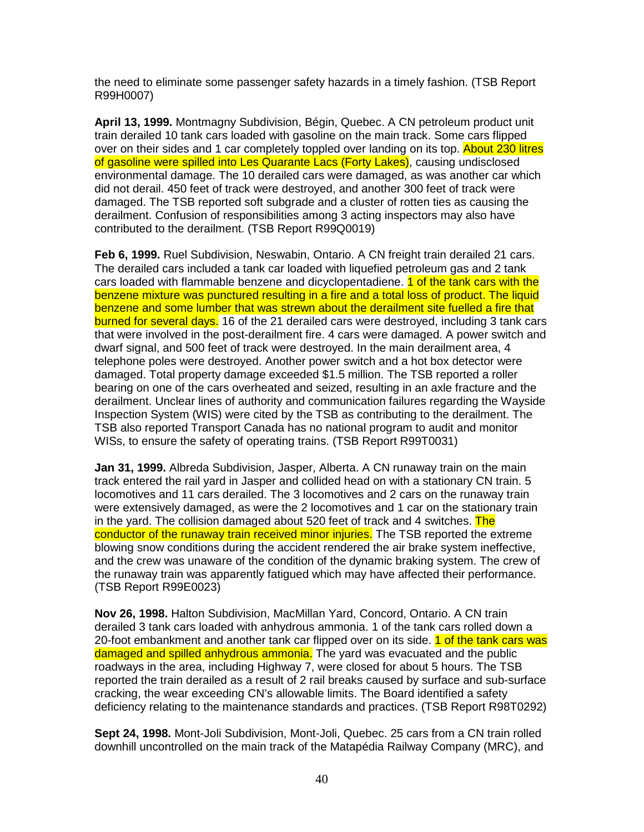the need to eliminate some passenger safety hazards in a timely fashion. (TSB Report R99H0007)

**April 13, 1999.** Montmagny Subdivision, Bégin, Quebec. A CN petroleum product unit train derailed 10 tank cars loaded with gasoline on the main track. Some cars flipped over on their sides and 1 car completely toppled over landing on its top. About 230 litres of gasoline were spilled into Les Quarante Lacs (Forty Lakes), causing undisclosed environmental damage. The 10 derailed cars were damaged, as was another car which did not derail. 450 feet of track were destroyed, and another 300 feet of track were damaged. The TSB reported soft subgrade and a cluster of rotten ties as causing the derailment. Confusion of responsibilities among 3 acting inspectors may also have contributed to the derailment. (TSB Report R99Q0019)

**Feb 6, 1999.** Ruel Subdivision, Neswabin, Ontario. A CN freight train derailed 21 cars. The derailed cars included a tank car loaded with liquefied petroleum gas and 2 tank cars loaded with flammable benzene and dicyclopentadiene. 1 of the tank cars with the benzene mixture was punctured resulting in a fire and a total loss of product. The liquid benzene and some lumber that was strewn about the derailment site fuelled a fire that burned for several days. 16 of the 21 derailed cars were destroyed, including 3 tank cars that were involved in the post-derailment fire. 4 cars were damaged. A power switch and dwarf signal, and 500 feet of track were destroyed. In the main derailment area, 4 telephone poles were destroyed. Another power switch and a hot box detector were damaged. Total property damage exceeded \$1.5 million. The TSB reported a roller bearing on one of the cars overheated and seized, resulting in an axle fracture and the derailment. Unclear lines of authority and communication failures regarding the Wayside Inspection System (WIS) were cited by the TSB as contributing to the derailment. The TSB also reported Transport Canada has no national program to audit and monitor WISs, to ensure the safety of operating trains. (TSB Report R99T0031)

**Jan 31, 1999.** Albreda Subdivision, Jasper, Alberta. A CN runaway train on the main track entered the rail yard in Jasper and collided head on with a stationary CN train. 5 locomotives and 11 cars derailed. The 3 locomotives and 2 cars on the runaway train were extensively damaged, as were the 2 locomotives and 1 car on the stationary train in the yard. The collision damaged about 520 feet of track and 4 switches. The conductor of the runaway train received minor injuries. The TSB reported the extreme blowing snow conditions during the accident rendered the air brake system ineffective, and the crew was unaware of the condition of the dynamic braking system. The crew of the runaway train was apparently fatigued which may have affected their performance. (TSB Report R99E0023)

**Nov 26, 1998.** Halton Subdivision, MacMillan Yard, Concord, Ontario. A CN train derailed 3 tank cars loaded with anhydrous ammonia. 1 of the tank cars rolled down a 20-foot embankment and another tank car flipped over on its side. 1 of the tank cars was damaged and spilled anhydrous ammonia. The yard was evacuated and the public roadways in the area, including Highway 7, were closed for about 5 hours. The TSB reported the train derailed as a result of 2 rail breaks caused by surface and sub-surface cracking, the wear exceeding CN's allowable limits. The Board identified a safety deficiency relating to the maintenance standards and practices. (TSB Report R98T0292)

**Sept 24, 1998.** Mont-Joli Subdivision, Mont-Joli, Quebec. 25 cars from a CN train rolled downhill uncontrolled on the main track of the Matapédia Railway Company (MRC), and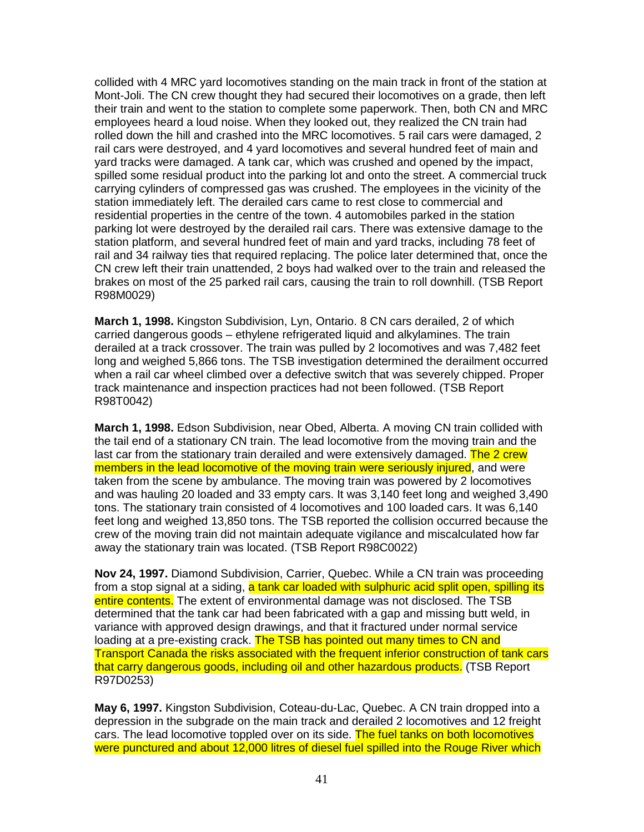collided with 4 MRC yard locomotives standing on the main track in front of the station at Mont-Joli. The CN crew thought they had secured their locomotives on a grade, then left their train and went to the station to complete some paperwork. Then, both CN and MRC employees heard a loud noise. When they looked out, they realized the CN train had rolled down the hill and crashed into the MRC locomotives. 5 rail cars were damaged, 2 rail cars were destroyed, and 4 yard locomotives and several hundred feet of main and yard tracks were damaged. A tank car, which was crushed and opened by the impact, spilled some residual product into the parking lot and onto the street. A commercial truck carrying cylinders of compressed gas was crushed. The employees in the vicinity of the station immediately left. The derailed cars came to rest close to commercial and residential properties in the centre of the town. 4 automobiles parked in the station parking lot were destroyed by the derailed rail cars. There was extensive damage to the station platform, and several hundred feet of main and yard tracks, including 78 feet of rail and 34 railway ties that required replacing. The police later determined that, once the CN crew left their train unattended, 2 boys had walked over to the train and released the brakes on most of the 25 parked rail cars, causing the train to roll downhill. (TSB Report R98M0029)

**March 1, 1998.** Kingston Subdivision, Lyn, Ontario. 8 CN cars derailed, 2 of which carried dangerous goods – ethylene refrigerated liquid and alkylamines. The train derailed at a track crossover. The train was pulled by 2 locomotives and was 7,482 feet long and weighed 5,866 tons. The TSB investigation determined the derailment occurred when a rail car wheel climbed over a defective switch that was severely chipped. Proper track maintenance and inspection practices had not been followed. (TSB Report R98T0042)

**March 1, 1998.** Edson Subdivision, near Obed, Alberta. A moving CN train collided with the tail end of a stationary CN train. The lead locomotive from the moving train and the last car from the stationary train derailed and were extensively damaged. The 2 crew members in the lead locomotive of the moving train were seriously injured, and were taken from the scene by ambulance. The moving train was powered by 2 locomotives and was hauling 20 loaded and 33 empty cars. It was 3,140 feet long and weighed 3,490 tons. The stationary train consisted of 4 locomotives and 100 loaded cars. It was 6,140 feet long and weighed 13,850 tons. The TSB reported the collision occurred because the crew of the moving train did not maintain adequate vigilance and miscalculated how far away the stationary train was located. (TSB Report R98C0022)

**Nov 24, 1997.** Diamond Subdivision, Carrier, Quebec. While a CN train was proceeding from a stop signal at a siding, a tank car loaded with sulphuric acid split open, spilling its entire contents. The extent of environmental damage was not disclosed. The TSB determined that the tank car had been fabricated with a gap and missing butt weld, in variance with approved design drawings, and that it fractured under normal service loading at a pre-existing crack. The TSB has pointed out many times to CN and Transport Canada the risks associated with the frequent inferior construction of tank cars that carry dangerous goods, including oil and other hazardous products. (TSB Report R97D0253)

**May 6, 1997.** Kingston Subdivision, Coteau-du-Lac, Quebec. A CN train dropped into a depression in the subgrade on the main track and derailed 2 locomotives and 12 freight cars. The lead locomotive toppled over on its side. The fuel tanks on both locomotives were punctured and about 12,000 litres of diesel fuel spilled into the Rouge River which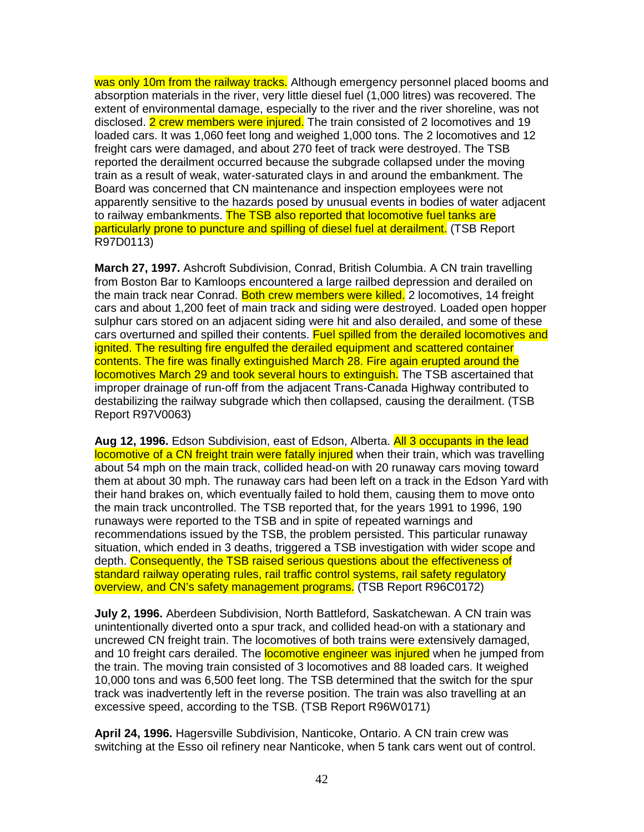was only 10m from the railway tracks. Although emergency personnel placed booms and absorption materials in the river, very little diesel fuel (1,000 litres) was recovered. The extent of environmental damage, especially to the river and the river shoreline, was not disclosed. 2 crew members were injured. The train consisted of 2 locomotives and 19 loaded cars. It was 1,060 feet long and weighed 1,000 tons. The 2 locomotives and 12 freight cars were damaged, and about 270 feet of track were destroyed. The TSB reported the derailment occurred because the subgrade collapsed under the moving train as a result of weak, water-saturated clays in and around the embankment. The Board was concerned that CN maintenance and inspection employees were not apparently sensitive to the hazards posed by unusual events in bodies of water adjacent to railway embankments. The TSB also reported that locomotive fuel tanks are particularly prone to puncture and spilling of diesel fuel at derailment. (TSB Report R97D0113)

**March 27, 1997.** Ashcroft Subdivision, Conrad, British Columbia. A CN train travelling from Boston Bar to Kamloops encountered a large railbed depression and derailed on the main track near Conrad. Both crew members were killed. 2 locomotives, 14 freight cars and about 1,200 feet of main track and siding were destroyed. Loaded open hopper sulphur cars stored on an adjacent siding were hit and also derailed, and some of these cars overturned and spilled their contents. Fuel spilled from the derailed locomotives and ignited. The resulting fire engulfed the derailed equipment and scattered container contents. The fire was finally extinguished March 28. Fire again erupted around the locomotives March 29 and took several hours to extinguish. The TSB ascertained that improper drainage of run-off from the adjacent Trans-Canada Highway contributed to destabilizing the railway subgrade which then collapsed, causing the derailment. (TSB Report R97V0063)

**Aug 12, 1996.** Edson Subdivision, east of Edson, Alberta. All 3 occupants in the lead locomotive of a CN freight train were fatally injured when their train, which was travelling about 54 mph on the main track, collided head-on with 20 runaway cars moving toward them at about 30 mph. The runaway cars had been left on a track in the Edson Yard with their hand brakes on, which eventually failed to hold them, causing them to move onto the main track uncontrolled. The TSB reported that, for the years 1991 to 1996, 190 runaways were reported to the TSB and in spite of repeated warnings and recommendations issued by the TSB, the problem persisted. This particular runaway situation, which ended in 3 deaths, triggered a TSB investigation with wider scope and depth. Consequently, the TSB raised serious questions about the effectiveness of standard railway operating rules, rail traffic control systems, rail safety regulatory overview, and CN's safety management programs. (TSB Report R96C0172)

**July 2, 1996.** Aberdeen Subdivision, North Battleford, Saskatchewan. A CN train was unintentionally diverted onto a spur track, and collided head-on with a stationary and uncrewed CN freight train. The locomotives of both trains were extensively damaged, and 10 freight cars derailed. The **locomotive engineer was injured** when he jumped from the train. The moving train consisted of 3 locomotives and 88 loaded cars. It weighed 10,000 tons and was 6,500 feet long. The TSB determined that the switch for the spur track was inadvertently left in the reverse position. The train was also travelling at an excessive speed, according to the TSB. (TSB Report R96W0171)

**April 24, 1996.** Hagersville Subdivision, Nanticoke, Ontario. A CN train crew was switching at the Esso oil refinery near Nanticoke, when 5 tank cars went out of control.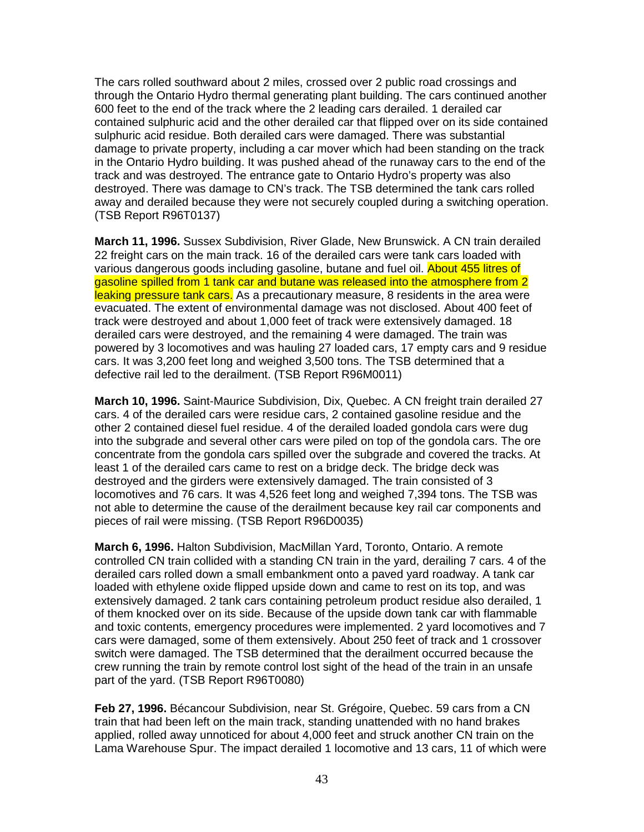The cars rolled southward about 2 miles, crossed over 2 public road crossings and through the Ontario Hydro thermal generating plant building. The cars continued another 600 feet to the end of the track where the 2 leading cars derailed. 1 derailed car contained sulphuric acid and the other derailed car that flipped over on its side contained sulphuric acid residue. Both derailed cars were damaged. There was substantial damage to private property, including a car mover which had been standing on the track in the Ontario Hydro building. It was pushed ahead of the runaway cars to the end of the track and was destroyed. The entrance gate to Ontario Hydro's property was also destroyed. There was damage to CN's track. The TSB determined the tank cars rolled away and derailed because they were not securely coupled during a switching operation. (TSB Report R96T0137)

**March 11, 1996.** Sussex Subdivision, River Glade, New Brunswick. A CN train derailed 22 freight cars on the main track. 16 of the derailed cars were tank cars loaded with various dangerous goods including gasoline, butane and fuel oil. About 455 litres of gasoline spilled from 1 tank car and butane was released into the atmosphere from 2 leaking pressure tank cars. As a precautionary measure, 8 residents in the area were evacuated. The extent of environmental damage was not disclosed. About 400 feet of track were destroyed and about 1,000 feet of track were extensively damaged. 18 derailed cars were destroyed, and the remaining 4 were damaged. The train was powered by 3 locomotives and was hauling 27 loaded cars, 17 empty cars and 9 residue cars. It was 3,200 feet long and weighed 3,500 tons. The TSB determined that a defective rail led to the derailment. (TSB Report R96M0011)

**March 10, 1996.** Saint-Maurice Subdivision, Dix, Quebec. A CN freight train derailed 27 cars. 4 of the derailed cars were residue cars, 2 contained gasoline residue and the other 2 contained diesel fuel residue. 4 of the derailed loaded gondola cars were dug into the subgrade and several other cars were piled on top of the gondola cars. The ore concentrate from the gondola cars spilled over the subgrade and covered the tracks. At least 1 of the derailed cars came to rest on a bridge deck. The bridge deck was destroyed and the girders were extensively damaged. The train consisted of 3 locomotives and 76 cars. It was 4,526 feet long and weighed 7,394 tons. The TSB was not able to determine the cause of the derailment because key rail car components and pieces of rail were missing. (TSB Report R96D0035)

**March 6, 1996.** Halton Subdivision, MacMillan Yard, Toronto, Ontario. A remote controlled CN train collided with a standing CN train in the yard, derailing 7 cars. 4 of the derailed cars rolled down a small embankment onto a paved yard roadway. A tank car loaded with ethylene oxide flipped upside down and came to rest on its top, and was extensively damaged. 2 tank cars containing petroleum product residue also derailed, 1 of them knocked over on its side. Because of the upside down tank car with flammable and toxic contents, emergency procedures were implemented. 2 yard locomotives and 7 cars were damaged, some of them extensively. About 250 feet of track and 1 crossover switch were damaged. The TSB determined that the derailment occurred because the crew running the train by remote control lost sight of the head of the train in an unsafe part of the yard. (TSB Report R96T0080)

**Feb 27, 1996.** Bécancour Subdivision, near St. Grégoire, Quebec. 59 cars from a CN train that had been left on the main track, standing unattended with no hand brakes applied, rolled away unnoticed for about 4,000 feet and struck another CN train on the Lama Warehouse Spur. The impact derailed 1 locomotive and 13 cars, 11 of which were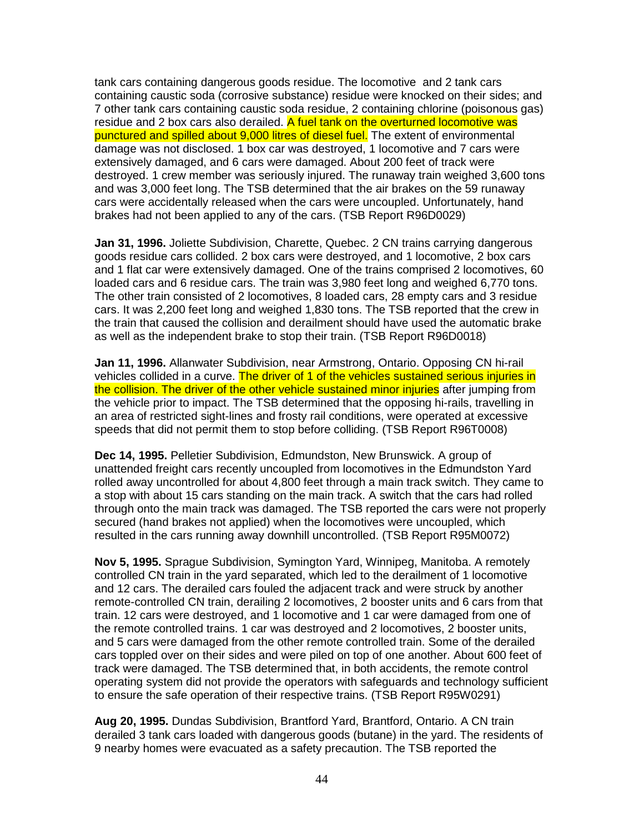tank cars containing dangerous goods residue. The locomotive and 2 tank cars containing caustic soda (corrosive substance) residue were knocked on their sides; and 7 other tank cars containing caustic soda residue, 2 containing chlorine (poisonous gas) residue and 2 box cars also derailed. A fuel tank on the overturned locomotive was punctured and spilled about 9,000 litres of diesel fuel. The extent of environmental damage was not disclosed. 1 box car was destroyed, 1 locomotive and 7 cars were extensively damaged, and 6 cars were damaged. About 200 feet of track were destroyed. 1 crew member was seriously injured. The runaway train weighed 3,600 tons and was 3,000 feet long. The TSB determined that the air brakes on the 59 runaway cars were accidentally released when the cars were uncoupled. Unfortunately, hand brakes had not been applied to any of the cars. (TSB Report R96D0029)

**Jan 31, 1996.** Joliette Subdivision, Charette, Quebec. 2 CN trains carrying dangerous goods residue cars collided. 2 box cars were destroyed, and 1 locomotive, 2 box cars and 1 flat car were extensively damaged. One of the trains comprised 2 locomotives, 60 loaded cars and 6 residue cars. The train was 3,980 feet long and weighed 6,770 tons. The other train consisted of 2 locomotives, 8 loaded cars, 28 empty cars and 3 residue cars. It was 2,200 feet long and weighed 1,830 tons. The TSB reported that the crew in the train that caused the collision and derailment should have used the automatic brake as well as the independent brake to stop their train. (TSB Report R96D0018)

**Jan 11, 1996.** Allanwater Subdivision, near Armstrong, Ontario. Opposing CN hi-rail vehicles collided in a curve. The driver of 1 of the vehicles sustained serious injuries in the collision. The driver of the other vehicle sustained minor injuries after jumping from the vehicle prior to impact. The TSB determined that the opposing hi-rails, travelling in an area of restricted sight-lines and frosty rail conditions, were operated at excessive speeds that did not permit them to stop before colliding. (TSB Report R96T0008)

**Dec 14, 1995.** Pelletier Subdivision, Edmundston, New Brunswick. A group of unattended freight cars recently uncoupled from locomotives in the Edmundston Yard rolled away uncontrolled for about 4,800 feet through a main track switch. They came to a stop with about 15 cars standing on the main track. A switch that the cars had rolled through onto the main track was damaged. The TSB reported the cars were not properly secured (hand brakes not applied) when the locomotives were uncoupled, which resulted in the cars running away downhill uncontrolled. (TSB Report R95M0072)

**Nov 5, 1995.** Sprague Subdivision, Symington Yard, Winnipeg, Manitoba. A remotely controlled CN train in the yard separated, which led to the derailment of 1 locomotive and 12 cars. The derailed cars fouled the adjacent track and were struck by another remote-controlled CN train, derailing 2 locomotives, 2 booster units and 6 cars from that train. 12 cars were destroyed, and 1 locomotive and 1 car were damaged from one of the remote controlled trains. 1 car was destroyed and 2 locomotives, 2 booster units, and 5 cars were damaged from the other remote controlled train. Some of the derailed cars toppled over on their sides and were piled on top of one another. About 600 feet of track were damaged. The TSB determined that, in both accidents, the remote control operating system did not provide the operators with safeguards and technology sufficient to ensure the safe operation of their respective trains. (TSB Report R95W0291)

**Aug 20, 1995.** Dundas Subdivision, Brantford Yard, Brantford, Ontario. A CN train derailed 3 tank cars loaded with dangerous goods (butane) in the yard. The residents of 9 nearby homes were evacuated as a safety precaution. The TSB reported the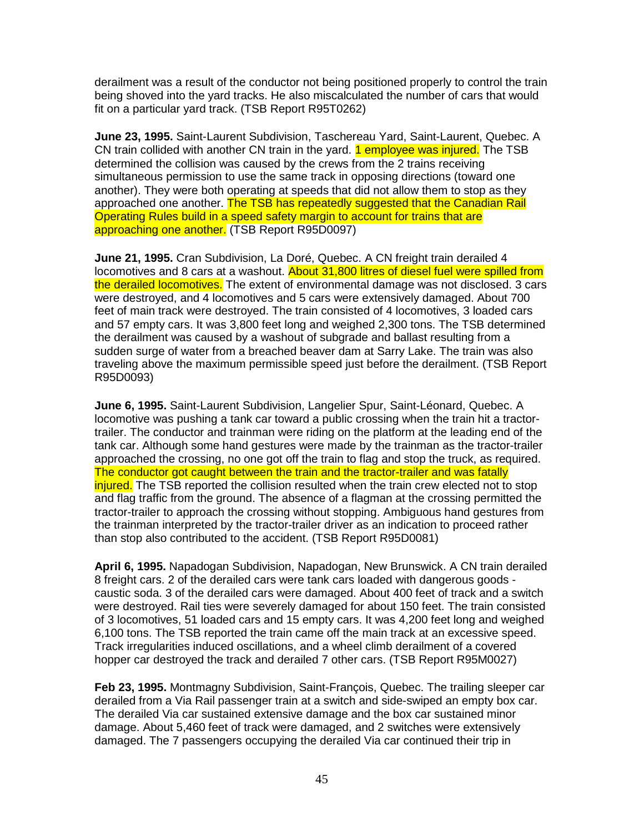derailment was a result of the conductor not being positioned properly to control the train being shoved into the yard tracks. He also miscalculated the number of cars that would fit on a particular yard track. (TSB Report R95T0262)

**June 23, 1995.** Saint-Laurent Subdivision, Taschereau Yard, Saint-Laurent, Quebec. A CN train collided with another CN train in the yard. **1 employee was injured.** The TSB determined the collision was caused by the crews from the 2 trains receiving simultaneous permission to use the same track in opposing directions (toward one another). They were both operating at speeds that did not allow them to stop as they approached one another. The TSB has repeatedly suggested that the Canadian Rail Operating Rules build in a speed safety margin to account for trains that are approaching one another. (TSB Report R95D0097)

**June 21, 1995.** Cran Subdivision, La Doré, Quebec. A CN freight train derailed 4 locomotives and 8 cars at a washout. About 31,800 litres of diesel fuel were spilled from the derailed locomotives. The extent of environmental damage was not disclosed. 3 cars were destroyed, and 4 locomotives and 5 cars were extensively damaged. About 700 feet of main track were destroyed. The train consisted of 4 locomotives, 3 loaded cars and 57 empty cars. It was 3,800 feet long and weighed 2,300 tons. The TSB determined the derailment was caused by a washout of subgrade and ballast resulting from a sudden surge of water from a breached beaver dam at Sarry Lake. The train was also traveling above the maximum permissible speed just before the derailment. (TSB Report R95D0093)

**June 6, 1995.** Saint-Laurent Subdivision, Langelier Spur, Saint-Léonard, Quebec. A locomotive was pushing a tank car toward a public crossing when the train hit a tractortrailer. The conductor and trainman were riding on the platform at the leading end of the tank car. Although some hand gestures were made by the trainman as the tractor-trailer approached the crossing, no one got off the train to flag and stop the truck, as required. The conductor got caught between the train and the tractor-trailer and was fatally injured. The TSB reported the collision resulted when the train crew elected not to stop and flag traffic from the ground. The absence of a flagman at the crossing permitted the tractor-trailer to approach the crossing without stopping. Ambiguous hand gestures from the trainman interpreted by the tractor-trailer driver as an indication to proceed rather than stop also contributed to the accident. (TSB Report R95D0081)

**April 6, 1995.** Napadogan Subdivision, Napadogan, New Brunswick. A CN train derailed 8 freight cars. 2 of the derailed cars were tank cars loaded with dangerous goods caustic soda. 3 of the derailed cars were damaged. About 400 feet of track and a switch were destroyed. Rail ties were severely damaged for about 150 feet. The train consisted of 3 locomotives, 51 loaded cars and 15 empty cars. It was 4,200 feet long and weighed 6,100 tons. The TSB reported the train came off the main track at an excessive speed. Track irregularities induced oscillations, and a wheel climb derailment of a covered hopper car destroyed the track and derailed 7 other cars. (TSB Report R95M0027)

**Feb 23, 1995.** Montmagny Subdivision, Saint-François, Quebec. The trailing sleeper car derailed from a Via Rail passenger train at a switch and side-swiped an empty box car. The derailed Via car sustained extensive damage and the box car sustained minor damage. About 5,460 feet of track were damaged, and 2 switches were extensively damaged. The 7 passengers occupying the derailed Via car continued their trip in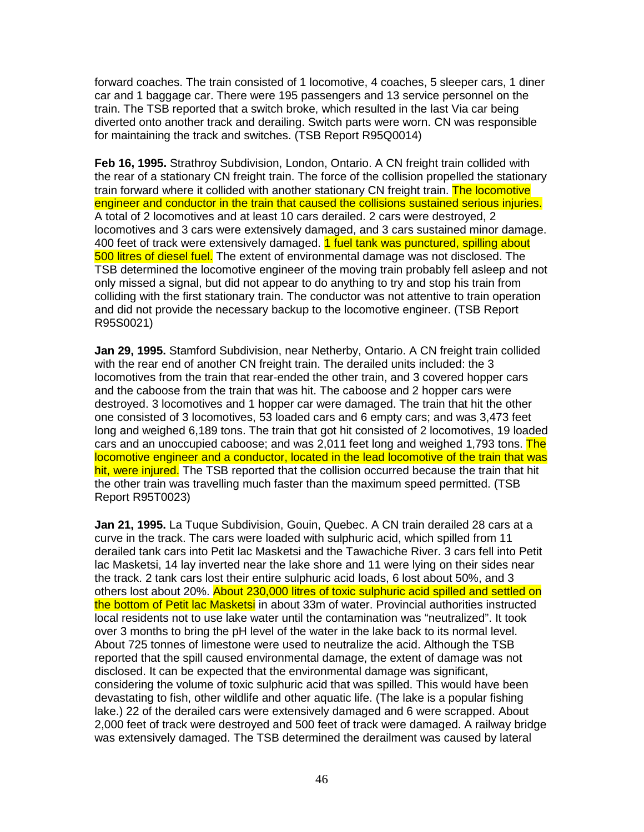forward coaches. The train consisted of 1 locomotive, 4 coaches, 5 sleeper cars, 1 diner car and 1 baggage car. There were 195 passengers and 13 service personnel on the train. The TSB reported that a switch broke, which resulted in the last Via car being diverted onto another track and derailing. Switch parts were worn. CN was responsible for maintaining the track and switches. (TSB Report R95Q0014)

**Feb 16, 1995.** Strathroy Subdivision, London, Ontario. A CN freight train collided with the rear of a stationary CN freight train. The force of the collision propelled the stationary train forward where it collided with another stationary CN freight train. The locomotive engineer and conductor in the train that caused the collisions sustained serious injuries. A total of 2 locomotives and at least 10 cars derailed. 2 cars were destroyed, 2 locomotives and 3 cars were extensively damaged, and 3 cars sustained minor damage. 400 feet of track were extensively damaged. **1 fuel tank was punctured, spilling about** 500 litres of diesel fuel. The extent of environmental damage was not disclosed. The TSB determined the locomotive engineer of the moving train probably fell asleep and not only missed a signal, but did not appear to do anything to try and stop his train from colliding with the first stationary train. The conductor was not attentive to train operation and did not provide the necessary backup to the locomotive engineer. (TSB Report R95S0021)

**Jan 29, 1995.** Stamford Subdivision, near Netherby, Ontario. A CN freight train collided with the rear end of another CN freight train. The derailed units included: the 3 locomotives from the train that rear-ended the other train, and 3 covered hopper cars and the caboose from the train that was hit. The caboose and 2 hopper cars were destroyed. 3 locomotives and 1 hopper car were damaged. The train that hit the other one consisted of 3 locomotives, 53 loaded cars and 6 empty cars; and was 3,473 feet long and weighed 6,189 tons. The train that got hit consisted of 2 locomotives, 19 loaded cars and an unoccupied caboose; and was 2,011 feet long and weighed 1,793 tons. The locomotive engineer and a conductor, located in the lead locomotive of the train that was hit, were injured. The TSB reported that the collision occurred because the train that hit the other train was travelling much faster than the maximum speed permitted. (TSB Report R95T0023)

**Jan 21, 1995.** La Tuque Subdivision, Gouin, Quebec. A CN train derailed 28 cars at a curve in the track. The cars were loaded with sulphuric acid, which spilled from 11 derailed tank cars into Petit lac Masketsi and the Tawachiche River. 3 cars fell into Petit lac Masketsi, 14 lay inverted near the lake shore and 11 were lying on their sides near the track. 2 tank cars lost their entire sulphuric acid loads, 6 lost about 50%, and 3 others lost about 20%. About 230,000 litres of toxic sulphuric acid spilled and settled on the bottom of Petit lac Masketsi in about 33m of water. Provincial authorities instructed local residents not to use lake water until the contamination was "neutralized". It took over 3 months to bring the pH level of the water in the lake back to its normal level. About 725 tonnes of limestone were used to neutralize the acid. Although the TSB reported that the spill caused environmental damage, the extent of damage was not disclosed. It can be expected that the environmental damage was significant, considering the volume of toxic sulphuric acid that was spilled. This would have been devastating to fish, other wildlife and other aquatic life. (The lake is a popular fishing lake.) 22 of the derailed cars were extensively damaged and 6 were scrapped. About 2,000 feet of track were destroyed and 500 feet of track were damaged. A railway bridge was extensively damaged. The TSB determined the derailment was caused by lateral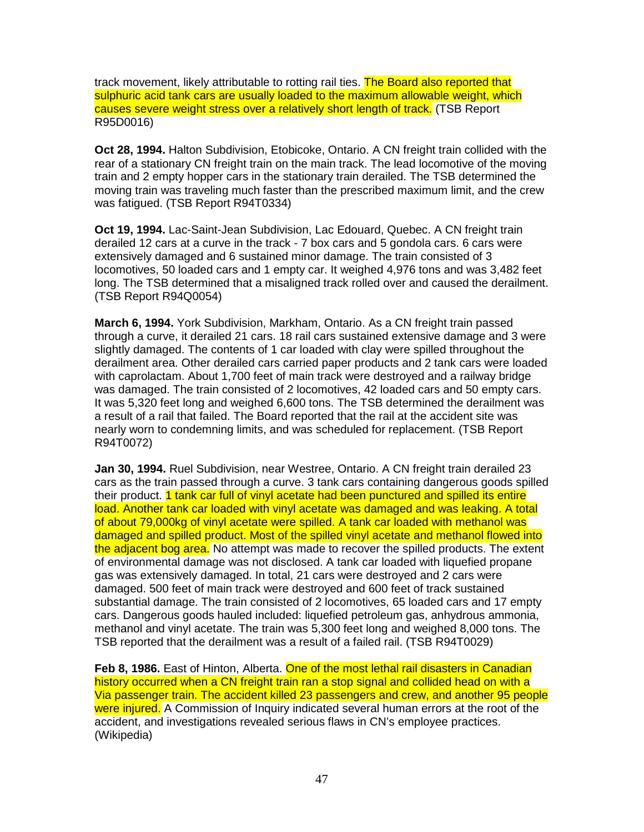track movement, likely attributable to rotting rail ties. The Board also reported that sulphuric acid tank cars are usually loaded to the maximum allowable weight, which causes severe weight stress over a relatively short length of track. (TSB Report R95D0016)

**Oct 28, 1994.** Halton Subdivision, Etobicoke, Ontario. A CN freight train collided with the rear of a stationary CN freight train on the main track. The lead locomotive of the moving train and 2 empty hopper cars in the stationary train derailed. The TSB determined the moving train was traveling much faster than the prescribed maximum limit, and the crew was fatigued. (TSB Report R94T0334)

**Oct 19, 1994.** Lac-Saint-Jean Subdivision, Lac Edouard, Quebec. A CN freight train derailed 12 cars at a curve in the track - 7 box cars and 5 gondola cars. 6 cars were extensively damaged and 6 sustained minor damage. The train consisted of 3 locomotives, 50 loaded cars and 1 empty car. It weighed 4,976 tons and was 3,482 feet long. The TSB determined that a misaligned track rolled over and caused the derailment. (TSB Report R94Q0054)

**March 6, 1994.** York Subdivision, Markham, Ontario. As a CN freight train passed through a curve, it derailed 21 cars. 18 rail cars sustained extensive damage and 3 were slightly damaged. The contents of 1 car loaded with clay were spilled throughout the derailment area. Other derailed cars carried paper products and 2 tank cars were loaded with caprolactam. About 1,700 feet of main track were destroyed and a railway bridge was damaged. The train consisted of 2 locomotives, 42 loaded cars and 50 empty cars. It was 5,320 feet long and weighed 6,600 tons. The TSB determined the derailment was a result of a rail that failed. The Board reported that the rail at the accident site was nearly worn to condemning limits, and was scheduled for replacement. (TSB Report R94T0072)

**Jan 30, 1994.** Ruel Subdivision, near Westree, Ontario. A CN freight train derailed 23 cars as the train passed through a curve. 3 tank cars containing dangerous goods spilled their product. 1 tank car full of vinyl acetate had been punctured and spilled its entire load. Another tank car loaded with vinyl acetate was damaged and was leaking. A total of about 79,000kg of vinyl acetate were spilled. A tank car loaded with methanol was damaged and spilled product. Most of the spilled vinyl acetate and methanol flowed into the adjacent bog area. No attempt was made to recover the spilled products. The extent of environmental damage was not disclosed. A tank car loaded with liquefied propane gas was extensively damaged. In total, 21 cars were destroyed and 2 cars were damaged. 500 feet of main track were destroyed and 600 feet of track sustained substantial damage. The train consisted of 2 locomotives, 65 loaded cars and 17 empty cars. Dangerous goods hauled included: liquefied petroleum gas, anhydrous ammonia, methanol and vinyl acetate. The train was 5,300 feet long and weighed 8,000 tons. The TSB reported that the derailment was a result of a failed rail. (TSB R94T0029)

**Feb 8, 1986.** East of Hinton, Alberta. One of the most lethal rail disasters in Canadian history occurred when a CN freight train ran a stop signal and collided head on with a Via passenger train. The accident killed 23 passengers and crew, and another 95 people were injured. A Commission of Inquiry indicated several human errors at the root of the accident, and investigations revealed serious flaws in CN's employee practices. (Wikipedia)